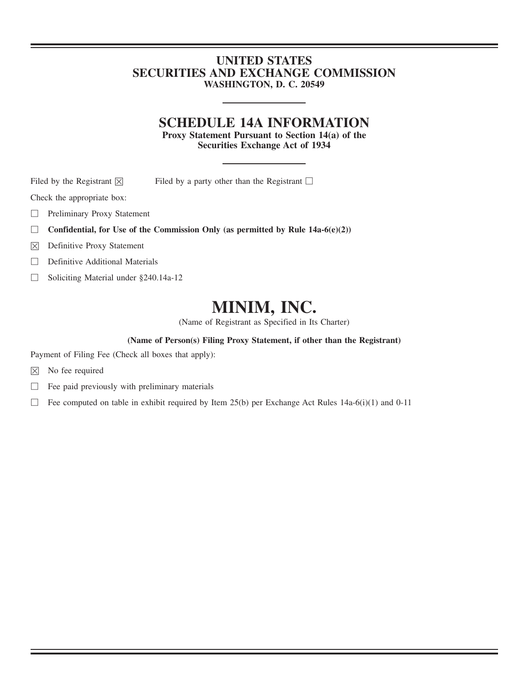## **UNITED STATES SECURITIES AND EXCHANGE COMMISSION WASHINGTON, D. C. 20549**

# **SCHEDULE 14A INFORMATION**

**Proxy Statement Pursuant to Section 14(a) of the Securities Exchange Act of 1934**

Filed by the Registrant  $\boxtimes$  Filed by a party other than the Registrant  $\Box$ 

Check the appropriate box:

- □ Preliminary Proxy Statement
- **Confidential, for Use of the Commission Only (as permitted by Rule 14a-6(e)(2))**
- $\boxtimes$  Definitive Proxy Statement
- □ Definitive Additional Materials
- □ Soliciting Material under §240.14a-12

# **MINIM, INC.**

(Name of Registrant as Specified in Its Charter)

## **(Name of Person(s) Filing Proxy Statement, if other than the Registrant)**

Payment of Filing Fee (Check all boxes that apply):

- $\boxtimes$  No fee required
- $\Box$  Fee paid previously with preliminary materials
- □ Fee computed on table in exhibit required by Item 25(b) per Exchange Act Rules 14a-6(i)(1) and 0-11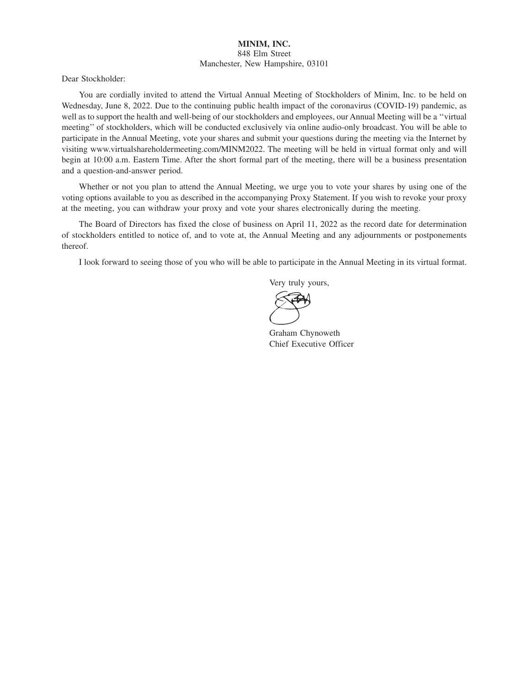## **MINIM, INC.** 848 Elm Street Manchester, New Hampshire, 03101

Dear Stockholder:

You are cordially invited to attend the Virtual Annual Meeting of Stockholders of Minim, Inc. to be held on Wednesday, June 8, 2022. Due to the continuing public health impact of the coronavirus (COVID-19) pandemic, as well as to support the health and well-being of our stockholders and employees, our Annual Meeting will be a ''virtual meeting'' of stockholders, which will be conducted exclusively via online audio-only broadcast. You will be able to participate in the Annual Meeting, vote your shares and submit your questions during the meeting via the Internet by visiting www.virtualshareholdermeeting.com/MINM2022. The meeting will be held in virtual format only and will begin at 10:00 a.m. Eastern Time. After the short formal part of the meeting, there will be a business presentation and a question-and-answer period.

Whether or not you plan to attend the Annual Meeting, we urge you to vote your shares by using one of the voting options available to you as described in the accompanying Proxy Statement. If you wish to revoke your proxy at the meeting, you can withdraw your proxy and vote your shares electronically during the meeting.

The Board of Directors has fixed the close of business on April 11, 2022 as the record date for determination of stockholders entitled to notice of, and to vote at, the Annual Meeting and any adjournments or postponements thereof.

I look forward to seeing those of you who will be able to participate in the Annual Meeting in its virtual format.

Very truly yours,

Graham Chynoweth Chief Executive Officer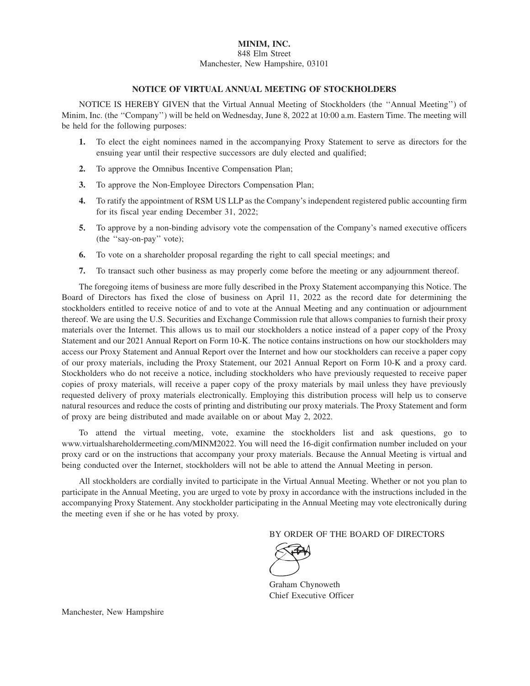## **MINIM, INC.** 848 Elm Street Manchester, New Hampshire, 03101

## **NOTICE OF VIRTUAL ANNUAL MEETING OF STOCKHOLDERS**

NOTICE IS HEREBY GIVEN that the Virtual Annual Meeting of Stockholders (the "Annual Meeting") of Minim, Inc. (the ''Company'') will be held on Wednesday, June 8, 2022 at 10:00 a.m. Eastern Time. The meeting will be held for the following purposes:

- **1.** To elect the eight nominees named in the accompanying Proxy Statement to serve as directors for the ensuing year until their respective successors are duly elected and qualified;
- **2.** To approve the Omnibus Incentive Compensation Plan;
- **3.** To approve the Non-Employee Directors Compensation Plan;
- **4.** To ratify the appointment of RSM US LLP as the Company's independent registered public accounting firm for its fiscal year ending December 31, 2022;
- **5.** To approve by a non-binding advisory vote the compensation of the Company's named executive officers (the ''say-on-pay'' vote);
- **6.** To vote on a shareholder proposal regarding the right to call special meetings; and
- **7.** To transact such other business as may properly come before the meeting or any adjournment thereof.

The foregoing items of business are more fully described in the Proxy Statement accompanying this Notice. The Board of Directors has fixed the close of business on April 11, 2022 as the record date for determining the stockholders entitled to receive notice of and to vote at the Annual Meeting and any continuation or adjournment thereof. We are using the U.S. Securities and Exchange Commission rule that allows companies to furnish their proxy materials over the Internet. This allows us to mail our stockholders a notice instead of a paper copy of the Proxy Statement and our 2021 Annual Report on Form 10-K. The notice contains instructions on how our stockholders may access our Proxy Statement and Annual Report over the Internet and how our stockholders can receive a paper copy of our proxy materials, including the Proxy Statement, our 2021 Annual Report on Form 10-K and a proxy card. Stockholders who do not receive a notice, including stockholders who have previously requested to receive paper copies of proxy materials, will receive a paper copy of the proxy materials by mail unless they have previously requested delivery of proxy materials electronically. Employing this distribution process will help us to conserve natural resources and reduce the costs of printing and distributing our proxy materials. The Proxy Statement and form of proxy are being distributed and made available on or about May 2, 2022.

To attend the virtual meeting, vote, examine the stockholders list and ask questions, go to www.virtualshareholdermeeting.com/MINM2022. You will need the 16-digit confirmation number included on your proxy card or on the instructions that accompany your proxy materials. Because the Annual Meeting is virtual and being conducted over the Internet, stockholders will not be able to attend the Annual Meeting in person.

All stockholders are cordially invited to participate in the Virtual Annual Meeting. Whether or not you plan to participate in the Annual Meeting, you are urged to vote by proxy in accordance with the instructions included in the accompanying Proxy Statement. Any stockholder participating in the Annual Meeting may vote electronically during the meeting even if she or he has voted by proxy.

BY ORDER OF THE BOARD OF DIRECTORS



Graham Chynoweth Chief Executive Officer

Manchester, New Hampshire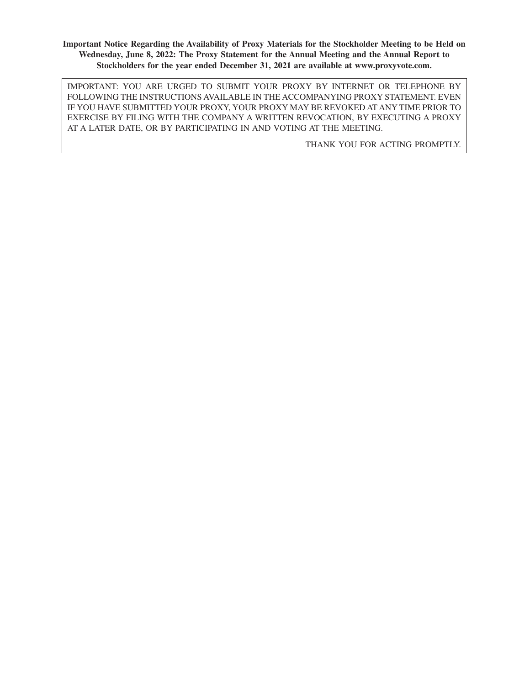**Important Notice Regarding the Availability of Proxy Materials for the Stockholder Meeting to be Held on Wednesday, June 8, 2022: The Proxy Statement for the Annual Meeting and the Annual Report to Stockholders for the year ended December 31, 2021 are available at www.proxyvote.com.**

IMPORTANT: YOU ARE URGED TO SUBMIT YOUR PROXY BY INTERNET OR TELEPHONE BY FOLLOWING THE INSTRUCTIONS AVAILABLE IN THE ACCOMPANYING PROXY STATEMENT. EVEN IF YOU HAVE SUBMITTED YOUR PROXY, YOUR PROXY MAY BE REVOKED AT ANY TIME PRIOR TO EXERCISE BY FILING WITH THE COMPANY A WRITTEN REVOCATION, BY EXECUTING A PROXY AT A LATER DATE, OR BY PARTICIPATING IN AND VOTING AT THE MEETING.

THANK YOU FOR ACTING PROMPTLY.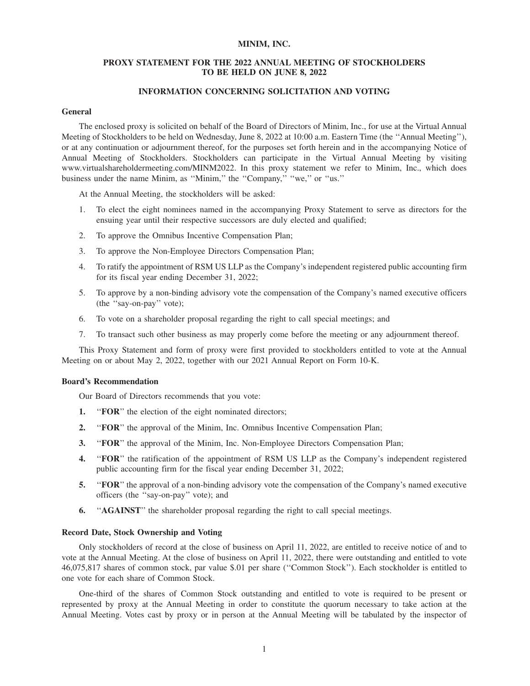## **MINIM, INC.**

## **PROXY STATEMENT FOR THE 2022 ANNUAL MEETING OF STOCKHOLDERS TO BE HELD ON JUNE 8, 2022**

## **INFORMATION CONCERNING SOLICITATION AND VOTING**

#### **General**

The enclosed proxy is solicited on behalf of the Board of Directors of Minim, Inc., for use at the Virtual Annual Meeting of Stockholders to be held on Wednesday, June 8, 2022 at 10:00 a.m. Eastern Time (the ''Annual Meeting''), or at any continuation or adjournment thereof, for the purposes set forth herein and in the accompanying Notice of Annual Meeting of Stockholders. Stockholders can participate in the Virtual Annual Meeting by visiting www.virtualshareholdermeeting.com/MINM2022. In this proxy statement we refer to Minim, Inc., which does business under the name Minim, as ''Minim,'' the ''Company,'' ''we,'' or ''us.''

At the Annual Meeting, the stockholders will be asked:

- 1. To elect the eight nominees named in the accompanying Proxy Statement to serve as directors for the ensuing year until their respective successors are duly elected and qualified;
- 2. To approve the Omnibus Incentive Compensation Plan;
- 3. To approve the Non-Employee Directors Compensation Plan;
- 4. To ratify the appointment of RSM US LLP as the Company's independent registered public accounting firm for its fiscal year ending December 31, 2022;
- 5. To approve by a non-binding advisory vote the compensation of the Company's named executive officers (the ''say-on-pay'' vote);
- 6. To vote on a shareholder proposal regarding the right to call special meetings; and
- 7. To transact such other business as may properly come before the meeting or any adjournment thereof.

This Proxy Statement and form of proxy were first provided to stockholders entitled to vote at the Annual Meeting on or about May 2, 2022, together with our 2021 Annual Report on Form 10-K.

#### **Board's Recommendation**

Our Board of Directors recommends that you vote:

- **1.** "**FOR**" the election of the eight nominated directors;
- **2.** ''**FOR**'' the approval of the Minim, Inc. Omnibus Incentive Compensation Plan;
- **3.** ''**FOR**'' the approval of the Minim, Inc. Non-Employee Directors Compensation Plan;
- **4.** ''**FOR**'' the ratification of the appointment of RSM US LLP as the Company's independent registered public accounting firm for the fiscal year ending December 31, 2022;
- **5.** ''**FOR**'' the approval of a non-binding advisory vote the compensation of the Company's named executive officers (the ''say-on-pay'' vote); and
- **6.** ''**AGAINST**'' the shareholder proposal regarding the right to call special meetings.

#### **Record Date, Stock Ownership and Voting**

Only stockholders of record at the close of business on April 11, 2022, are entitled to receive notice of and to vote at the Annual Meeting. At the close of business on April 11, 2022, there were outstanding and entitled to vote 46,075,817 shares of common stock, par value \$.01 per share (''Common Stock''). Each stockholder is entitled to one vote for each share of Common Stock.

One-third of the shares of Common Stock outstanding and entitled to vote is required to be present or represented by proxy at the Annual Meeting in order to constitute the quorum necessary to take action at the Annual Meeting. Votes cast by proxy or in person at the Annual Meeting will be tabulated by the inspector of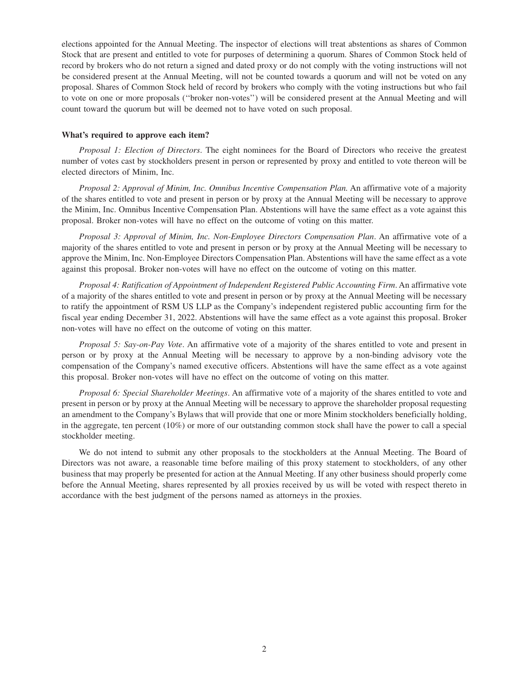elections appointed for the Annual Meeting. The inspector of elections will treat abstentions as shares of Common Stock that are present and entitled to vote for purposes of determining a quorum. Shares of Common Stock held of record by brokers who do not return a signed and dated proxy or do not comply with the voting instructions will not be considered present at the Annual Meeting, will not be counted towards a quorum and will not be voted on any proposal. Shares of Common Stock held of record by brokers who comply with the voting instructions but who fail to vote on one or more proposals (''broker non-votes'') will be considered present at the Annual Meeting and will count toward the quorum but will be deemed not to have voted on such proposal.

#### **What's required to approve each item?**

*Proposal 1: Election of Directors*. The eight nominees for the Board of Directors who receive the greatest number of votes cast by stockholders present in person or represented by proxy and entitled to vote thereon will be elected directors of Minim, Inc.

*Proposal 2: Approval of Minim, Inc. Omnibus Incentive Compensation Plan.* An affirmative vote of a majority of the shares entitled to vote and present in person or by proxy at the Annual Meeting will be necessary to approve the Minim, Inc. Omnibus Incentive Compensation Plan. Abstentions will have the same effect as a vote against this proposal. Broker non-votes will have no effect on the outcome of voting on this matter.

*Proposal 3: Approval of Minim, Inc. Non-Employee Directors Compensation Plan*. An affirmative vote of a majority of the shares entitled to vote and present in person or by proxy at the Annual Meeting will be necessary to approve the Minim, Inc. Non-Employee Directors Compensation Plan. Abstentions will have the same effect as a vote against this proposal. Broker non-votes will have no effect on the outcome of voting on this matter.

*Proposal 4: Ratification of Appointment of Independent Registered Public Accounting Firm*. An affirmative vote of a majority of the shares entitled to vote and present in person or by proxy at the Annual Meeting will be necessary to ratify the appointment of RSM US LLP as the Company's independent registered public accounting firm for the fiscal year ending December 31, 2022. Abstentions will have the same effect as a vote against this proposal. Broker non-votes will have no effect on the outcome of voting on this matter.

*Proposal 5: Say-on-Pay Vote*. An affirmative vote of a majority of the shares entitled to vote and present in person or by proxy at the Annual Meeting will be necessary to approve by a non-binding advisory vote the compensation of the Company's named executive officers. Abstentions will have the same effect as a vote against this proposal. Broker non-votes will have no effect on the outcome of voting on this matter.

*Proposal 6: Special Shareholder Meetings*. An affirmative vote of a majority of the shares entitled to vote and present in person or by proxy at the Annual Meeting will be necessary to approve the shareholder proposal requesting an amendment to the Company's Bylaws that will provide that one or more Minim stockholders beneficially holding, in the aggregate, ten percent (10%) or more of our outstanding common stock shall have the power to call a special stockholder meeting.

We do not intend to submit any other proposals to the stockholders at the Annual Meeting. The Board of Directors was not aware, a reasonable time before mailing of this proxy statement to stockholders, of any other business that may properly be presented for action at the Annual Meeting. If any other business should properly come before the Annual Meeting, shares represented by all proxies received by us will be voted with respect thereto in accordance with the best judgment of the persons named as attorneys in the proxies.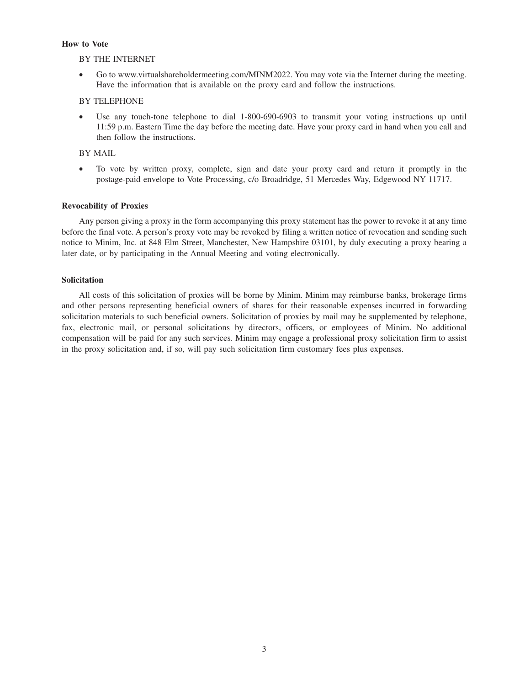## **How to Vote**

## BY THE INTERNET

• Go to www.virtualshareholdermeeting.com/MINM2022. You may vote via the Internet during the meeting. Have the information that is available on the proxy card and follow the instructions.

## BY TELEPHONE

Use any touch-tone telephone to dial 1-800-690-6903 to transmit your voting instructions up until 11:59 p.m. Eastern Time the day before the meeting date. Have your proxy card in hand when you call and then follow the instructions.

## BY MAIL

• To vote by written proxy, complete, sign and date your proxy card and return it promptly in the postage-paid envelope to Vote Processing, c/o Broadridge, 51 Mercedes Way, Edgewood NY 11717.

## **Revocability of Proxies**

Any person giving a proxy in the form accompanying this proxy statement has the power to revoke it at any time before the final vote. A person's proxy vote may be revoked by filing a written notice of revocation and sending such notice to Minim, Inc. at 848 Elm Street, Manchester, New Hampshire 03101, by duly executing a proxy bearing a later date, or by participating in the Annual Meeting and voting electronically.

## **Solicitation**

All costs of this solicitation of proxies will be borne by Minim. Minim may reimburse banks, brokerage firms and other persons representing beneficial owners of shares for their reasonable expenses incurred in forwarding solicitation materials to such beneficial owners. Solicitation of proxies by mail may be supplemented by telephone, fax, electronic mail, or personal solicitations by directors, officers, or employees of Minim. No additional compensation will be paid for any such services. Minim may engage a professional proxy solicitation firm to assist in the proxy solicitation and, if so, will pay such solicitation firm customary fees plus expenses.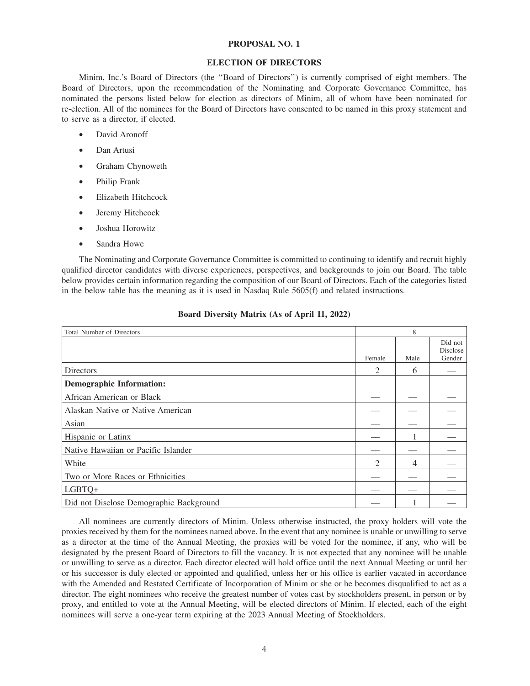#### **PROPOSAL NO. 1**

## **ELECTION OF DIRECTORS**

Minim, Inc.'s Board of Directors (the ''Board of Directors'') is currently comprised of eight members. The Board of Directors, upon the recommendation of the Nominating and Corporate Governance Committee, has nominated the persons listed below for election as directors of Minim, all of whom have been nominated for re-election. All of the nominees for the Board of Directors have consented to be named in this proxy statement and to serve as a director, if elected.

- David Aronoff
- Dan Artusi
- Graham Chynoweth
- Philip Frank
- Elizabeth Hitchcock
- Jeremy Hitchcock
- Joshua Horowitz
- Sandra Howe

The Nominating and Corporate Governance Committee is committed to continuing to identify and recruit highly qualified director candidates with diverse experiences, perspectives, and backgrounds to join our Board. The table below provides certain information regarding the composition of our Board of Directors. Each of the categories listed in the below table has the meaning as it is used in Nasdaq Rule 5605(f) and related instructions.

| Total Number of Directors               |                | 8    |                               |
|-----------------------------------------|----------------|------|-------------------------------|
|                                         | Female         | Male | Did not<br>Disclose<br>Gender |
| <b>Directors</b>                        | 2              | 6    |                               |
| <b>Demographic Information:</b>         |                |      |                               |
| African American or Black               |                |      |                               |
| Alaskan Native or Native American       |                |      |                               |
| Asian                                   |                |      |                               |
| Hispanic or Latinx                      |                |      |                               |
| Native Hawaiian or Pacific Islander     |                |      |                               |
| White                                   | $\mathfrak{D}$ | 4    |                               |
| Two or More Races or Ethnicities        |                |      |                               |
| LGBTQ+                                  |                |      |                               |
| Did not Disclose Demographic Background |                |      |                               |

## **Board Diversity Matrix (As of April 11, 2022)**

All nominees are currently directors of Minim. Unless otherwise instructed, the proxy holders will vote the proxies received by them for the nominees named above. In the event that any nominee is unable or unwilling to serve as a director at the time of the Annual Meeting, the proxies will be voted for the nominee, if any, who will be designated by the present Board of Directors to fill the vacancy. It is not expected that any nominee will be unable or unwilling to serve as a director. Each director elected will hold office until the next Annual Meeting or until her or his successor is duly elected or appointed and qualified, unless her or his office is earlier vacated in accordance with the Amended and Restated Certificate of Incorporation of Minim or she or he becomes disqualified to act as a director. The eight nominees who receive the greatest number of votes cast by stockholders present, in person or by proxy, and entitled to vote at the Annual Meeting, will be elected directors of Minim. If elected, each of the eight nominees will serve a one-year term expiring at the 2023 Annual Meeting of Stockholders.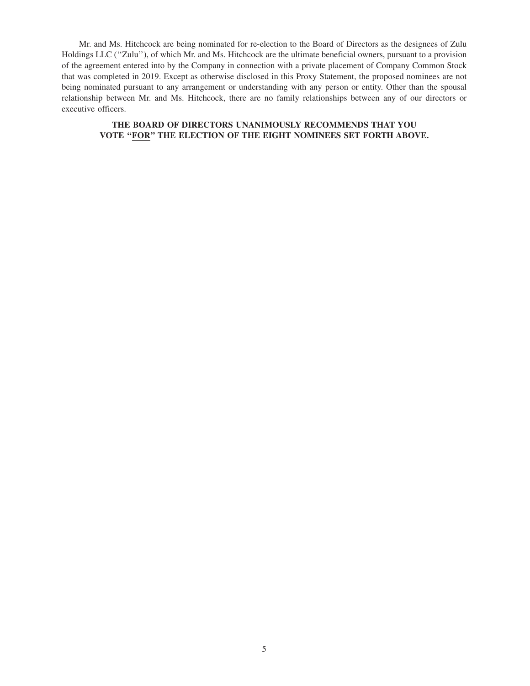Mr. and Ms. Hitchcock are being nominated for re-election to the Board of Directors as the designees of Zulu Holdings LLC (''Zulu''), of which Mr. and Ms. Hitchcock are the ultimate beneficial owners, pursuant to a provision of the agreement entered into by the Company in connection with a private placement of Company Common Stock that was completed in 2019. Except as otherwise disclosed in this Proxy Statement, the proposed nominees are not being nominated pursuant to any arrangement or understanding with any person or entity. Other than the spousal relationship between Mr. and Ms. Hitchcock, there are no family relationships between any of our directors or executive officers.

## **THE BOARD OF DIRECTORS UNANIMOUSLY RECOMMENDS THAT YOU VOTE ''FOR'' THE ELECTION OF THE EIGHT NOMINEES SET FORTH ABOVE.**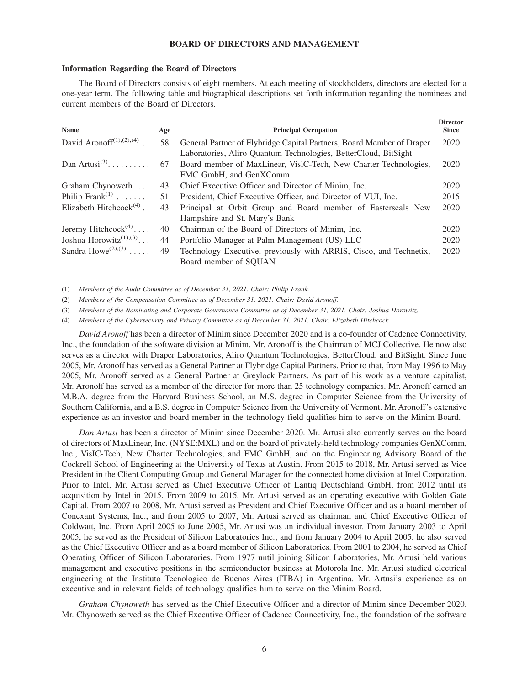## **BOARD OF DIRECTORS AND MANAGEMENT**

#### **Information Regarding the Board of Directors**

The Board of Directors consists of eight members. At each meeting of stockholders, directors are elected for a one-year term. The following table and biographical descriptions set forth information regarding the nominees and current members of the Board of Directors.

| <b>Name</b>                                     | Age | <b>Principal Occupation</b>                                                                                                              | <b>Director</b><br><b>Since</b> |
|-------------------------------------------------|-----|------------------------------------------------------------------------------------------------------------------------------------------|---------------------------------|
| David Aronoff <sup>(1),(2),(4)</sup>            | 58  | General Partner of Flybridge Capital Partners, Board Member of Draper<br>Laboratories, Aliro Quantum Technologies, BetterCloud, BitSight | 2020                            |
| Dan Artusi <sup>(3)</sup>                       | 67  | Board member of MaxLinear, VislC-Tech, New Charter Technologies,<br>FMC GmbH, and GenXComm                                               | 2020                            |
| Graham Chynoweth                                | 43  | Chief Executive Officer and Director of Minim, Inc.                                                                                      | 2020                            |
| Philip Frank <sup><math>(1)</math></sup>        | 51  | President, Chief Executive Officer, and Director of VUI, Inc.                                                                            | 2015                            |
| Elizabeth Hitchcock <sup>(4)</sup>              | 43  | Principal at Orbit Group and Board member of Easterseals New<br>Hampshire and St. Mary's Bank                                            | 2020                            |
| Jeremy Hitchcock <sup>(4)</sup>                 | 40  | Chairman of the Board of Directors of Minim, Inc.                                                                                        | 2020                            |
| Joshua Horowitz <sup><math>(1),(3)</math></sup> | 44  | Portfolio Manager at Palm Management (US) LLC                                                                                            | 2020                            |
| Sandra Howe <sup><math>(2),(3)</math></sup>     | 49  | Technology Executive, previously with ARRIS, Cisco, and Technetix,<br>Board member of SOUAN                                              | 2020                            |

(1) *Members of the Audit Committee as of December 31, 2021. Chair: Philip Frank.*

(2) *Members of the Compensation Committee as of December 31, 2021. Chair: David Aronoff.*

(3) *Members of the Nominating and Corporate Governance Committee as of December 31, 2021. Chair: Joshua Horowitz.*

(4) *Members of the Cybersecurity and Privacy Committee as of December 31, 2021. Chair: Elizabeth Hitchcock.*

*David Aronoff* has been a director of Minim since December 2020 and is a co-founder of Cadence Connectivity, Inc., the foundation of the software division at Minim. Mr. Aronoff is the Chairman of MCJ Collective. He now also serves as a director with Draper Laboratories, Aliro Quantum Technologies, BetterCloud, and BitSight. Since June 2005, Mr. Aronoff has served as a General Partner at Flybridge Capital Partners. Prior to that, from May 1996 to May 2005, Mr. Aronoff served as a General Partner at Greylock Partners. As part of his work as a venture capitalist, Mr. Aronoff has served as a member of the director for more than 25 technology companies. Mr. Aronoff earned an M.B.A. degree from the Harvard Business School, an M.S. degree in Computer Science from the University of Southern California, and a B.S. degree in Computer Science from the University of Vermont. Mr. Aronoff's extensive experience as an investor and board member in the technology field qualifies him to serve on the Minim Board.

*Dan Artusi* has been a director of Minim since December 2020. Mr. Artusi also currently serves on the board of directors of MaxLinear, Inc. (NYSE:MXL) and on the board of privately-held technology companies GenXComm, Inc., VisIC-Tech, New Charter Technologies, and FMC GmbH, and on the Engineering Advisory Board of the Cockrell School of Engineering at the University of Texas at Austin. From 2015 to 2018, Mr. Artusi served as Vice President in the Client Computing Group and General Manager for the connected home division at Intel Corporation. Prior to Intel, Mr. Artusi served as Chief Executive Officer of Lantiq Deutschland GmbH, from 2012 until its acquisition by Intel in 2015. From 2009 to 2015, Mr. Artusi served as an operating executive with Golden Gate Capital. From 2007 to 2008, Mr. Artusi served as President and Chief Executive Officer and as a board member of Conexant Systems, Inc., and from 2005 to 2007, Mr. Artusi served as chairman and Chief Executive Officer of Coldwatt, Inc. From April 2005 to June 2005, Mr. Artusi was an individual investor. From January 2003 to April 2005, he served as the President of Silicon Laboratories Inc.; and from January 2004 to April 2005, he also served as the Chief Executive Officer and as a board member of Silicon Laboratories. From 2001 to 2004, he served as Chief Operating Officer of Silicon Laboratories. From 1977 until joining Silicon Laboratories, Mr. Artusi held various management and executive positions in the semiconductor business at Motorola Inc. Mr. Artusi studied electrical engineering at the Instituto Tecnologico de Buenos Aires (ITBA) in Argentina. Mr. Artusi's experience as an executive and in relevant fields of technology qualifies him to serve on the Minim Board.

*Graham Chynoweth* has served as the Chief Executive Officer and a director of Minim since December 2020. Mr. Chynoweth served as the Chief Executive Officer of Cadence Connectivity, Inc., the foundation of the software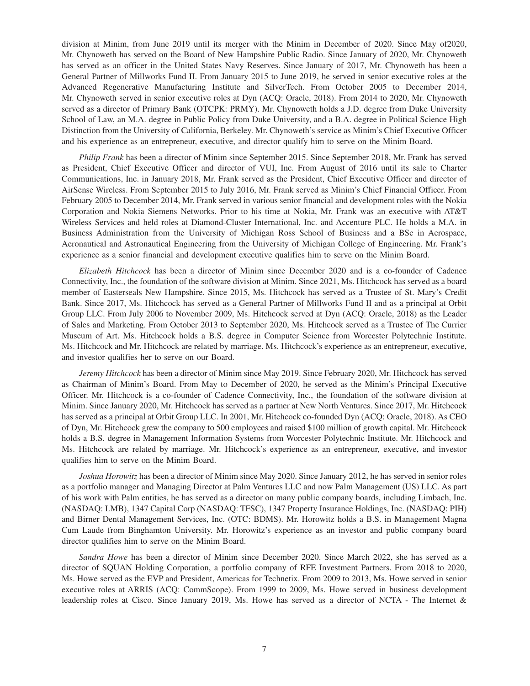division at Minim, from June 2019 until its merger with the Minim in December of 2020. Since May of2020, Mr. Chynoweth has served on the Board of New Hampshire Public Radio. Since January of 2020, Mr. Chynoweth has served as an officer in the United States Navy Reserves. Since January of 2017, Mr. Chynoweth has been a General Partner of Millworks Fund II. From January 2015 to June 2019, he served in senior executive roles at the Advanced Regenerative Manufacturing Institute and SilverTech. From October 2005 to December 2014, Mr. Chynoweth served in senior executive roles at Dyn (ACQ: Oracle, 2018). From 2014 to 2020, Mr. Chynoweth served as a director of Primary Bank (OTCPK: PRMY). Mr. Chynoweth holds a J.D. degree from Duke University School of Law, an M.A. degree in Public Policy from Duke University, and a B.A. degree in Political Science High Distinction from the University of California, Berkeley. Mr. Chynoweth's service as Minim's Chief Executive Officer and his experience as an entrepreneur, executive, and director qualify him to serve on the Minim Board.

*Philip Frank* has been a director of Minim since September 2015. Since September 2018, Mr. Frank has served as President, Chief Executive Officer and director of VUI, Inc. From August of 2016 until its sale to Charter Communications, Inc. in January 2018, Mr. Frank served as the President, Chief Executive Officer and director of AirSense Wireless. From September 2015 to July 2016, Mr. Frank served as Minim's Chief Financial Officer. From February 2005 to December 2014, Mr. Frank served in various senior financial and development roles with the Nokia Corporation and Nokia Siemens Networks. Prior to his time at Nokia, Mr. Frank was an executive with AT&T Wireless Services and held roles at Diamond-Cluster International, Inc. and Accenture PLC. He holds a M.A. in Business Administration from the University of Michigan Ross School of Business and a BSc in Aerospace, Aeronautical and Astronautical Engineering from the University of Michigan College of Engineering. Mr. Frank's experience as a senior financial and development executive qualifies him to serve on the Minim Board.

*Elizabeth Hitchcock* has been a director of Minim since December 2020 and is a co-founder of Cadence Connectivity, Inc., the foundation of the software division at Minim. Since 2021, Ms. Hitchcock has served as a board member of Easterseals New Hampshire. Since 2015, Ms. Hitchcock has served as a Trustee of St. Mary's Credit Bank. Since 2017, Ms. Hitchcock has served as a General Partner of Millworks Fund II and as a principal at Orbit Group LLC. From July 2006 to November 2009, Ms. Hitchcock served at Dyn (ACQ: Oracle, 2018) as the Leader of Sales and Marketing. From October 2013 to September 2020, Ms. Hitchcock served as a Trustee of The Currier Museum of Art. Ms. Hitchcock holds a B.S. degree in Computer Science from Worcester Polytechnic Institute. Ms. Hitchcock and Mr. Hitchcock are related by marriage. Ms. Hitchcock's experience as an entrepreneur, executive, and investor qualifies her to serve on our Board.

*Jeremy Hitchcock* has been a director of Minim since May 2019. Since February 2020, Mr. Hitchcock has served as Chairman of Minim's Board. From May to December of 2020, he served as the Minim's Principal Executive Officer. Mr. Hitchcock is a co-founder of Cadence Connectivity, Inc., the foundation of the software division at Minim. Since January 2020, Mr. Hitchcock has served as a partner at New North Ventures. Since 2017, Mr. Hitchcock has served as a principal at Orbit Group LLC. In 2001, Mr. Hitchcock co-founded Dyn (ACQ: Oracle, 2018). As CEO of Dyn, Mr. Hitchcock grew the company to 500 employees and raised \$100 million of growth capital. Mr. Hitchcock holds a B.S. degree in Management Information Systems from Worcester Polytechnic Institute. Mr. Hitchcock and Ms. Hitchcock are related by marriage. Mr. Hitchcock's experience as an entrepreneur, executive, and investor qualifies him to serve on the Minim Board.

*Joshua Horowitz* has been a director of Minim since May 2020. Since January 2012, he has served in senior roles as a portfolio manager and Managing Director at Palm Ventures LLC and now Palm Management (US) LLC. As part of his work with Palm entities, he has served as a director on many public company boards, including Limbach, Inc. (NASDAQ: LMB), 1347 Capital Corp (NASDAQ: TFSC), 1347 Property Insurance Holdings, Inc. (NASDAQ: PIH) and Birner Dental Management Services, Inc. (OTC: BDMS). Mr. Horowitz holds a B.S. in Management Magna Cum Laude from Binghamton University. Mr. Horowitz's experience as an investor and public company board director qualifies him to serve on the Minim Board.

*Sandra Howe* has been a director of Minim since December 2020. Since March 2022, she has served as a director of SQUAN Holding Corporation, a portfolio company of RFE Investment Partners. From 2018 to 2020, Ms. Howe served as the EVP and President, Americas for Technetix. From 2009 to 2013, Ms. Howe served in senior executive roles at ARRIS (ACQ: CommScope). From 1999 to 2009, Ms. Howe served in business development leadership roles at Cisco. Since January 2019, Ms. Howe has served as a director of NCTA - The Internet &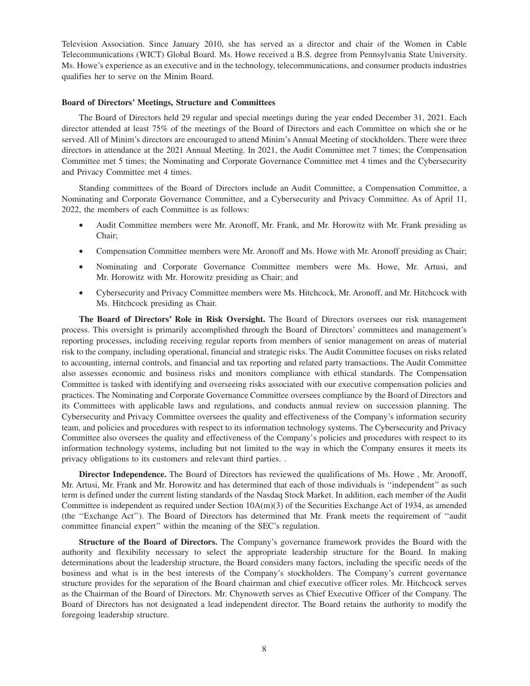Television Association. Since January 2010, she has served as a director and chair of the Women in Cable Telecommunications (WICT) Global Board. Ms. Howe received a B.S. degree from Pennsylvania State University. Ms. Howe's experience as an executive and in the technology, telecommunications, and consumer products industries qualifies her to serve on the Minim Board.

#### **Board of Directors' Meetings, Structure and Committees**

The Board of Directors held 29 regular and special meetings during the year ended December 31, 2021. Each director attended at least 75% of the meetings of the Board of Directors and each Committee on which she or he served. All of Minim's directors are encouraged to attend Minim's Annual Meeting of stockholders. There were three directors in attendance at the 2021 Annual Meeting. In 2021, the Audit Committee met 7 times; the Compensation Committee met 5 times; the Nominating and Corporate Governance Committee met 4 times and the Cybersecurity and Privacy Committee met 4 times.

Standing committees of the Board of Directors include an Audit Committee, a Compensation Committee, a Nominating and Corporate Governance Committee, and a Cybersecurity and Privacy Committee. As of April 11, 2022, the members of each Committee is as follows:

- Audit Committee members were Mr. Aronoff, Mr. Frank, and Mr. Horowitz with Mr. Frank presiding as Chair;
- Compensation Committee members were Mr. Aronoff and Ms. Howe with Mr. Aronoff presiding as Chair;
- Nominating and Corporate Governance Committee members were Ms. Howe, Mr. Artusi, and Mr. Horowitz with Mr. Horowitz presiding as Chair; and
- Cybersecurity and Privacy Committee members were Ms. Hitchcock, Mr. Aronoff, and Mr. Hitchcock with Ms. Hitchcock presiding as Chair.

**The Board of Directors' Role in Risk Oversight.** The Board of Directors oversees our risk management process. This oversight is primarily accomplished through the Board of Directors' committees and management's reporting processes, including receiving regular reports from members of senior management on areas of material risk to the company, including operational, financial and strategic risks. The Audit Committee focuses on risks related to accounting, internal controls, and financial and tax reporting and related party transactions. The Audit Committee also assesses economic and business risks and monitors compliance with ethical standards. The Compensation Committee is tasked with identifying and overseeing risks associated with our executive compensation policies and practices. The Nominating and Corporate Governance Committee oversees compliance by the Board of Directors and its Committees with applicable laws and regulations, and conducts annual review on succession planning. The Cybersecurity and Privacy Committee oversees the quality and effectiveness of the Company's information security team, and policies and procedures with respect to its information technology systems. The Cybersecurity and Privacy Committee also oversees the quality and effectiveness of the Company's policies and procedures with respect to its information technology systems, including but not limited to the way in which the Company ensures it meets its privacy obligations to its customers and relevant third parties. .

**Director Independence.** The Board of Directors has reviewed the qualifications of Ms. Howe , Mr. Aronoff, Mr. Artusi, Mr. Frank and Mr. Horowitz and has determined that each of those individuals is ''independent'' as such term is defined under the current listing standards of the Nasdaq Stock Market. In addition, each member of the Audit Committee is independent as required under Section 10A(m)(3) of the Securities Exchange Act of 1934, as amended (the ''Exchange Act''). The Board of Directors has determined that Mr. Frank meets the requirement of ''audit committee financial expert'' within the meaning of the SEC's regulation.

**Structure of the Board of Directors.** The Company's governance framework provides the Board with the authority and flexibility necessary to select the appropriate leadership structure for the Board. In making determinations about the leadership structure, the Board considers many factors, including the specific needs of the business and what is in the best interests of the Company's stockholders. The Company's current governance structure provides for the separation of the Board chairman and chief executive officer roles. Mr. Hitchcock serves as the Chairman of the Board of Directors. Mr. Chynoweth serves as Chief Executive Officer of the Company. The Board of Directors has not designated a lead independent director. The Board retains the authority to modify the foregoing leadership structure.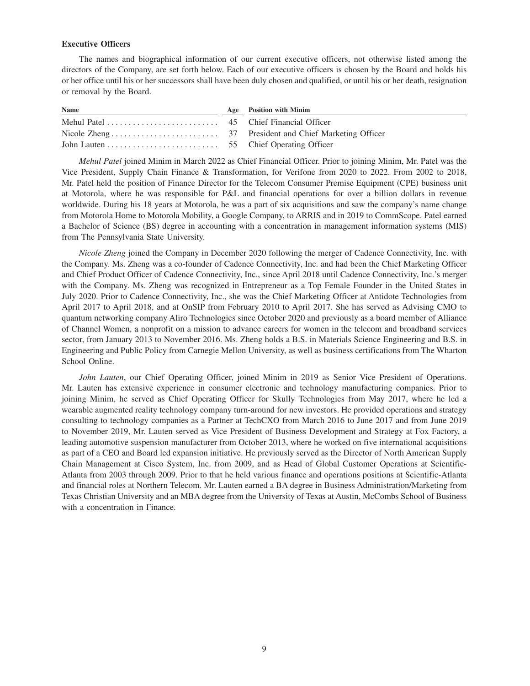## **Executive Officers**

The names and biographical information of our current executive officers, not otherwise listed among the directors of the Company, are set forth below. Each of our executive officers is chosen by the Board and holds his or her office until his or her successors shall have been duly chosen and qualified, or until his or her death, resignation or removal by the Board.

| Name | Age Position with Minim |
|------|-------------------------|
|      |                         |
|      |                         |
|      |                         |

*Mehul Patel* joined Minim in March 2022 as Chief Financial Officer. Prior to joining Minim, Mr. Patel was the Vice President, Supply Chain Finance & Transformation, for Verifone from 2020 to 2022. From 2002 to 2018, Mr. Patel held the position of Finance Director for the Telecom Consumer Premise Equipment (CPE) business unit at Motorola, where he was responsible for P&L and financial operations for over a billion dollars in revenue worldwide. During his 18 years at Motorola, he was a part of six acquisitions and saw the company's name change from Motorola Home to Motorola Mobility, a Google Company, to ARRIS and in 2019 to CommScope. Patel earned a Bachelor of Science (BS) degree in accounting with a concentration in management information systems (MIS) from The Pennsylvania State University.

*Nicole Zheng* joined the Company in December 2020 following the merger of Cadence Connectivity, Inc. with the Company. Ms. Zheng was a co-founder of Cadence Connectivity, Inc. and had been the Chief Marketing Officer and Chief Product Officer of Cadence Connectivity, Inc., since April 2018 until Cadence Connectivity, Inc.'s merger with the Company. Ms. Zheng was recognized in Entrepreneur as a Top Female Founder in the United States in July 2020. Prior to Cadence Connectivity, Inc., she was the Chief Marketing Officer at Antidote Technologies from April 2017 to April 2018, and at OnSIP from February 2010 to April 2017. She has served as Advising CMO to quantum networking company Aliro Technologies since October 2020 and previously as a board member of Alliance of Channel Women, a nonprofit on a mission to advance careers for women in the telecom and broadband services sector, from January 2013 to November 2016. Ms. Zheng holds a B.S. in Materials Science Engineering and B.S. in Engineering and Public Policy from Carnegie Mellon University, as well as business certifications from The Wharton School Online.

*John Lauten*, our Chief Operating Officer, joined Minim in 2019 as Senior Vice President of Operations. Mr. Lauten has extensive experience in consumer electronic and technology manufacturing companies. Prior to joining Minim, he served as Chief Operating Officer for Skully Technologies from May 2017, where he led a wearable augmented reality technology company turn-around for new investors. He provided operations and strategy consulting to technology companies as a Partner at TechCXO from March 2016 to June 2017 and from June 2019 to November 2019, Mr. Lauten served as Vice President of Business Development and Strategy at Fox Factory, a leading automotive suspension manufacturer from October 2013, where he worked on five international acquisitions as part of a CEO and Board led expansion initiative. He previously served as the Director of North American Supply Chain Management at Cisco System, Inc. from 2009, and as Head of Global Customer Operations at Scientific-Atlanta from 2003 through 2009. Prior to that he held various finance and operations positions at Scientific-Atlanta and financial roles at Northern Telecom. Mr. Lauten earned a BA degree in Business Administration/Marketing from Texas Christian University and an MBA degree from the University of Texas at Austin, McCombs School of Business with a concentration in Finance.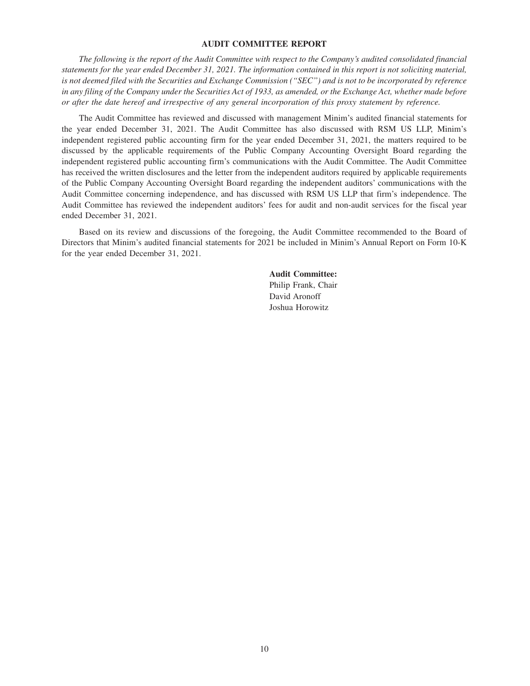## **AUDIT COMMITTEE REPORT**

*The following is the report of the Audit Committee with respect to the Company's audited consolidated financial statements for the year ended December 31, 2021. The information contained in this report is not soliciting material, is not deemed filed with the Securities and Exchange Commission (''SEC'') and is not to be incorporated by reference in any filing of the Company under the Securities Act of 1933, as amended, or the Exchange Act, whether made before or after the date hereof and irrespective of any general incorporation of this proxy statement by reference.*

The Audit Committee has reviewed and discussed with management Minim's audited financial statements for the year ended December 31, 2021. The Audit Committee has also discussed with RSM US LLP, Minim's independent registered public accounting firm for the year ended December 31, 2021, the matters required to be discussed by the applicable requirements of the Public Company Accounting Oversight Board regarding the independent registered public accounting firm's communications with the Audit Committee. The Audit Committee has received the written disclosures and the letter from the independent auditors required by applicable requirements of the Public Company Accounting Oversight Board regarding the independent auditors' communications with the Audit Committee concerning independence, and has discussed with RSM US LLP that firm's independence. The Audit Committee has reviewed the independent auditors' fees for audit and non-audit services for the fiscal year ended December 31, 2021.

Based on its review and discussions of the foregoing, the Audit Committee recommended to the Board of Directors that Minim's audited financial statements for 2021 be included in Minim's Annual Report on Form 10-K for the year ended December 31, 2021.

> **Audit Committee:** Philip Frank, Chair David Aronoff Joshua Horowitz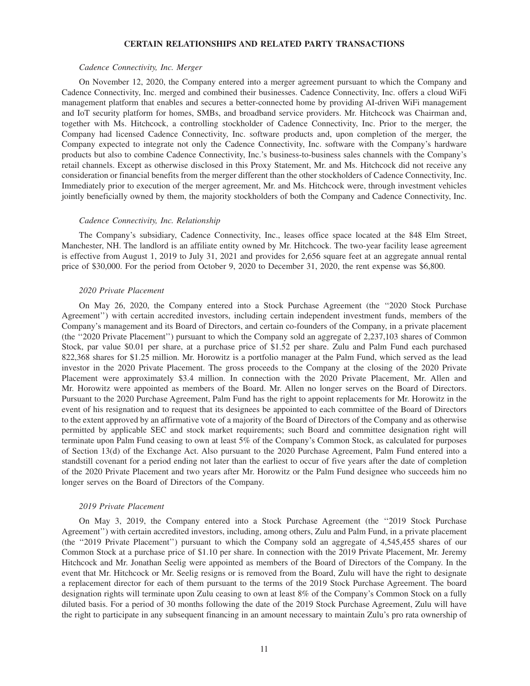## **CERTAIN RELATIONSHIPS AND RELATED PARTY TRANSACTIONS**

### *Cadence Connectivity, Inc. Merger*

On November 12, 2020, the Company entered into a merger agreement pursuant to which the Company and Cadence Connectivity, Inc. merged and combined their businesses. Cadence Connectivity, Inc. offers a cloud WiFi management platform that enables and secures a better-connected home by providing AI-driven WiFi management and IoT security platform for homes, SMBs, and broadband service providers. Mr. Hitchcock was Chairman and, together with Ms. Hitchcock, a controlling stockholder of Cadence Connectivity, Inc. Prior to the merger, the Company had licensed Cadence Connectivity, Inc. software products and, upon completion of the merger, the Company expected to integrate not only the Cadence Connectivity, Inc. software with the Company's hardware products but also to combine Cadence Connectivity, Inc.'s business-to-business sales channels with the Company's retail channels. Except as otherwise disclosed in this Proxy Statement, Mr. and Ms. Hitchcock did not receive any consideration or financial benefits from the merger different than the other stockholders of Cadence Connectivity, Inc. Immediately prior to execution of the merger agreement, Mr. and Ms. Hitchcock were, through investment vehicles jointly beneficially owned by them, the majority stockholders of both the Company and Cadence Connectivity, Inc.

#### *Cadence Connectivity, Inc. Relationship*

The Company's subsidiary, Cadence Connectivity, Inc., leases office space located at the 848 Elm Street, Manchester, NH. The landlord is an affiliate entity owned by Mr. Hitchcock. The two-year facility lease agreement is effective from August 1, 2019 to July 31, 2021 and provides for 2,656 square feet at an aggregate annual rental price of \$30,000. For the period from October 9, 2020 to December 31, 2020, the rent expense was \$6,800.

#### *2020 Private Placement*

On May 26, 2020, the Company entered into a Stock Purchase Agreement (the ''2020 Stock Purchase Agreement'') with certain accredited investors, including certain independent investment funds, members of the Company's management and its Board of Directors, and certain co-founders of the Company, in a private placement (the ''2020 Private Placement'') pursuant to which the Company sold an aggregate of 2,237,103 shares of Common Stock, par value \$0.01 per share, at a purchase price of \$1.52 per share. Zulu and Palm Fund each purchased 822,368 shares for \$1.25 million. Mr. Horowitz is a portfolio manager at the Palm Fund, which served as the lead investor in the 2020 Private Placement. The gross proceeds to the Company at the closing of the 2020 Private Placement were approximately \$3.4 million. In connection with the 2020 Private Placement, Mr. Allen and Mr. Horowitz were appointed as members of the Board. Mr. Allen no longer serves on the Board of Directors. Pursuant to the 2020 Purchase Agreement, Palm Fund has the right to appoint replacements for Mr. Horowitz in the event of his resignation and to request that its designees be appointed to each committee of the Board of Directors to the extent approved by an affirmative vote of a majority of the Board of Directors of the Company and as otherwise permitted by applicable SEC and stock market requirements; such Board and committee designation right will terminate upon Palm Fund ceasing to own at least 5% of the Company's Common Stock, as calculated for purposes of Section 13(d) of the Exchange Act. Also pursuant to the 2020 Purchase Agreement, Palm Fund entered into a standstill covenant for a period ending not later than the earliest to occur of five years after the date of completion of the 2020 Private Placement and two years after Mr. Horowitz or the Palm Fund designee who succeeds him no longer serves on the Board of Directors of the Company.

#### *2019 Private Placement*

On May 3, 2019, the Company entered into a Stock Purchase Agreement (the ''2019 Stock Purchase Agreement'') with certain accredited investors, including, among others, Zulu and Palm Fund, in a private placement (the ''2019 Private Placement'') pursuant to which the Company sold an aggregate of 4,545,455 shares of our Common Stock at a purchase price of \$1.10 per share. In connection with the 2019 Private Placement, Mr. Jeremy Hitchcock and Mr. Jonathan Seelig were appointed as members of the Board of Directors of the Company. In the event that Mr. Hitchcock or Mr. Seelig resigns or is removed from the Board, Zulu will have the right to designate a replacement director for each of them pursuant to the terms of the 2019 Stock Purchase Agreement. The board designation rights will terminate upon Zulu ceasing to own at least 8% of the Company's Common Stock on a fully diluted basis. For a period of 30 months following the date of the 2019 Stock Purchase Agreement, Zulu will have the right to participate in any subsequent financing in an amount necessary to maintain Zulu's pro rata ownership of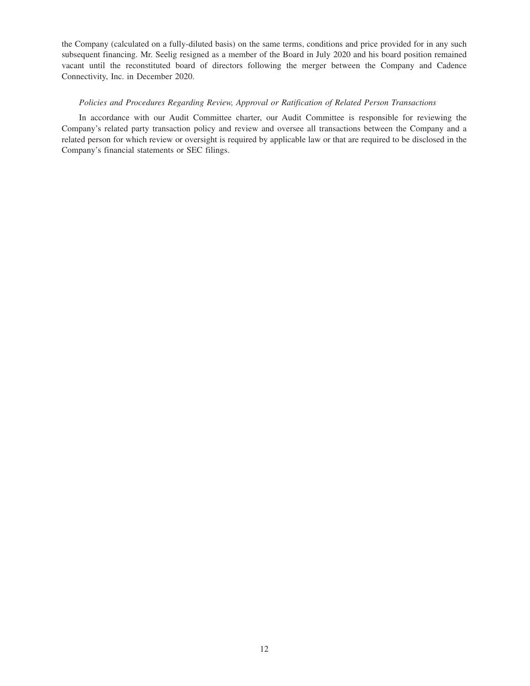the Company (calculated on a fully-diluted basis) on the same terms, conditions and price provided for in any such subsequent financing. Mr. Seelig resigned as a member of the Board in July 2020 and his board position remained vacant until the reconstituted board of directors following the merger between the Company and Cadence Connectivity, Inc. in December 2020.

## *Policies and Procedures Regarding Review, Approval or Ratification of Related Person Transactions*

In accordance with our Audit Committee charter, our Audit Committee is responsible for reviewing the Company's related party transaction policy and review and oversee all transactions between the Company and a related person for which review or oversight is required by applicable law or that are required to be disclosed in the Company's financial statements or SEC filings.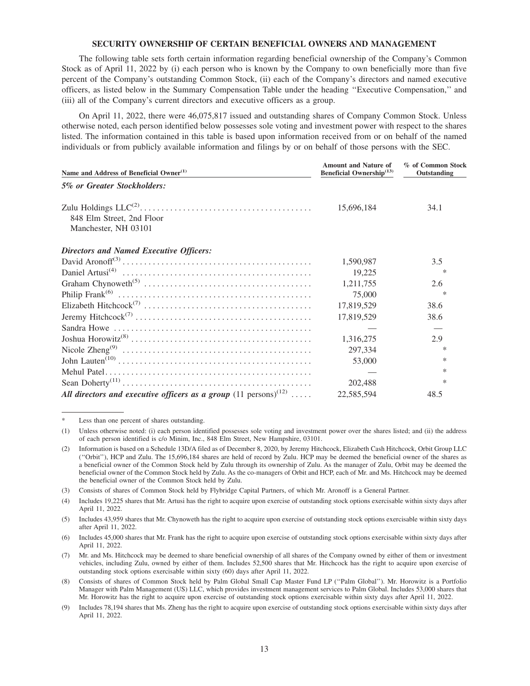## **SECURITY OWNERSHIP OF CERTAIN BENEFICIAL OWNERS AND MANAGEMENT**

The following table sets forth certain information regarding beneficial ownership of the Company's Common Stock as of April 11, 2022 by (i) each person who is known by the Company to own beneficially more than five percent of the Company's outstanding Common Stock, (ii) each of the Company's directors and named executive officers, as listed below in the Summary Compensation Table under the heading ''Executive Compensation,'' and (iii) all of the Company's current directors and executive officers as a group.

On April 11, 2022, there were 46,075,817 issued and outstanding shares of Company Common Stock. Unless otherwise noted, each person identified below possesses sole voting and investment power with respect to the shares listed. The information contained in this table is based upon information received from or on behalf of the named individuals or from publicly available information and filings by or on behalf of those persons with the SEC.

| Name and Address of Beneficial Owner <sup>(1)</sup>                                 | <b>Amount and Nature of</b><br>Beneficial Ownership <sup>(13)</sup> | % of Common Stock<br>Outstanding |
|-------------------------------------------------------------------------------------|---------------------------------------------------------------------|----------------------------------|
| 5% or Greater Stockholders:                                                         |                                                                     |                                  |
| 848 Elm Street, 2nd Floor<br>Manchester, NH 03101                                   | 15,696,184                                                          | 34.1                             |
| <b>Directors and Named Executive Officers:</b>                                      |                                                                     |                                  |
|                                                                                     | 1,590,987                                                           | 3.5                              |
|                                                                                     | 19,225                                                              | ∗                                |
|                                                                                     | 1,211,755                                                           | 2.6                              |
|                                                                                     | 75,000                                                              | $\ast$                           |
|                                                                                     | 17,819,529                                                          | 38.6                             |
|                                                                                     | 17,819,529                                                          | 38.6                             |
|                                                                                     |                                                                     |                                  |
|                                                                                     | 1,316,275                                                           | 2.9                              |
|                                                                                     | 297,334                                                             | $\ast$                           |
|                                                                                     | 53,000                                                              | $\ast$                           |
|                                                                                     |                                                                     | $\ast$                           |
|                                                                                     | 202,488                                                             | $\ast$                           |
| All directors and executive officers as a group $(11 \text{ persons})^{(12)} \dots$ | 22,585,594                                                          | 48.5                             |

Less than one percent of shares outstanding.

<sup>(1)</sup> Unless otherwise noted: (i) each person identified possesses sole voting and investment power over the shares listed; and (ii) the address of each person identified is c/o Minim, Inc., 848 Elm Street, New Hampshire, 03101.

<sup>(2)</sup> Information is based on a Schedule 13D/A filed as of December 8, 2020, by Jeremy Hitchcock, Elizabeth Cash Hitchcock, Orbit Group LLC (''Orbit''), HCP and Zulu. The 15,696,184 shares are held of record by Zulu. HCP may be deemed the beneficial owner of the shares as a beneficial owner of the Common Stock held by Zulu through its ownership of Zulu. As the manager of Zulu, Orbit may be deemed the beneficial owner of the Common Stock held by Zulu. As the co-managers of Orbit and HCP, each of Mr. and Ms. Hitchcock may be deemed the beneficial owner of the Common Stock held by Zulu.

<sup>(3)</sup> Consists of shares of Common Stock held by Flybridge Capital Partners, of which Mr. Aronoff is a General Partner.

<sup>(4)</sup> Includes 19,225 shares that Mr. Artusi has the right to acquire upon exercise of outstanding stock options exercisable within sixty days after April 11, 2022.

<sup>(5)</sup> Includes 43,959 shares that Mr. Chynoweth has the right to acquire upon exercise of outstanding stock options exercisable within sixty days after April 11, 2022.

<sup>(6)</sup> Includes 45,000 shares that Mr. Frank has the right to acquire upon exercise of outstanding stock options exercisable within sixty days after April 11, 2022.

<sup>(7)</sup> Mr. and Ms. Hitchcock may be deemed to share beneficial ownership of all shares of the Company owned by either of them or investment vehicles, including Zulu, owned by either of them. Includes 52,500 shares that Mr. Hitchcock has the right to acquire upon exercise of outstanding stock options exercisable within sixty (60) days after April 11, 2022.

<sup>(8)</sup> Consists of shares of Common Stock held by Palm Global Small Cap Master Fund LP (''Palm Global''). Mr. Horowitz is a Portfolio Manager with Palm Management (US) LLC, which provides investment management services to Palm Global. Includes 53,000 shares that Mr. Horowitz has the right to acquire upon exercise of outstanding stock options exercisable within sixty days after April 11, 2022.

<sup>(9)</sup> Includes 78,194 shares that Ms. Zheng has the right to acquire upon exercise of outstanding stock options exercisable within sixty days after April 11, 2022.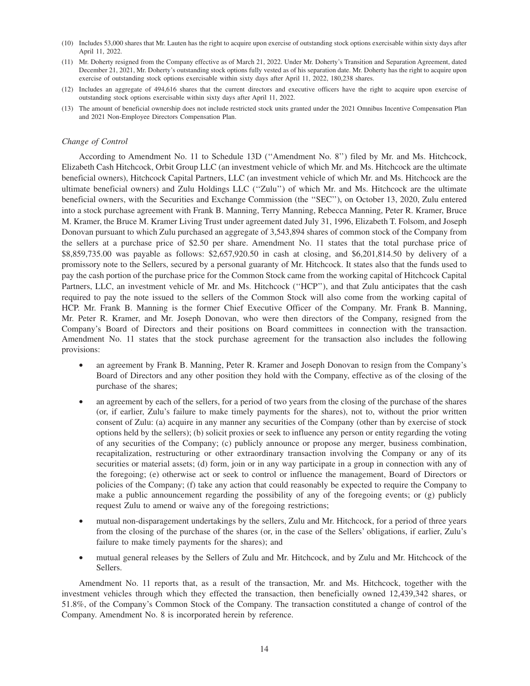- (10) Includes 53,000 shares that Mr. Lauten has the right to acquire upon exercise of outstanding stock options exercisable within sixty days after April 11, 2022.
- (11) Mr. Doherty resigned from the Company effective as of March 21, 2022. Under Mr. Doherty's Transition and Separation Agreement, dated December 21, 2021, Mr. Doherty's outstanding stock options fully vested as of his separation date. Mr. Doherty has the right to acquire upon exercise of outstanding stock options exercisable within sixty days after April 11, 2022, 180,238 shares.
- (12) Includes an aggregate of 494,616 shares that the current directors and executive officers have the right to acquire upon exercise of outstanding stock options exercisable within sixty days after April 11, 2022.
- (13) The amount of beneficial ownership does not include restricted stock units granted under the 2021 Omnibus Incentive Compensation Plan and 2021 Non-Employee Directors Compensation Plan.

#### *Change of Control*

According to Amendment No. 11 to Schedule 13D (''Amendment No. 8'') filed by Mr. and Ms. Hitchcock, Elizabeth Cash Hitchcock, Orbit Group LLC (an investment vehicle of which Mr. and Ms. Hitchcock are the ultimate beneficial owners), Hitchcock Capital Partners, LLC (an investment vehicle of which Mr. and Ms. Hitchcock are the ultimate beneficial owners) and Zulu Holdings LLC (''Zulu'') of which Mr. and Ms. Hitchcock are the ultimate beneficial owners, with the Securities and Exchange Commission (the ''SEC''), on October 13, 2020, Zulu entered into a stock purchase agreement with Frank B. Manning, Terry Manning, Rebecca Manning, Peter R. Kramer, Bruce M. Kramer, the Bruce M. Kramer Living Trust under agreement dated July 31, 1996, Elizabeth T. Folsom, and Joseph Donovan pursuant to which Zulu purchased an aggregate of 3,543,894 shares of common stock of the Company from the sellers at a purchase price of \$2.50 per share. Amendment No. 11 states that the total purchase price of \$8,859,735.00 was payable as follows: \$2,657,920.50 in cash at closing, and \$6,201,814.50 by delivery of a promissory note to the Sellers, secured by a personal guaranty of Mr. Hitchcock. It states also that the funds used to pay the cash portion of the purchase price for the Common Stock came from the working capital of Hitchcock Capital Partners, LLC, an investment vehicle of Mr. and Ms. Hitchcock ("HCP"), and that Zulu anticipates that the cash required to pay the note issued to the sellers of the Common Stock will also come from the working capital of HCP. Mr. Frank B. Manning is the former Chief Executive Officer of the Company. Mr. Frank B. Manning, Mr. Peter R. Kramer, and Mr. Joseph Donovan, who were then directors of the Company, resigned from the Company's Board of Directors and their positions on Board committees in connection with the transaction. Amendment No. 11 states that the stock purchase agreement for the transaction also includes the following provisions:

- an agreement by Frank B. Manning, Peter R. Kramer and Joseph Donovan to resign from the Company's Board of Directors and any other position they hold with the Company, effective as of the closing of the purchase of the shares;
- an agreement by each of the sellers, for a period of two years from the closing of the purchase of the shares (or, if earlier, Zulu's failure to make timely payments for the shares), not to, without the prior written consent of Zulu: (a) acquire in any manner any securities of the Company (other than by exercise of stock options held by the sellers); (b) solicit proxies or seek to influence any person or entity regarding the voting of any securities of the Company; (c) publicly announce or propose any merger, business combination, recapitalization, restructuring or other extraordinary transaction involving the Company or any of its securities or material assets; (d) form, join or in any way participate in a group in connection with any of the foregoing; (e) otherwise act or seek to control or influence the management, Board of Directors or policies of the Company; (f) take any action that could reasonably be expected to require the Company to make a public announcement regarding the possibility of any of the foregoing events; or (g) publicly request Zulu to amend or waive any of the foregoing restrictions;
- mutual non-disparagement undertakings by the sellers, Zulu and Mr. Hitchcock, for a period of three years from the closing of the purchase of the shares (or, in the case of the Sellers' obligations, if earlier, Zulu's failure to make timely payments for the shares); and
- mutual general releases by the Sellers of Zulu and Mr. Hitchcock, and by Zulu and Mr. Hitchcock of the Sellers.

Amendment No. 11 reports that, as a result of the transaction, Mr. and Ms. Hitchcock, together with the investment vehicles through which they effected the transaction, then beneficially owned 12,439,342 shares, or 51.8%, of the Company's Common Stock of the Company. The transaction constituted a change of control of the Company. Amendment No. 8 is incorporated herein by reference.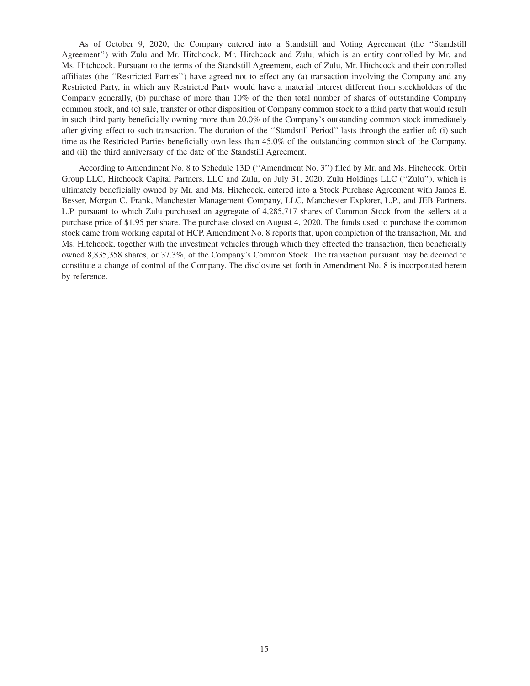As of October 9, 2020, the Company entered into a Standstill and Voting Agreement (the ''Standstill Agreement'') with Zulu and Mr. Hitchcock. Mr. Hitchcock and Zulu, which is an entity controlled by Mr. and Ms. Hitchcock. Pursuant to the terms of the Standstill Agreement, each of Zulu, Mr. Hitchcock and their controlled affiliates (the ''Restricted Parties'') have agreed not to effect any (a) transaction involving the Company and any Restricted Party, in which any Restricted Party would have a material interest different from stockholders of the Company generally, (b) purchase of more than 10% of the then total number of shares of outstanding Company common stock, and (c) sale, transfer or other disposition of Company common stock to a third party that would result in such third party beneficially owning more than 20.0% of the Company's outstanding common stock immediately after giving effect to such transaction. The duration of the ''Standstill Period'' lasts through the earlier of: (i) such time as the Restricted Parties beneficially own less than 45.0% of the outstanding common stock of the Company, and (ii) the third anniversary of the date of the Standstill Agreement.

According to Amendment No. 8 to Schedule 13D (''Amendment No. 3'') filed by Mr. and Ms. Hitchcock, Orbit Group LLC, Hitchcock Capital Partners, LLC and Zulu, on July 31, 2020, Zulu Holdings LLC (''Zulu''), which is ultimately beneficially owned by Mr. and Ms. Hitchcock, entered into a Stock Purchase Agreement with James E. Besser, Morgan C. Frank, Manchester Management Company, LLC, Manchester Explorer, L.P., and JEB Partners, L.P. pursuant to which Zulu purchased an aggregate of 4,285,717 shares of Common Stock from the sellers at a purchase price of \$1.95 per share. The purchase closed on August 4, 2020. The funds used to purchase the common stock came from working capital of HCP. Amendment No. 8 reports that, upon completion of the transaction, Mr. and Ms. Hitchcock, together with the investment vehicles through which they effected the transaction, then beneficially owned 8,835,358 shares, or 37.3%, of the Company's Common Stock. The transaction pursuant may be deemed to constitute a change of control of the Company. The disclosure set forth in Amendment No. 8 is incorporated herein by reference.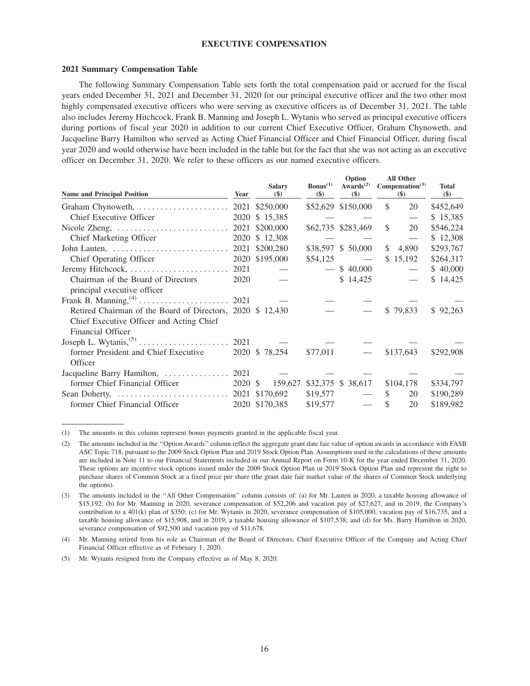## **EXECUTIVE COMPENSATION**

#### **2021 Summary Compensation Table**

The following Summary Compensation Table sets forth the total compensation paid or accrued for the fiscal years ended December 31, 2021 and December 31, 2020 for our principal executive officer and the two other most highly compensated executive officers who were serving as executive officers as of December 31, 2021. The table also includes Jeremy Hitchcock, Frank B. Manning and Joseph L. Wytanis who served as principal executive officers during portions of fiscal year 2020 in addition to our current Chief Executive Officer, Graham Chynoweth, and Jacqueline Barry Hamilton who served as Acting Chief Financial Officer and Chief Financial Officer, during fiscal year 2020 and would otherwise have been included in the table but for the fact that she was not acting as an executive officer on December 31, 2020. We refer to these officers as our named executive officers.

| <b>Name and Principal Position</b>                        | Year    | <b>Salary</b><br>\$) | $\text{Bonus}^{(1)}$<br>\$) | Option<br>Awards <sup><math>(2)</math></sup><br>\$) | All Other<br>Compensation <sup>(3)</sup><br>$(\$)$ | <b>Total</b><br>$(\$)$ |
|-----------------------------------------------------------|---------|----------------------|-----------------------------|-----------------------------------------------------|----------------------------------------------------|------------------------|
|                                                           |         |                      |                             | \$52,629 \$150,000                                  | $\mathbb{S}$<br>20                                 | \$452,649              |
| Chief Executive Officer                                   | 2020    | \$15,385             |                             |                                                     |                                                    | \$15,385               |
| Nicole Zheng,                                             | 2021    | \$200,000            |                             | \$62,735 \$283,469                                  | \$<br>20                                           | \$546,224              |
| <b>Chief Marketing Officer</b>                            | 2020    | \$12,308             |                             |                                                     | $\overbrace{\phantom{aaaaa}}$                      | \$12,308               |
|                                                           |         |                      |                             | \$38,597 \$ 50,000                                  | $\mathcal{S}$<br>4,890                             | \$293,767              |
| Chief Operating Officer                                   |         | 2020 \$195,000       | \$54,125                    | $\overline{\phantom{m}}$                            | \$15,192                                           | \$264,317              |
| Jeremy Hitchcock,                                         | 2021    |                      |                             | \$40,000                                            |                                                    | \$40,000               |
| Chairman of the Board of Directors                        | 2020    |                      |                             | \$14,425                                            |                                                    | \$14,425               |
| principal executive officer                               |         |                      |                             |                                                     |                                                    |                        |
|                                                           |         |                      |                             |                                                     |                                                    |                        |
| Retired Chairman of the Board of Directors, 2020 \$12,430 |         |                      |                             |                                                     | \$79,833                                           | \$92,263               |
| Chief Executive Officer and Acting Chief                  |         |                      |                             |                                                     |                                                    |                        |
| <b>Financial Officer</b>                                  |         |                      |                             |                                                     |                                                    |                        |
|                                                           | 2021    |                      |                             |                                                     |                                                    |                        |
| former President and Chief Executive                      |         | 2020 \$78,254        | \$77,011                    |                                                     | \$137,643                                          | \$292,908              |
| Officer                                                   |         |                      |                             |                                                     |                                                    |                        |
| Jacqueline Barry Hamilton,                                | 2021    |                      |                             |                                                     |                                                    |                        |
| former Chief Financial Officer                            | 2020 \$ | 159,627              |                             | \$32,375 \$ 38,617                                  | \$104,178                                          | \$334,797              |
|                                                           |         |                      | \$19,577                    |                                                     | $\mathcal{S}$<br>20                                | \$190,289              |
| former Chief Financial Officer                            |         | 2020 \$170,385       | \$19,577                    |                                                     | $\mathcal{S}$<br>20                                | \$189,982              |

(1) The amounts in this column represent bonus payments granted in the applicable fiscal year.

<sup>(2)</sup> The amounts included in the ''Option Awards'' column reflect the aggregate grant date fair value of option awards in accordance with FASB ASC Topic 718, pursuant to the 2009 Stock Option Plan and 2019 Stock Option Plan. Assumptions used in the calculations of these amounts are included in Note 11 to our Financial Statements included in our Annual Report on Form 10-K for the year ended December 31, 2020. These options are incentive stock options issued under the 2009 Stock Option Plan or 2019 Stock Option Plan and represent the right to purchase shares of Common Stock at a fixed price per share (the grant date fair market value of the shares of Common Stock underlying the options).

<sup>(3)</sup> The amounts included in the ''All Other Compensation'' column consists of: (a) for Mr. Lauten in 2020, a taxable housing allowance of \$15,192; (b) for Mr. Manning in 2020, severance compensation of \$52,206 and vacation pay of \$27,627, and in 2019, the Company's contribution to a 401(k) plan of \$350; (c) for Mr. Wytanis in 2020, severance compensation of \$105,000, vacation pay of \$16,735, and a taxable housing allowance of \$15,908, and in 2019, a taxable housing allowance of \$107,538; and (d) for Ms. Barry Hamilton in 2020, severance compensation of \$92,500 and vacation pay of \$11,678.

<sup>(4)</sup> Mr. Manning retired from his role as Chairman of the Board of Directors, Chief Executive Officer of the Company and Acting Chief Financial Officer effective as of February 1, 2020.

<sup>(5)</sup> Mr. Wytanis resigned from the Company effective as of May 8, 2020.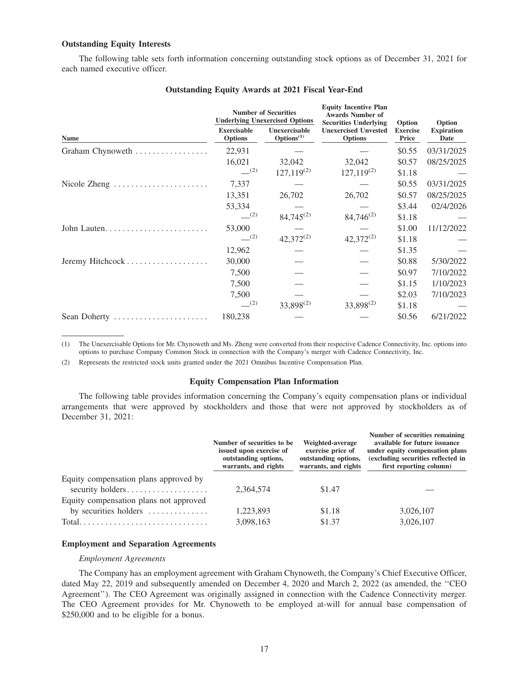## **Outstanding Equity Interests**

The following table sets forth information concerning outstanding stock options as of December 31, 2021 for each named executive officer.

|                  |                                      | <b>Number of Securities</b><br><b>Underlying Unexercised Options</b> | <b>Equity Incentive Plan</b><br><b>Awards Number of</b><br><b>Securities Underlying</b> | Option                   | Option                    |
|------------------|--------------------------------------|----------------------------------------------------------------------|-----------------------------------------------------------------------------------------|--------------------------|---------------------------|
| <b>Name</b>      | <b>Exercisable</b><br><b>Options</b> | Unexercisable<br>Options <sup>(1)</sup>                              | <b>Unexercised Unvested</b><br><b>Options</b>                                           | <b>Exercise</b><br>Price | <b>Expiration</b><br>Date |
| Graham Chynoweth | 22,931                               |                                                                      |                                                                                         | \$0.55                   | 03/31/2025                |
|                  | 16,021                               | 32,042                                                               | 32,042                                                                                  | \$0.57                   | 08/25/2025                |
|                  | (2)                                  | $127,119^{(2)}$                                                      | $127,119^{(2)}$                                                                         | \$1.18                   |                           |
| Nicole Zheng     | 7,337                                |                                                                      |                                                                                         | \$0.55                   | 03/31/2025                |
|                  | 13,351                               | 26,702                                                               | 26,702                                                                                  | \$0.57                   | 08/25/2025                |
|                  | 53,334                               |                                                                      |                                                                                         | \$3.44                   | 02/4/2026                 |
|                  | (2)                                  | $84,745^{(2)}$                                                       | $84,746^{(2)}$                                                                          | \$1.18                   |                           |
|                  | 53,000                               |                                                                      |                                                                                         | \$1.00                   | 11/12/2022                |
|                  | (2)                                  | $42,372^{(2)}$                                                       | $42,372^{(2)}$                                                                          | \$1.18                   |                           |
|                  | 12,962                               |                                                                      |                                                                                         | \$1.35                   |                           |
|                  | 30,000                               |                                                                      |                                                                                         | \$0.88                   | 5/30/2022                 |
|                  | 7,500                                |                                                                      |                                                                                         | \$0.97                   | 7/10/2022                 |
|                  | 7,500                                |                                                                      |                                                                                         | \$1.15                   | 1/10/2023                 |
|                  | 7,500                                |                                                                      |                                                                                         | \$2.03                   | 7/10/2023                 |
|                  | (2)                                  | $33,898^{(2)}$                                                       | 33,898 <sup>(2)</sup>                                                                   | \$1.18                   |                           |
| Sean Doherty     | 180,238                              |                                                                      |                                                                                         | \$0.56                   | 6/21/2022                 |
|                  |                                      |                                                                      |                                                                                         |                          |                           |

## **Outstanding Equity Awards at 2021 Fiscal Year-End**

(1) The Unexercisable Options for Mr. Chynoweth and Ms. Zheng were converted from their respective Cadence Connectivity, Inc. options into options to purchase Company Common Stock in connection with the Company's merger with Cadence Connectivity, Inc.

(2) Represents the restricted stock units granted under the 2021 Omnibus Incentive Compensation Plan.

#### **Equity Compensation Plan Information**

The following table provides information concerning the Company's equity compensation plans or individual arrangements that were approved by stockholders and those that were not approved by stockholders as of December 31, 2021:

|                                                           | Number of securities to be.<br>issued upon exercise of<br>outstanding options,<br>warrants, and rights | Weighted-average<br>exercise price of<br>outstanding options,<br>warrants, and rights | Number of securities remaining<br>available for future issuance<br>under equity compensation plans<br>(excluding securities reflected in<br>first reporting column) |
|-----------------------------------------------------------|--------------------------------------------------------------------------------------------------------|---------------------------------------------------------------------------------------|---------------------------------------------------------------------------------------------------------------------------------------------------------------------|
| Equity compensation plans approved by<br>security holders | 2.364.574                                                                                              | \$1.47                                                                                |                                                                                                                                                                     |
| Equity compensation plans not approved                    |                                                                                                        |                                                                                       |                                                                                                                                                                     |
| by securities holders $\dots\dots\dots\dots$              | 1,223,893                                                                                              | \$1.18                                                                                | 3,026,107                                                                                                                                                           |
|                                                           | 3,098,163                                                                                              | \$1.37                                                                                | 3,026,107                                                                                                                                                           |

#### **Employment and Separation Agreements**

#### *Employment Agreements*

The Company has an employment agreement with Graham Chynoweth, the Company's Chief Executive Officer, dated May 22, 2019 and subsequently amended on December 4, 2020 and March 2, 2022 (as amended, the ''CEO Agreement''). The CEO Agreement was originally assigned in connection with the Cadence Connectivity merger. The CEO Agreement provides for Mr. Chynoweth to be employed at-will for annual base compensation of \$250,000 and to be eligible for a bonus.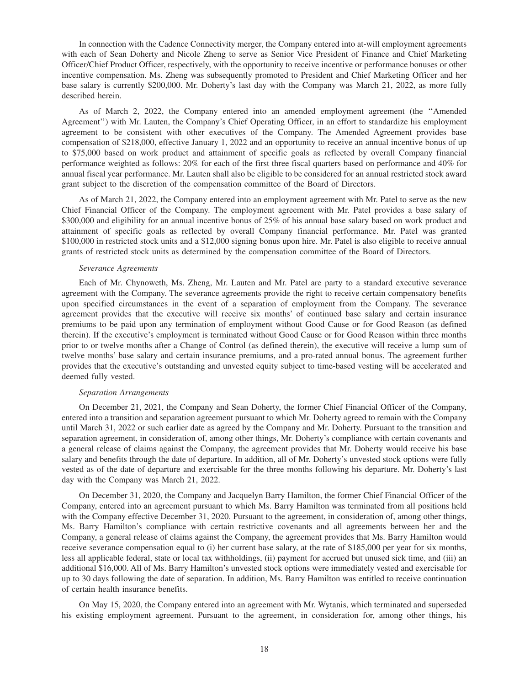In connection with the Cadence Connectivity merger, the Company entered into at-will employment agreements with each of Sean Doherty and Nicole Zheng to serve as Senior Vice President of Finance and Chief Marketing Officer/Chief Product Officer, respectively, with the opportunity to receive incentive or performance bonuses or other incentive compensation. Ms. Zheng was subsequently promoted to President and Chief Marketing Officer and her base salary is currently \$200,000. Mr. Doherty's last day with the Company was March 21, 2022, as more fully described herein.

As of March 2, 2022, the Company entered into an amended employment agreement (the ''Amended Agreement'') with Mr. Lauten, the Company's Chief Operating Officer, in an effort to standardize his employment agreement to be consistent with other executives of the Company. The Amended Agreement provides base compensation of \$218,000, effective January 1, 2022 and an opportunity to receive an annual incentive bonus of up to \$75,000 based on work product and attainment of specific goals as reflected by overall Company financial performance weighted as follows: 20% for each of the first three fiscal quarters based on performance and 40% for annual fiscal year performance. Mr. Lauten shall also be eligible to be considered for an annual restricted stock award grant subject to the discretion of the compensation committee of the Board of Directors.

As of March 21, 2022, the Company entered into an employment agreement with Mr. Patel to serve as the new Chief Financial Officer of the Company. The employment agreement with Mr. Patel provides a base salary of \$300,000 and eligibility for an annual incentive bonus of 25% of his annual base salary based on work product and attainment of specific goals as reflected by overall Company financial performance. Mr. Patel was granted \$100,000 in restricted stock units and a \$12,000 signing bonus upon hire. Mr. Patel is also eligible to receive annual grants of restricted stock units as determined by the compensation committee of the Board of Directors.

#### *Severance Agreements*

Each of Mr. Chynoweth, Ms. Zheng, Mr. Lauten and Mr. Patel are party to a standard executive severance agreement with the Company. The severance agreements provide the right to receive certain compensatory benefits upon specified circumstances in the event of a separation of employment from the Company. The severance agreement provides that the executive will receive six months' of continued base salary and certain insurance premiums to be paid upon any termination of employment without Good Cause or for Good Reason (as defined therein). If the executive's employment is terminated without Good Cause or for Good Reason within three months prior to or twelve months after a Change of Control (as defined therein), the executive will receive a lump sum of twelve months' base salary and certain insurance premiums, and a pro-rated annual bonus. The agreement further provides that the executive's outstanding and unvested equity subject to time-based vesting will be accelerated and deemed fully vested.

#### *Separation Arrangements*

On December 21, 2021, the Company and Sean Doherty, the former Chief Financial Officer of the Company, entered into a transition and separation agreement pursuant to which Mr. Doherty agreed to remain with the Company until March 31, 2022 or such earlier date as agreed by the Company and Mr. Doherty. Pursuant to the transition and separation agreement, in consideration of, among other things, Mr. Doherty's compliance with certain covenants and a general release of claims against the Company, the agreement provides that Mr. Doherty would receive his base salary and benefits through the date of departure. In addition, all of Mr. Doherty's unvested stock options were fully vested as of the date of departure and exercisable for the three months following his departure. Mr. Doherty's last day with the Company was March 21, 2022.

On December 31, 2020, the Company and Jacquelyn Barry Hamilton, the former Chief Financial Officer of the Company, entered into an agreement pursuant to which Ms. Barry Hamilton was terminated from all positions held with the Company effective December 31, 2020. Pursuant to the agreement, in consideration of, among other things, Ms. Barry Hamilton's compliance with certain restrictive covenants and all agreements between her and the Company, a general release of claims against the Company, the agreement provides that Ms. Barry Hamilton would receive severance compensation equal to (i) her current base salary, at the rate of \$185,000 per year for six months, less all applicable federal, state or local tax withholdings, (ii) payment for accrued but unused sick time, and (iii) an additional \$16,000. All of Ms. Barry Hamilton's unvested stock options were immediately vested and exercisable for up to 30 days following the date of separation. In addition, Ms. Barry Hamilton was entitled to receive continuation of certain health insurance benefits.

On May 15, 2020, the Company entered into an agreement with Mr. Wytanis, which terminated and superseded his existing employment agreement. Pursuant to the agreement, in consideration for, among other things, his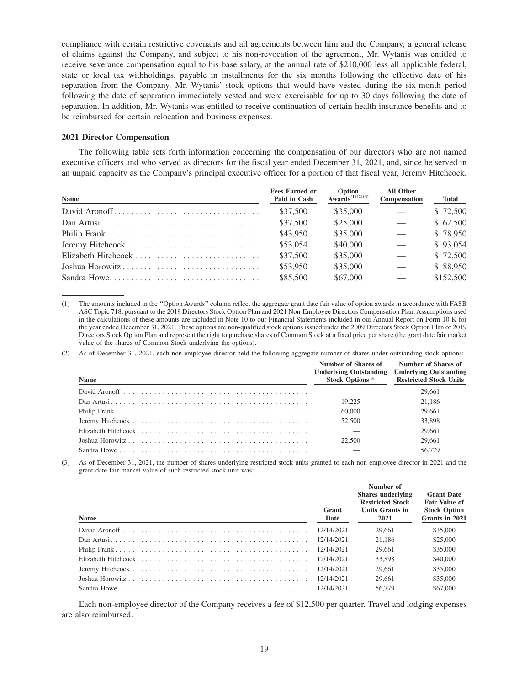compliance with certain restrictive covenants and all agreements between him and the Company, a general release of claims against the Company, and subject to his non-revocation of the agreement, Mr. Wytanis was entitled to receive severance compensation equal to his base salary, at the annual rate of \$210,000 less all applicable federal, state or local tax withholdings, payable in installments for the six months following the effective date of his separation from the Company. Mr. Wytanis' stock options that would have vested during the six-month period following the date of separation immediately vested and were exercisable for up to 30 days following the date of separation. In addition, Mr. Wytanis was entitled to receive continuation of certain health insurance benefits and to be reimbursed for certain relocation and business expenses.

## **2021 Director Compensation**

The following table sets forth information concerning the compensation of our directors who are not named executive officers and who served as directors for the fiscal year ended December 31, 2021, and, since he served in an unpaid capacity as the Company's principal executive officer for a portion of that fiscal year, Jeremy Hitchcock.

| Name            | <b>Fees Earned or</b><br>Paid in Cash | Option<br>Awards <sup><math>(1)(2)(3)</math></sup> | <b>All Other</b><br>Compensation | <b>Total</b> |
|-----------------|---------------------------------------|----------------------------------------------------|----------------------------------|--------------|
|                 | \$37.500                              | \$35,000                                           |                                  | \$72,500     |
|                 | \$37,500                              | \$25,000                                           |                                  | \$62,500     |
|                 | \$43,950                              | \$35,000                                           |                                  | \$78,950     |
|                 | \$53,054                              | \$40,000                                           |                                  | \$93.054     |
|                 | \$37,500                              | \$35,000                                           |                                  | \$72,500     |
| Joshua Horowitz | \$53,950                              | \$35,000                                           |                                  | \$88.950     |
| Sandra Howe     | \$85,500                              | \$67,000                                           |                                  | \$152,500    |

(1) The amounts included in the ''Option Awards'' column reflect the aggregate grant date fair value of option awards in accordance with FASB ASC Topic 718, pursuant to the 2019 Directors Stock Option Plan and 2021 Non-Employee Directors Compensation Plan. Assumptions used in the calculations of these amounts are included in Note 10 to our Financial Statements included in our Annual Report on Form 10-K for the year ended December 31, 2021. These options are non-qualified stock options issued under the 2009 Directors Stock Option Plan or 2019 Directors Stock Option Plan and represent the right to purchase shares of Common Stock at a fixed price per share (the grant date fair market value of the shares of Common Stock underlying the options).

(2) As of December 31, 2021, each non-employee director held the following aggregate number of shares under outstanding stock options:

| <b>Name</b> | Number of Shares of<br><b>Underlying Outstanding</b><br><b>Stock Options *</b> | Number of Shares of<br><b>Underlying Outstanding</b><br><b>Restricted Stock Units</b> |
|-------------|--------------------------------------------------------------------------------|---------------------------------------------------------------------------------------|
|             |                                                                                | 29,661                                                                                |
|             | 19.225                                                                         | 21.186                                                                                |
|             | 60,000                                                                         | 29,661                                                                                |
|             | 52,500                                                                         | 33,898                                                                                |
|             |                                                                                | 29,661                                                                                |
|             | 22.500                                                                         | 29,661                                                                                |
|             |                                                                                | 56,779                                                                                |

(3) As of December 31, 2021, the number of shares underlying restricted stock units granted to each non-employee director in 2021 and the grant date fair market value of such restricted stock unit was:

|             | Grant      | Number of<br><b>Shares</b> underlying<br><b>Restricted Stock</b><br>Units Grants in | <b>Grant Date</b><br><b>Fair Value of</b><br><b>Stock Option</b> |
|-------------|------------|-------------------------------------------------------------------------------------|------------------------------------------------------------------|
| <b>Name</b> | Date       | 2021                                                                                | Grants in 2021                                                   |
|             | 12/14/2021 | 29,661                                                                              | \$35,000                                                         |
|             | 12/14/2021 | 21.186                                                                              | \$25,000                                                         |
|             | 12/14/2021 | 29,661                                                                              | \$35,000                                                         |
|             | 12/14/2021 | 33,898                                                                              | \$40,000                                                         |
|             | 12/14/2021 | 29,661                                                                              | \$35,000                                                         |
|             | 12/14/2021 | 29,661                                                                              | \$35,000                                                         |
|             | 12/14/2021 | 56,779                                                                              | \$67,000                                                         |

Each non-employee director of the Company receives a fee of \$12,500 per quarter. Travel and lodging expenses are also reimbursed.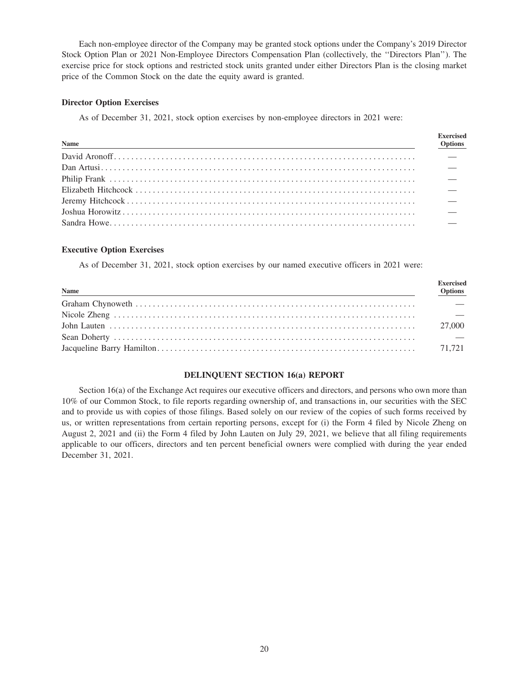Each non-employee director of the Company may be granted stock options under the Company's 2019 Director Stock Option Plan or 2021 Non-Employee Directors Compensation Plan (collectively, the ''Directors Plan''). The exercise price for stock options and restricted stock units granted under either Directors Plan is the closing market price of the Common Stock on the date the equity award is granted.

## **Director Option Exercises**

As of December 31, 2021, stock option exercises by non-employee directors in 2021 were:

| Name<br><u> 1989 - Johann Stoff, deutscher Stoffen und der Stoffen und der Stoffen und der Stoffen und der Stoffen und der</u> | <b>Exercised</b><br><b>Options</b> |
|--------------------------------------------------------------------------------------------------------------------------------|------------------------------------|
|                                                                                                                                |                                    |
|                                                                                                                                |                                    |
|                                                                                                                                |                                    |
|                                                                                                                                |                                    |
|                                                                                                                                |                                    |
|                                                                                                                                |                                    |
|                                                                                                                                |                                    |

## **Executive Option Exercises**

As of December 31, 2021, stock option exercises by our named executive officers in 2021 were:

| Name | <b>Exercised</b><br><b>Options</b> |
|------|------------------------------------|
|      |                                    |
|      |                                    |
|      | 27,000                             |
|      |                                    |
|      |                                    |

## **DELINQUENT SECTION 16(a) REPORT**

Section 16(a) of the Exchange Act requires our executive officers and directors, and persons who own more than 10% of our Common Stock, to file reports regarding ownership of, and transactions in, our securities with the SEC and to provide us with copies of those filings. Based solely on our review of the copies of such forms received by us, or written representations from certain reporting persons, except for (i) the Form 4 filed by Nicole Zheng on August 2, 2021 and (ii) the Form 4 filed by John Lauten on July 29, 2021, we believe that all filing requirements applicable to our officers, directors and ten percent beneficial owners were complied with during the year ended December 31, 2021.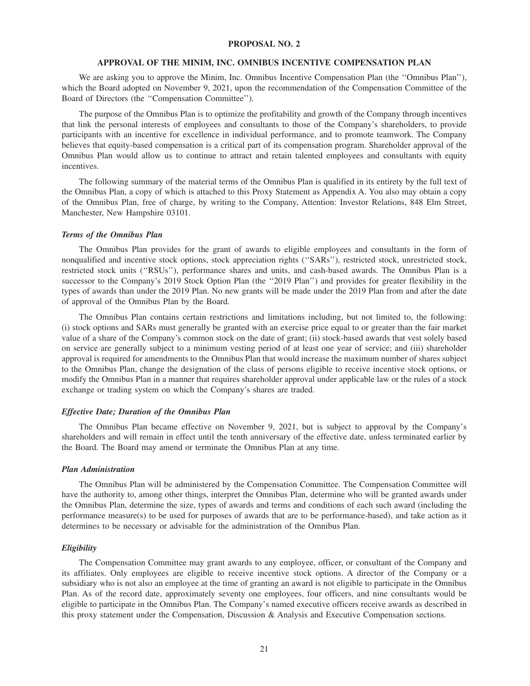#### **PROPOSAL NO. 2**

#### **APPROVAL OF THE MINIM, INC. OMNIBUS INCENTIVE COMPENSATION PLAN**

We are asking you to approve the Minim, Inc. Omnibus Incentive Compensation Plan (the "Omnibus Plan"), which the Board adopted on November 9, 2021, upon the recommendation of the Compensation Committee of the Board of Directors (the ''Compensation Committee'').

The purpose of the Omnibus Plan is to optimize the profitability and growth of the Company through incentives that link the personal interests of employees and consultants to those of the Company's shareholders, to provide participants with an incentive for excellence in individual performance, and to promote teamwork. The Company believes that equity-based compensation is a critical part of its compensation program. Shareholder approval of the Omnibus Plan would allow us to continue to attract and retain talented employees and consultants with equity incentives.

The following summary of the material terms of the Omnibus Plan is qualified in its entirety by the full text of the Omnibus Plan, a copy of which is attached to this Proxy Statement as Appendix A. You also may obtain a copy of the Omnibus Plan, free of charge, by writing to the Company, Attention: Investor Relations, 848 Elm Street, Manchester, New Hampshire 03101.

#### *Terms of the Omnibus Plan*

The Omnibus Plan provides for the grant of awards to eligible employees and consultants in the form of nonqualified and incentive stock options, stock appreciation rights (''SARs''), restricted stock, unrestricted stock, restricted stock units (''RSUs''), performance shares and units, and cash-based awards. The Omnibus Plan is a successor to the Company's 2019 Stock Option Plan (the ''2019 Plan'') and provides for greater flexibility in the types of awards than under the 2019 Plan. No new grants will be made under the 2019 Plan from and after the date of approval of the Omnibus Plan by the Board.

The Omnibus Plan contains certain restrictions and limitations including, but not limited to, the following: (i) stock options and SARs must generally be granted with an exercise price equal to or greater than the fair market value of a share of the Company's common stock on the date of grant; (ii) stock-based awards that vest solely based on service are generally subject to a minimum vesting period of at least one year of service; and (iii) shareholder approval is required for amendments to the Omnibus Plan that would increase the maximum number of shares subject to the Omnibus Plan, change the designation of the class of persons eligible to receive incentive stock options, or modify the Omnibus Plan in a manner that requires shareholder approval under applicable law or the rules of a stock exchange or trading system on which the Company's shares are traded.

#### *Effective Date; Duration of the Omnibus Plan*

The Omnibus Plan became effective on November 9, 2021, but is subject to approval by the Company's shareholders and will remain in effect until the tenth anniversary of the effective date, unless terminated earlier by the Board. The Board may amend or terminate the Omnibus Plan at any time.

#### *Plan Administration*

The Omnibus Plan will be administered by the Compensation Committee. The Compensation Committee will have the authority to, among other things, interpret the Omnibus Plan, determine who will be granted awards under the Omnibus Plan, determine the size, types of awards and terms and conditions of each such award (including the performance measure(s) to be used for purposes of awards that are to be performance-based), and take action as it determines to be necessary or advisable for the administration of the Omnibus Plan.

#### *Eligibility*

The Compensation Committee may grant awards to any employee, officer, or consultant of the Company and its affiliates. Only employees are eligible to receive incentive stock options. A director of the Company or a subsidiary who is not also an employee at the time of granting an award is not eligible to participate in the Omnibus Plan. As of the record date, approximately seventy one employees, four officers, and nine consultants would be eligible to participate in the Omnibus Plan. The Company's named executive officers receive awards as described in this proxy statement under the Compensation, Discussion & Analysis and Executive Compensation sections.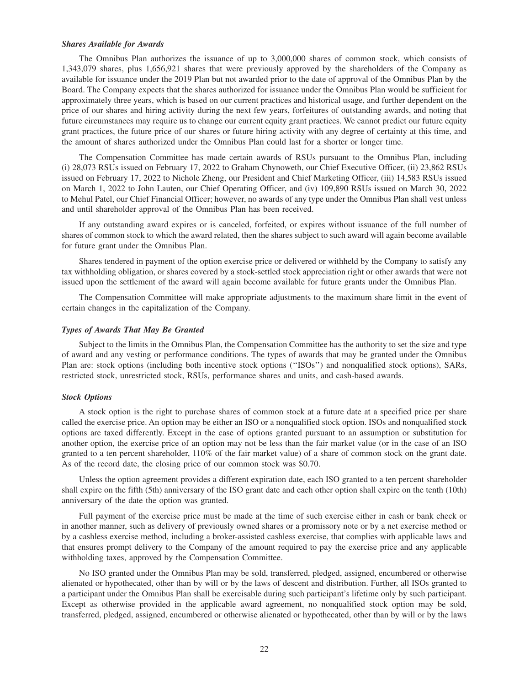#### *Shares Available for Awards*

The Omnibus Plan authorizes the issuance of up to 3,000,000 shares of common stock, which consists of 1,343,079 shares, plus 1,656,921 shares that were previously approved by the shareholders of the Company as available for issuance under the 2019 Plan but not awarded prior to the date of approval of the Omnibus Plan by the Board. The Company expects that the shares authorized for issuance under the Omnibus Plan would be sufficient for approximately three years, which is based on our current practices and historical usage, and further dependent on the price of our shares and hiring activity during the next few years, forfeitures of outstanding awards, and noting that future circumstances may require us to change our current equity grant practices. We cannot predict our future equity grant practices, the future price of our shares or future hiring activity with any degree of certainty at this time, and the amount of shares authorized under the Omnibus Plan could last for a shorter or longer time.

The Compensation Committee has made certain awards of RSUs pursuant to the Omnibus Plan, including (i) 28,073 RSUs issued on February 17, 2022 to Graham Chynoweth, our Chief Executive Officer, (ii) 23,862 RSUs issued on February 17, 2022 to Nichole Zheng, our President and Chief Marketing Officer, (iii) 14,583 RSUs issued on March 1, 2022 to John Lauten, our Chief Operating Officer, and (iv) 109,890 RSUs issued on March 30, 2022 to Mehul Patel, our Chief Financial Officer; however, no awards of any type under the Omnibus Plan shall vest unless and until shareholder approval of the Omnibus Plan has been received.

If any outstanding award expires or is canceled, forfeited, or expires without issuance of the full number of shares of common stock to which the award related, then the shares subject to such award will again become available for future grant under the Omnibus Plan.

Shares tendered in payment of the option exercise price or delivered or withheld by the Company to satisfy any tax withholding obligation, or shares covered by a stock-settled stock appreciation right or other awards that were not issued upon the settlement of the award will again become available for future grants under the Omnibus Plan.

The Compensation Committee will make appropriate adjustments to the maximum share limit in the event of certain changes in the capitalization of the Company.

#### *Types of Awards That May Be Granted*

Subject to the limits in the Omnibus Plan, the Compensation Committee has the authority to set the size and type of award and any vesting or performance conditions. The types of awards that may be granted under the Omnibus Plan are: stock options (including both incentive stock options (''ISOs'') and nonqualified stock options), SARs, restricted stock, unrestricted stock, RSUs, performance shares and units, and cash-based awards.

#### *Stock Options*

A stock option is the right to purchase shares of common stock at a future date at a specified price per share called the exercise price. An option may be either an ISO or a nonqualified stock option. ISOs and nonqualified stock options are taxed differently. Except in the case of options granted pursuant to an assumption or substitution for another option, the exercise price of an option may not be less than the fair market value (or in the case of an ISO granted to a ten percent shareholder, 110% of the fair market value) of a share of common stock on the grant date. As of the record date, the closing price of our common stock was \$0.70.

Unless the option agreement provides a different expiration date, each ISO granted to a ten percent shareholder shall expire on the fifth (5th) anniversary of the ISO grant date and each other option shall expire on the tenth (10th) anniversary of the date the option was granted.

Full payment of the exercise price must be made at the time of such exercise either in cash or bank check or in another manner, such as delivery of previously owned shares or a promissory note or by a net exercise method or by a cashless exercise method, including a broker-assisted cashless exercise, that complies with applicable laws and that ensures prompt delivery to the Company of the amount required to pay the exercise price and any applicable withholding taxes, approved by the Compensation Committee.

No ISO granted under the Omnibus Plan may be sold, transferred, pledged, assigned, encumbered or otherwise alienated or hypothecated, other than by will or by the laws of descent and distribution. Further, all ISOs granted to a participant under the Omnibus Plan shall be exercisable during such participant's lifetime only by such participant. Except as otherwise provided in the applicable award agreement, no nonqualified stock option may be sold, transferred, pledged, assigned, encumbered or otherwise alienated or hypothecated, other than by will or by the laws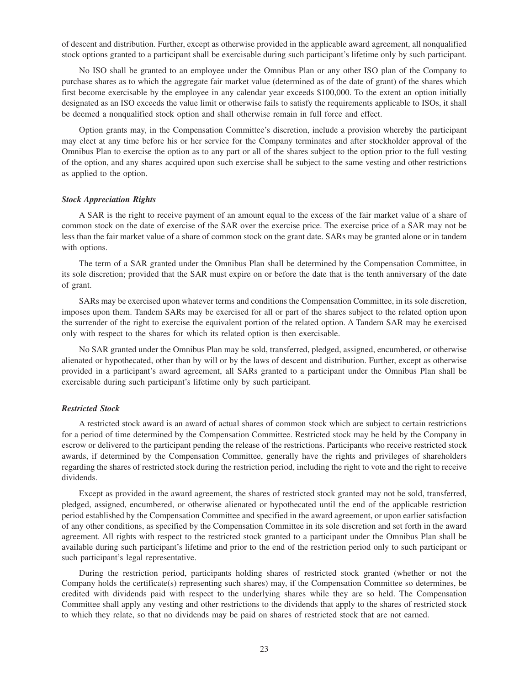of descent and distribution. Further, except as otherwise provided in the applicable award agreement, all nonqualified stock options granted to a participant shall be exercisable during such participant's lifetime only by such participant.

No ISO shall be granted to an employee under the Omnibus Plan or any other ISO plan of the Company to purchase shares as to which the aggregate fair market value (determined as of the date of grant) of the shares which first become exercisable by the employee in any calendar year exceeds \$100,000. To the extent an option initially designated as an ISO exceeds the value limit or otherwise fails to satisfy the requirements applicable to ISOs, it shall be deemed a nonqualified stock option and shall otherwise remain in full force and effect.

Option grants may, in the Compensation Committee's discretion, include a provision whereby the participant may elect at any time before his or her service for the Company terminates and after stockholder approval of the Omnibus Plan to exercise the option as to any part or all of the shares subject to the option prior to the full vesting of the option, and any shares acquired upon such exercise shall be subject to the same vesting and other restrictions as applied to the option.

#### *Stock Appreciation Rights*

A SAR is the right to receive payment of an amount equal to the excess of the fair market value of a share of common stock on the date of exercise of the SAR over the exercise price. The exercise price of a SAR may not be less than the fair market value of a share of common stock on the grant date. SARs may be granted alone or in tandem with options.

The term of a SAR granted under the Omnibus Plan shall be determined by the Compensation Committee, in its sole discretion; provided that the SAR must expire on or before the date that is the tenth anniversary of the date of grant.

SARs may be exercised upon whatever terms and conditions the Compensation Committee, in its sole discretion, imposes upon them. Tandem SARs may be exercised for all or part of the shares subject to the related option upon the surrender of the right to exercise the equivalent portion of the related option. A Tandem SAR may be exercised only with respect to the shares for which its related option is then exercisable.

No SAR granted under the Omnibus Plan may be sold, transferred, pledged, assigned, encumbered, or otherwise alienated or hypothecated, other than by will or by the laws of descent and distribution. Further, except as otherwise provided in a participant's award agreement, all SARs granted to a participant under the Omnibus Plan shall be exercisable during such participant's lifetime only by such participant.

## *Restricted Stock*

A restricted stock award is an award of actual shares of common stock which are subject to certain restrictions for a period of time determined by the Compensation Committee. Restricted stock may be held by the Company in escrow or delivered to the participant pending the release of the restrictions. Participants who receive restricted stock awards, if determined by the Compensation Committee, generally have the rights and privileges of shareholders regarding the shares of restricted stock during the restriction period, including the right to vote and the right to receive dividends.

Except as provided in the award agreement, the shares of restricted stock granted may not be sold, transferred, pledged, assigned, encumbered, or otherwise alienated or hypothecated until the end of the applicable restriction period established by the Compensation Committee and specified in the award agreement, or upon earlier satisfaction of any other conditions, as specified by the Compensation Committee in its sole discretion and set forth in the award agreement. All rights with respect to the restricted stock granted to a participant under the Omnibus Plan shall be available during such participant's lifetime and prior to the end of the restriction period only to such participant or such participant's legal representative.

During the restriction period, participants holding shares of restricted stock granted (whether or not the Company holds the certificate(s) representing such shares) may, if the Compensation Committee so determines, be credited with dividends paid with respect to the underlying shares while they are so held. The Compensation Committee shall apply any vesting and other restrictions to the dividends that apply to the shares of restricted stock to which they relate, so that no dividends may be paid on shares of restricted stock that are not earned.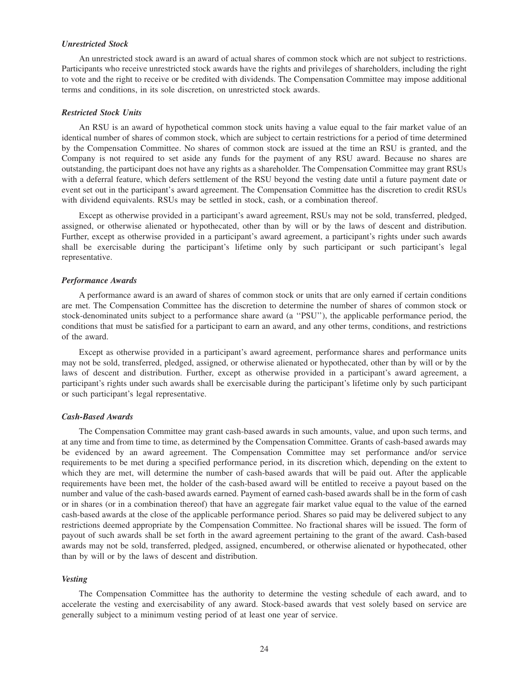## *Unrestricted Stock*

An unrestricted stock award is an award of actual shares of common stock which are not subject to restrictions. Participants who receive unrestricted stock awards have the rights and privileges of shareholders, including the right to vote and the right to receive or be credited with dividends. The Compensation Committee may impose additional terms and conditions, in its sole discretion, on unrestricted stock awards.

#### *Restricted Stock Units*

An RSU is an award of hypothetical common stock units having a value equal to the fair market value of an identical number of shares of common stock, which are subject to certain restrictions for a period of time determined by the Compensation Committee. No shares of common stock are issued at the time an RSU is granted, and the Company is not required to set aside any funds for the payment of any RSU award. Because no shares are outstanding, the participant does not have any rights as a shareholder. The Compensation Committee may grant RSUs with a deferral feature, which defers settlement of the RSU beyond the vesting date until a future payment date or event set out in the participant's award agreement. The Compensation Committee has the discretion to credit RSUs with dividend equivalents. RSUs may be settled in stock, cash, or a combination thereof.

Except as otherwise provided in a participant's award agreement, RSUs may not be sold, transferred, pledged, assigned, or otherwise alienated or hypothecated, other than by will or by the laws of descent and distribution. Further, except as otherwise provided in a participant's award agreement, a participant's rights under such awards shall be exercisable during the participant's lifetime only by such participant or such participant's legal representative.

#### *Performance Awards*

A performance award is an award of shares of common stock or units that are only earned if certain conditions are met. The Compensation Committee has the discretion to determine the number of shares of common stock or stock-denominated units subject to a performance share award (a ''PSU''), the applicable performance period, the conditions that must be satisfied for a participant to earn an award, and any other terms, conditions, and restrictions of the award.

Except as otherwise provided in a participant's award agreement, performance shares and performance units may not be sold, transferred, pledged, assigned, or otherwise alienated or hypothecated, other than by will or by the laws of descent and distribution. Further, except as otherwise provided in a participant's award agreement, a participant's rights under such awards shall be exercisable during the participant's lifetime only by such participant or such participant's legal representative.

#### *Cash-Based Awards*

The Compensation Committee may grant cash-based awards in such amounts, value, and upon such terms, and at any time and from time to time, as determined by the Compensation Committee. Grants of cash-based awards may be evidenced by an award agreement. The Compensation Committee may set performance and/or service requirements to be met during a specified performance period, in its discretion which, depending on the extent to which they are met, will determine the number of cash-based awards that will be paid out. After the applicable requirements have been met, the holder of the cash-based award will be entitled to receive a payout based on the number and value of the cash-based awards earned. Payment of earned cash-based awards shall be in the form of cash or in shares (or in a combination thereof) that have an aggregate fair market value equal to the value of the earned cash-based awards at the close of the applicable performance period. Shares so paid may be delivered subject to any restrictions deemed appropriate by the Compensation Committee. No fractional shares will be issued. The form of payout of such awards shall be set forth in the award agreement pertaining to the grant of the award. Cash-based awards may not be sold, transferred, pledged, assigned, encumbered, or otherwise alienated or hypothecated, other than by will or by the laws of descent and distribution.

#### *Vesting*

The Compensation Committee has the authority to determine the vesting schedule of each award, and to accelerate the vesting and exercisability of any award. Stock-based awards that vest solely based on service are generally subject to a minimum vesting period of at least one year of service.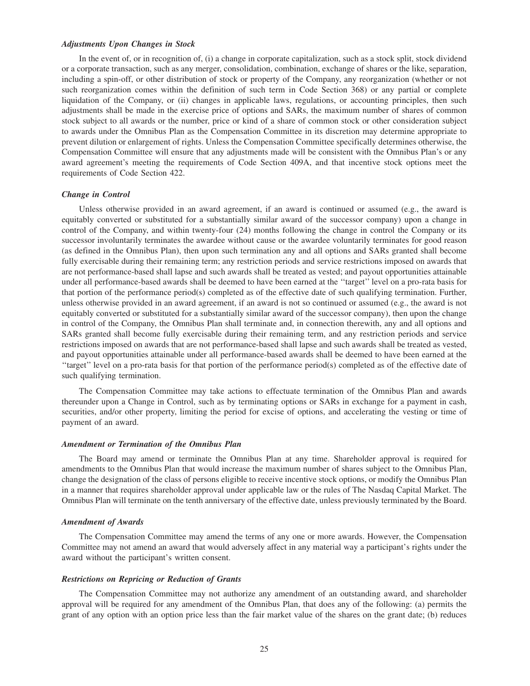#### *Adjustments Upon Changes in Stock*

In the event of, or in recognition of, (i) a change in corporate capitalization, such as a stock split, stock dividend or a corporate transaction, such as any merger, consolidation, combination, exchange of shares or the like, separation, including a spin-off, or other distribution of stock or property of the Company, any reorganization (whether or not such reorganization comes within the definition of such term in Code Section 368) or any partial or complete liquidation of the Company, or (ii) changes in applicable laws, regulations, or accounting principles, then such adjustments shall be made in the exercise price of options and SARs, the maximum number of shares of common stock subject to all awards or the number, price or kind of a share of common stock or other consideration subject to awards under the Omnibus Plan as the Compensation Committee in its discretion may determine appropriate to prevent dilution or enlargement of rights. Unless the Compensation Committee specifically determines otherwise, the Compensation Committee will ensure that any adjustments made will be consistent with the Omnibus Plan's or any award agreement's meeting the requirements of Code Section 409A, and that incentive stock options meet the requirements of Code Section 422.

## *Change in Control*

Unless otherwise provided in an award agreement, if an award is continued or assumed (e.g., the award is equitably converted or substituted for a substantially similar award of the successor company) upon a change in control of the Company, and within twenty-four (24) months following the change in control the Company or its successor involuntarily terminates the awardee without cause or the awardee voluntarily terminates for good reason (as defined in the Omnibus Plan), then upon such termination any and all options and SARs granted shall become fully exercisable during their remaining term; any restriction periods and service restrictions imposed on awards that are not performance-based shall lapse and such awards shall be treated as vested; and payout opportunities attainable under all performance-based awards shall be deemed to have been earned at the ''target'' level on a pro-rata basis for that portion of the performance period(s) completed as of the effective date of such qualifying termination. Further, unless otherwise provided in an award agreement, if an award is not so continued or assumed (e.g., the award is not equitably converted or substituted for a substantially similar award of the successor company), then upon the change in control of the Company, the Omnibus Plan shall terminate and, in connection therewith, any and all options and SARs granted shall become fully exercisable during their remaining term, and any restriction periods and service restrictions imposed on awards that are not performance-based shall lapse and such awards shall be treated as vested, and payout opportunities attainable under all performance-based awards shall be deemed to have been earned at the ''target'' level on a pro-rata basis for that portion of the performance period(s) completed as of the effective date of such qualifying termination.

The Compensation Committee may take actions to effectuate termination of the Omnibus Plan and awards thereunder upon a Change in Control, such as by terminating options or SARs in exchange for a payment in cash, securities, and/or other property, limiting the period for excise of options, and accelerating the vesting or time of payment of an award.

#### *Amendment or Termination of the Omnibus Plan*

The Board may amend or terminate the Omnibus Plan at any time. Shareholder approval is required for amendments to the Omnibus Plan that would increase the maximum number of shares subject to the Omnibus Plan, change the designation of the class of persons eligible to receive incentive stock options, or modify the Omnibus Plan in a manner that requires shareholder approval under applicable law or the rules of The Nasdaq Capital Market. The Omnibus Plan will terminate on the tenth anniversary of the effective date, unless previously terminated by the Board.

#### *Amendment of Awards*

The Compensation Committee may amend the terms of any one or more awards. However, the Compensation Committee may not amend an award that would adversely affect in any material way a participant's rights under the award without the participant's written consent.

#### *Restrictions on Repricing or Reduction of Grants*

The Compensation Committee may not authorize any amendment of an outstanding award, and shareholder approval will be required for any amendment of the Omnibus Plan, that does any of the following: (a) permits the grant of any option with an option price less than the fair market value of the shares on the grant date; (b) reduces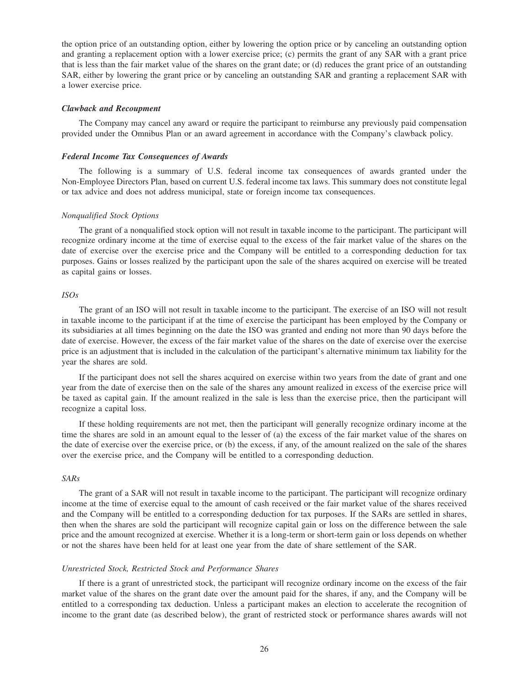the option price of an outstanding option, either by lowering the option price or by canceling an outstanding option and granting a replacement option with a lower exercise price; (c) permits the grant of any SAR with a grant price that is less than the fair market value of the shares on the grant date; or (d) reduces the grant price of an outstanding SAR, either by lowering the grant price or by canceling an outstanding SAR and granting a replacement SAR with a lower exercise price.

#### *Clawback and Recoupment*

The Company may cancel any award or require the participant to reimburse any previously paid compensation provided under the Omnibus Plan or an award agreement in accordance with the Company's clawback policy.

## *Federal Income Tax Consequences of Awards*

The following is a summary of U.S. federal income tax consequences of awards granted under the Non-Employee Directors Plan, based on current U.S. federal income tax laws. This summary does not constitute legal or tax advice and does not address municipal, state or foreign income tax consequences.

#### *Nonqualified Stock Options*

The grant of a nonqualified stock option will not result in taxable income to the participant. The participant will recognize ordinary income at the time of exercise equal to the excess of the fair market value of the shares on the date of exercise over the exercise price and the Company will be entitled to a corresponding deduction for tax purposes. Gains or losses realized by the participant upon the sale of the shares acquired on exercise will be treated as capital gains or losses.

## *ISOs*

The grant of an ISO will not result in taxable income to the participant. The exercise of an ISO will not result in taxable income to the participant if at the time of exercise the participant has been employed by the Company or its subsidiaries at all times beginning on the date the ISO was granted and ending not more than 90 days before the date of exercise. However, the excess of the fair market value of the shares on the date of exercise over the exercise price is an adjustment that is included in the calculation of the participant's alternative minimum tax liability for the year the shares are sold.

If the participant does not sell the shares acquired on exercise within two years from the date of grant and one year from the date of exercise then on the sale of the shares any amount realized in excess of the exercise price will be taxed as capital gain. If the amount realized in the sale is less than the exercise price, then the participant will recognize a capital loss.

If these holding requirements are not met, then the participant will generally recognize ordinary income at the time the shares are sold in an amount equal to the lesser of (a) the excess of the fair market value of the shares on the date of exercise over the exercise price, or (b) the excess, if any, of the amount realized on the sale of the shares over the exercise price, and the Company will be entitled to a corresponding deduction.

## *SARs*

The grant of a SAR will not result in taxable income to the participant. The participant will recognize ordinary income at the time of exercise equal to the amount of cash received or the fair market value of the shares received and the Company will be entitled to a corresponding deduction for tax purposes. If the SARs are settled in shares, then when the shares are sold the participant will recognize capital gain or loss on the difference between the sale price and the amount recognized at exercise. Whether it is a long-term or short-term gain or loss depends on whether or not the shares have been held for at least one year from the date of share settlement of the SAR.

#### *Unrestricted Stock, Restricted Stock and Performance Shares*

If there is a grant of unrestricted stock, the participant will recognize ordinary income on the excess of the fair market value of the shares on the grant date over the amount paid for the shares, if any, and the Company will be entitled to a corresponding tax deduction. Unless a participant makes an election to accelerate the recognition of income to the grant date (as described below), the grant of restricted stock or performance shares awards will not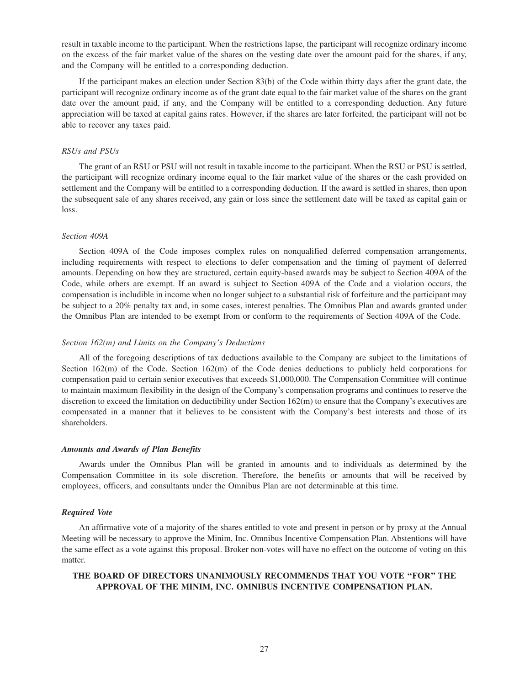result in taxable income to the participant. When the restrictions lapse, the participant will recognize ordinary income on the excess of the fair market value of the shares on the vesting date over the amount paid for the shares, if any, and the Company will be entitled to a corresponding deduction.

If the participant makes an election under Section 83(b) of the Code within thirty days after the grant date, the participant will recognize ordinary income as of the grant date equal to the fair market value of the shares on the grant date over the amount paid, if any, and the Company will be entitled to a corresponding deduction. Any future appreciation will be taxed at capital gains rates. However, if the shares are later forfeited, the participant will not be able to recover any taxes paid.

#### *RSUs and PSUs*

The grant of an RSU or PSU will not result in taxable income to the participant. When the RSU or PSU is settled, the participant will recognize ordinary income equal to the fair market value of the shares or the cash provided on settlement and the Company will be entitled to a corresponding deduction. If the award is settled in shares, then upon the subsequent sale of any shares received, any gain or loss since the settlement date will be taxed as capital gain or loss.

#### *Section 409A*

Section 409A of the Code imposes complex rules on nonqualified deferred compensation arrangements, including requirements with respect to elections to defer compensation and the timing of payment of deferred amounts. Depending on how they are structured, certain equity-based awards may be subject to Section 409A of the Code, while others are exempt. If an award is subject to Section 409A of the Code and a violation occurs, the compensation is includible in income when no longer subject to a substantial risk of forfeiture and the participant may be subject to a 20% penalty tax and, in some cases, interest penalties. The Omnibus Plan and awards granted under the Omnibus Plan are intended to be exempt from or conform to the requirements of Section 409A of the Code.

#### *Section 162(m) and Limits on the Company's Deductions*

All of the foregoing descriptions of tax deductions available to the Company are subject to the limitations of Section 162(m) of the Code. Section 162(m) of the Code denies deductions to publicly held corporations for compensation paid to certain senior executives that exceeds \$1,000,000. The Compensation Committee will continue to maintain maximum flexibility in the design of the Company's compensation programs and continues to reserve the discretion to exceed the limitation on deductibility under Section 162(m) to ensure that the Company's executives are compensated in a manner that it believes to be consistent with the Company's best interests and those of its shareholders.

#### *Amounts and Awards of Plan Benefits*

Awards under the Omnibus Plan will be granted in amounts and to individuals as determined by the Compensation Committee in its sole discretion. Therefore, the benefits or amounts that will be received by employees, officers, and consultants under the Omnibus Plan are not determinable at this time.

#### *Required Vote*

An affirmative vote of a majority of the shares entitled to vote and present in person or by proxy at the Annual Meeting will be necessary to approve the Minim, Inc. Omnibus Incentive Compensation Plan. Abstentions will have the same effect as a vote against this proposal. Broker non-votes will have no effect on the outcome of voting on this matter.

## **THE BOARD OF DIRECTORS UNANIMOUSLY RECOMMENDS THAT YOU VOTE ''FOR'' THE APPROVAL OF THE MINIM, INC. OMNIBUS INCENTIVE COMPENSATION PLAN.**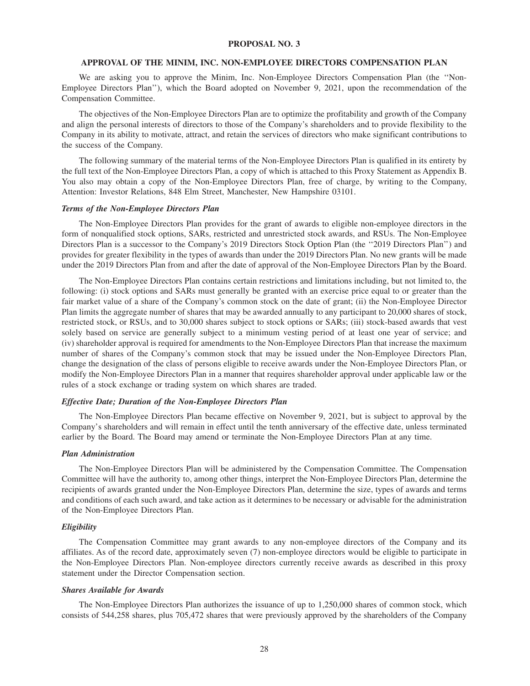#### **PROPOSAL NO. 3**

#### **APPROVAL OF THE MINIM, INC. NON-EMPLOYEE DIRECTORS COMPENSATION PLAN**

We are asking you to approve the Minim, Inc. Non-Employee Directors Compensation Plan (the ''Non-Employee Directors Plan''), which the Board adopted on November 9, 2021, upon the recommendation of the Compensation Committee.

The objectives of the Non-Employee Directors Plan are to optimize the profitability and growth of the Company and align the personal interests of directors to those of the Company's shareholders and to provide flexibility to the Company in its ability to motivate, attract, and retain the services of directors who make significant contributions to the success of the Company.

The following summary of the material terms of the Non-Employee Directors Plan is qualified in its entirety by the full text of the Non-Employee Directors Plan, a copy of which is attached to this Proxy Statement as Appendix B. You also may obtain a copy of the Non-Employee Directors Plan, free of charge, by writing to the Company, Attention: Investor Relations, 848 Elm Street, Manchester, New Hampshire 03101.

#### *Terms of the Non-Employee Directors Plan*

The Non-Employee Directors Plan provides for the grant of awards to eligible non-employee directors in the form of nonqualified stock options, SARs, restricted and unrestricted stock awards, and RSUs. The Non-Employee Directors Plan is a successor to the Company's 2019 Directors Stock Option Plan (the ''2019 Directors Plan'') and provides for greater flexibility in the types of awards than under the 2019 Directors Plan. No new grants will be made under the 2019 Directors Plan from and after the date of approval of the Non-Employee Directors Plan by the Board.

The Non-Employee Directors Plan contains certain restrictions and limitations including, but not limited to, the following: (i) stock options and SARs must generally be granted with an exercise price equal to or greater than the fair market value of a share of the Company's common stock on the date of grant; (ii) the Non-Employee Director Plan limits the aggregate number of shares that may be awarded annually to any participant to 20,000 shares of stock, restricted stock, or RSUs, and to 30,000 shares subject to stock options or SARs; (iii) stock-based awards that vest solely based on service are generally subject to a minimum vesting period of at least one year of service; and (iv) shareholder approval is required for amendments to the Non-Employee Directors Plan that increase the maximum number of shares of the Company's common stock that may be issued under the Non-Employee Directors Plan, change the designation of the class of persons eligible to receive awards under the Non-Employee Directors Plan, or modify the Non-Employee Directors Plan in a manner that requires shareholder approval under applicable law or the rules of a stock exchange or trading system on which shares are traded.

#### *Effective Date; Duration of the Non-Employee Directors Plan*

The Non-Employee Directors Plan became effective on November 9, 2021, but is subject to approval by the Company's shareholders and will remain in effect until the tenth anniversary of the effective date, unless terminated earlier by the Board. The Board may amend or terminate the Non-Employee Directors Plan at any time.

#### *Plan Administration*

The Non-Employee Directors Plan will be administered by the Compensation Committee. The Compensation Committee will have the authority to, among other things, interpret the Non-Employee Directors Plan, determine the recipients of awards granted under the Non-Employee Directors Plan, determine the size, types of awards and terms and conditions of each such award, and take action as it determines to be necessary or advisable for the administration of the Non-Employee Directors Plan.

#### *Eligibility*

The Compensation Committee may grant awards to any non-employee directors of the Company and its affiliates. As of the record date, approximately seven (7) non-employee directors would be eligible to participate in the Non-Employee Directors Plan. Non-employee directors currently receive awards as described in this proxy statement under the Director Compensation section.

#### *Shares Available for Awards*

The Non-Employee Directors Plan authorizes the issuance of up to 1,250,000 shares of common stock, which consists of 544,258 shares, plus 705,472 shares that were previously approved by the shareholders of the Company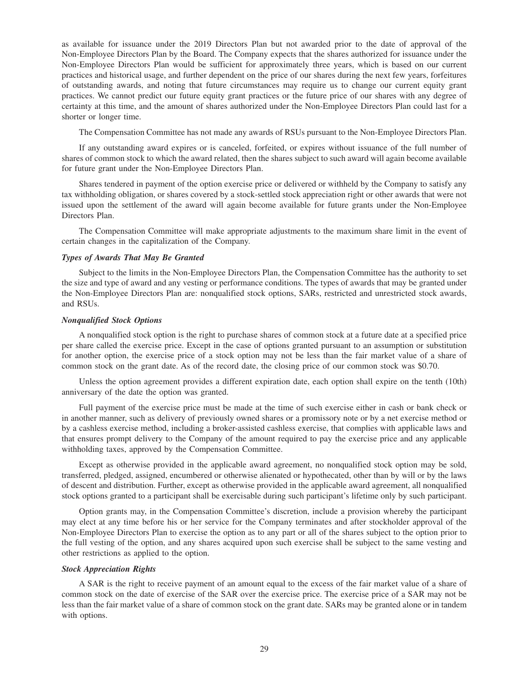as available for issuance under the 2019 Directors Plan but not awarded prior to the date of approval of the Non-Employee Directors Plan by the Board. The Company expects that the shares authorized for issuance under the Non-Employee Directors Plan would be sufficient for approximately three years, which is based on our current practices and historical usage, and further dependent on the price of our shares during the next few years, forfeitures of outstanding awards, and noting that future circumstances may require us to change our current equity grant practices. We cannot predict our future equity grant practices or the future price of our shares with any degree of certainty at this time, and the amount of shares authorized under the Non-Employee Directors Plan could last for a shorter or longer time.

The Compensation Committee has not made any awards of RSUs pursuant to the Non-Employee Directors Plan.

If any outstanding award expires or is canceled, forfeited, or expires without issuance of the full number of shares of common stock to which the award related, then the shares subject to such award will again become available for future grant under the Non-Employee Directors Plan.

Shares tendered in payment of the option exercise price or delivered or withheld by the Company to satisfy any tax withholding obligation, or shares covered by a stock-settled stock appreciation right or other awards that were not issued upon the settlement of the award will again become available for future grants under the Non-Employee Directors Plan.

The Compensation Committee will make appropriate adjustments to the maximum share limit in the event of certain changes in the capitalization of the Company.

## *Types of Awards That May Be Granted*

Subject to the limits in the Non-Employee Directors Plan, the Compensation Committee has the authority to set the size and type of award and any vesting or performance conditions. The types of awards that may be granted under the Non-Employee Directors Plan are: nonqualified stock options, SARs, restricted and unrestricted stock awards, and RSUs.

#### *Nonqualified Stock Options*

A nonqualified stock option is the right to purchase shares of common stock at a future date at a specified price per share called the exercise price. Except in the case of options granted pursuant to an assumption or substitution for another option, the exercise price of a stock option may not be less than the fair market value of a share of common stock on the grant date. As of the record date, the closing price of our common stock was \$0.70.

Unless the option agreement provides a different expiration date, each option shall expire on the tenth (10th) anniversary of the date the option was granted.

Full payment of the exercise price must be made at the time of such exercise either in cash or bank check or in another manner, such as delivery of previously owned shares or a promissory note or by a net exercise method or by a cashless exercise method, including a broker-assisted cashless exercise, that complies with applicable laws and that ensures prompt delivery to the Company of the amount required to pay the exercise price and any applicable withholding taxes, approved by the Compensation Committee.

Except as otherwise provided in the applicable award agreement, no nonqualified stock option may be sold, transferred, pledged, assigned, encumbered or otherwise alienated or hypothecated, other than by will or by the laws of descent and distribution. Further, except as otherwise provided in the applicable award agreement, all nonqualified stock options granted to a participant shall be exercisable during such participant's lifetime only by such participant.

Option grants may, in the Compensation Committee's discretion, include a provision whereby the participant may elect at any time before his or her service for the Company terminates and after stockholder approval of the Non-Employee Directors Plan to exercise the option as to any part or all of the shares subject to the option prior to the full vesting of the option, and any shares acquired upon such exercise shall be subject to the same vesting and other restrictions as applied to the option.

## *Stock Appreciation Rights*

A SAR is the right to receive payment of an amount equal to the excess of the fair market value of a share of common stock on the date of exercise of the SAR over the exercise price. The exercise price of a SAR may not be less than the fair market value of a share of common stock on the grant date. SARs may be granted alone or in tandem with options.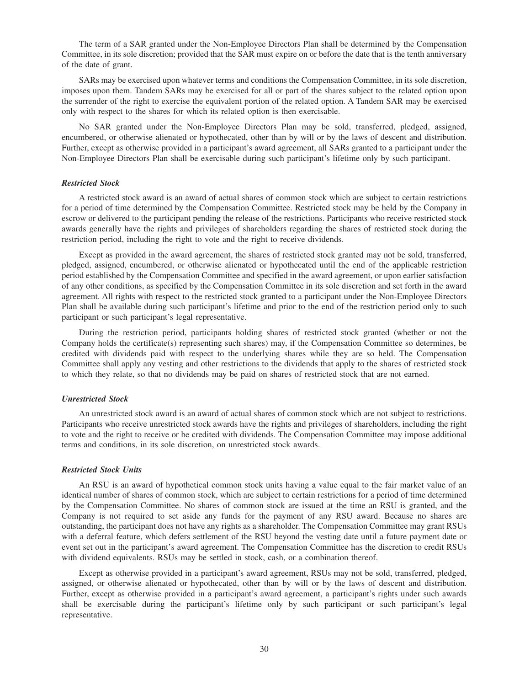The term of a SAR granted under the Non-Employee Directors Plan shall be determined by the Compensation Committee, in its sole discretion; provided that the SAR must expire on or before the date that is the tenth anniversary of the date of grant.

SARs may be exercised upon whatever terms and conditions the Compensation Committee, in its sole discretion, imposes upon them. Tandem SARs may be exercised for all or part of the shares subject to the related option upon the surrender of the right to exercise the equivalent portion of the related option. A Tandem SAR may be exercised only with respect to the shares for which its related option is then exercisable.

No SAR granted under the Non-Employee Directors Plan may be sold, transferred, pledged, assigned, encumbered, or otherwise alienated or hypothecated, other than by will or by the laws of descent and distribution. Further, except as otherwise provided in a participant's award agreement, all SARs granted to a participant under the Non-Employee Directors Plan shall be exercisable during such participant's lifetime only by such participant.

#### *Restricted Stock*

A restricted stock award is an award of actual shares of common stock which are subject to certain restrictions for a period of time determined by the Compensation Committee. Restricted stock may be held by the Company in escrow or delivered to the participant pending the release of the restrictions. Participants who receive restricted stock awards generally have the rights and privileges of shareholders regarding the shares of restricted stock during the restriction period, including the right to vote and the right to receive dividends.

Except as provided in the award agreement, the shares of restricted stock granted may not be sold, transferred, pledged, assigned, encumbered, or otherwise alienated or hypothecated until the end of the applicable restriction period established by the Compensation Committee and specified in the award agreement, or upon earlier satisfaction of any other conditions, as specified by the Compensation Committee in its sole discretion and set forth in the award agreement. All rights with respect to the restricted stock granted to a participant under the Non-Employee Directors Plan shall be available during such participant's lifetime and prior to the end of the restriction period only to such participant or such participant's legal representative.

During the restriction period, participants holding shares of restricted stock granted (whether or not the Company holds the certificate(s) representing such shares) may, if the Compensation Committee so determines, be credited with dividends paid with respect to the underlying shares while they are so held. The Compensation Committee shall apply any vesting and other restrictions to the dividends that apply to the shares of restricted stock to which they relate, so that no dividends may be paid on shares of restricted stock that are not earned.

#### *Unrestricted Stock*

An unrestricted stock award is an award of actual shares of common stock which are not subject to restrictions. Participants who receive unrestricted stock awards have the rights and privileges of shareholders, including the right to vote and the right to receive or be credited with dividends. The Compensation Committee may impose additional terms and conditions, in its sole discretion, on unrestricted stock awards.

#### *Restricted Stock Units*

An RSU is an award of hypothetical common stock units having a value equal to the fair market value of an identical number of shares of common stock, which are subject to certain restrictions for a period of time determined by the Compensation Committee. No shares of common stock are issued at the time an RSU is granted, and the Company is not required to set aside any funds for the payment of any RSU award. Because no shares are outstanding, the participant does not have any rights as a shareholder. The Compensation Committee may grant RSUs with a deferral feature, which defers settlement of the RSU beyond the vesting date until a future payment date or event set out in the participant's award agreement. The Compensation Committee has the discretion to credit RSUs with dividend equivalents. RSUs may be settled in stock, cash, or a combination thereof.

Except as otherwise provided in a participant's award agreement, RSUs may not be sold, transferred, pledged, assigned, or otherwise alienated or hypothecated, other than by will or by the laws of descent and distribution. Further, except as otherwise provided in a participant's award agreement, a participant's rights under such awards shall be exercisable during the participant's lifetime only by such participant or such participant's legal representative.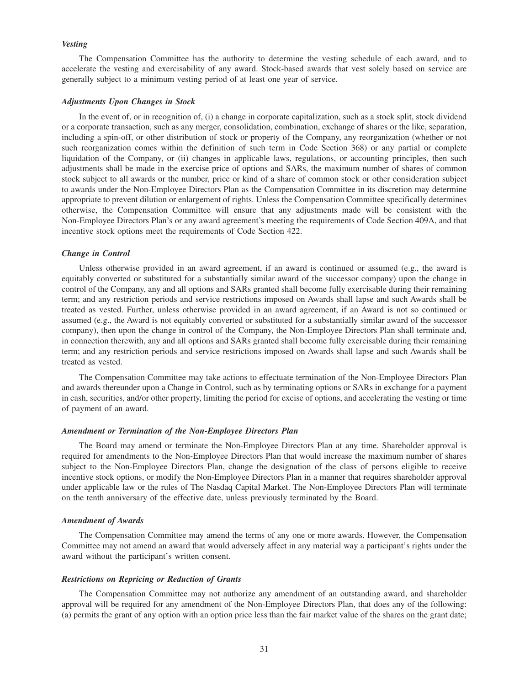#### *Vesting*

The Compensation Committee has the authority to determine the vesting schedule of each award, and to accelerate the vesting and exercisability of any award. Stock-based awards that vest solely based on service are generally subject to a minimum vesting period of at least one year of service.

#### *Adjustments Upon Changes in Stock*

In the event of, or in recognition of, (i) a change in corporate capitalization, such as a stock split, stock dividend or a corporate transaction, such as any merger, consolidation, combination, exchange of shares or the like, separation, including a spin-off, or other distribution of stock or property of the Company, any reorganization (whether or not such reorganization comes within the definition of such term in Code Section 368) or any partial or complete liquidation of the Company, or (ii) changes in applicable laws, regulations, or accounting principles, then such adjustments shall be made in the exercise price of options and SARs, the maximum number of shares of common stock subject to all awards or the number, price or kind of a share of common stock or other consideration subject to awards under the Non-Employee Directors Plan as the Compensation Committee in its discretion may determine appropriate to prevent dilution or enlargement of rights. Unless the Compensation Committee specifically determines otherwise, the Compensation Committee will ensure that any adjustments made will be consistent with the Non-Employee Directors Plan's or any award agreement's meeting the requirements of Code Section 409A, and that incentive stock options meet the requirements of Code Section 422.

#### *Change in Control*

Unless otherwise provided in an award agreement, if an award is continued or assumed (e.g., the award is equitably converted or substituted for a substantially similar award of the successor company) upon the change in control of the Company, any and all options and SARs granted shall become fully exercisable during their remaining term; and any restriction periods and service restrictions imposed on Awards shall lapse and such Awards shall be treated as vested. Further, unless otherwise provided in an award agreement, if an Award is not so continued or assumed (e.g., the Award is not equitably converted or substituted for a substantially similar award of the successor company), then upon the change in control of the Company, the Non-Employee Directors Plan shall terminate and, in connection therewith, any and all options and SARs granted shall become fully exercisable during their remaining term; and any restriction periods and service restrictions imposed on Awards shall lapse and such Awards shall be treated as vested.

The Compensation Committee may take actions to effectuate termination of the Non-Employee Directors Plan and awards thereunder upon a Change in Control, such as by terminating options or SARs in exchange for a payment in cash, securities, and/or other property, limiting the period for excise of options, and accelerating the vesting or time of payment of an award.

#### *Amendment or Termination of the Non-Employee Directors Plan*

The Board may amend or terminate the Non-Employee Directors Plan at any time. Shareholder approval is required for amendments to the Non-Employee Directors Plan that would increase the maximum number of shares subject to the Non-Employee Directors Plan, change the designation of the class of persons eligible to receive incentive stock options, or modify the Non-Employee Directors Plan in a manner that requires shareholder approval under applicable law or the rules of The Nasdaq Capital Market. The Non-Employee Directors Plan will terminate on the tenth anniversary of the effective date, unless previously terminated by the Board.

#### *Amendment of Awards*

The Compensation Committee may amend the terms of any one or more awards. However, the Compensation Committee may not amend an award that would adversely affect in any material way a participant's rights under the award without the participant's written consent.

#### *Restrictions on Repricing or Reduction of Grants*

The Compensation Committee may not authorize any amendment of an outstanding award, and shareholder approval will be required for any amendment of the Non-Employee Directors Plan, that does any of the following: (a) permits the grant of any option with an option price less than the fair market value of the shares on the grant date;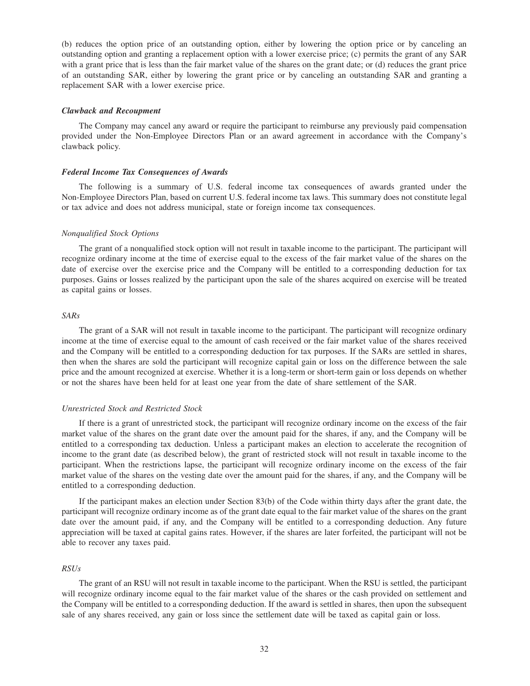(b) reduces the option price of an outstanding option, either by lowering the option price or by canceling an outstanding option and granting a replacement option with a lower exercise price; (c) permits the grant of any SAR with a grant price that is less than the fair market value of the shares on the grant date; or (d) reduces the grant price of an outstanding SAR, either by lowering the grant price or by canceling an outstanding SAR and granting a replacement SAR with a lower exercise price.

#### *Clawback and Recoupment*

The Company may cancel any award or require the participant to reimburse any previously paid compensation provided under the Non-Employee Directors Plan or an award agreement in accordance with the Company's clawback policy.

#### *Federal Income Tax Consequences of Awards*

The following is a summary of U.S. federal income tax consequences of awards granted under the Non-Employee Directors Plan, based on current U.S. federal income tax laws. This summary does not constitute legal or tax advice and does not address municipal, state or foreign income tax consequences.

## *Nonqualified Stock Options*

The grant of a nonqualified stock option will not result in taxable income to the participant. The participant will recognize ordinary income at the time of exercise equal to the excess of the fair market value of the shares on the date of exercise over the exercise price and the Company will be entitled to a corresponding deduction for tax purposes. Gains or losses realized by the participant upon the sale of the shares acquired on exercise will be treated as capital gains or losses.

#### *SARs*

The grant of a SAR will not result in taxable income to the participant. The participant will recognize ordinary income at the time of exercise equal to the amount of cash received or the fair market value of the shares received and the Company will be entitled to a corresponding deduction for tax purposes. If the SARs are settled in shares, then when the shares are sold the participant will recognize capital gain or loss on the difference between the sale price and the amount recognized at exercise. Whether it is a long-term or short-term gain or loss depends on whether or not the shares have been held for at least one year from the date of share settlement of the SAR.

#### *Unrestricted Stock and Restricted Stock*

If there is a grant of unrestricted stock, the participant will recognize ordinary income on the excess of the fair market value of the shares on the grant date over the amount paid for the shares, if any, and the Company will be entitled to a corresponding tax deduction. Unless a participant makes an election to accelerate the recognition of income to the grant date (as described below), the grant of restricted stock will not result in taxable income to the participant. When the restrictions lapse, the participant will recognize ordinary income on the excess of the fair market value of the shares on the vesting date over the amount paid for the shares, if any, and the Company will be entitled to a corresponding deduction.

If the participant makes an election under Section 83(b) of the Code within thirty days after the grant date, the participant will recognize ordinary income as of the grant date equal to the fair market value of the shares on the grant date over the amount paid, if any, and the Company will be entitled to a corresponding deduction. Any future appreciation will be taxed at capital gains rates. However, if the shares are later forfeited, the participant will not be able to recover any taxes paid.

#### *RSUs*

The grant of an RSU will not result in taxable income to the participant. When the RSU is settled, the participant will recognize ordinary income equal to the fair market value of the shares or the cash provided on settlement and the Company will be entitled to a corresponding deduction. If the award is settled in shares, then upon the subsequent sale of any shares received, any gain or loss since the settlement date will be taxed as capital gain or loss.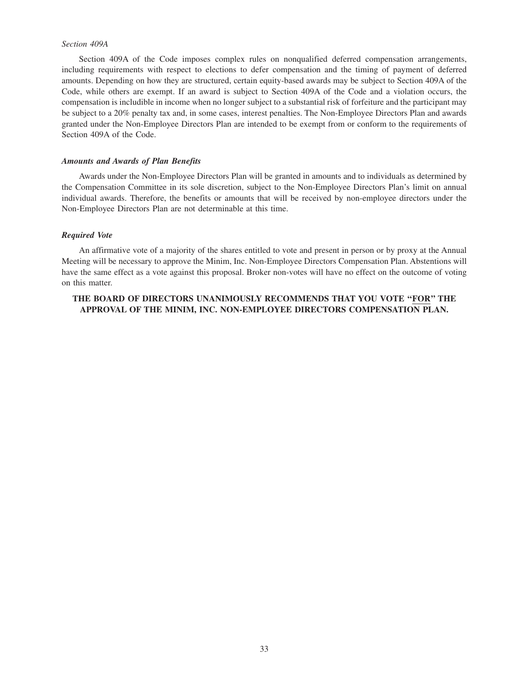## *Section 409A*

Section 409A of the Code imposes complex rules on nonqualified deferred compensation arrangements, including requirements with respect to elections to defer compensation and the timing of payment of deferred amounts. Depending on how they are structured, certain equity-based awards may be subject to Section 409A of the Code, while others are exempt. If an award is subject to Section 409A of the Code and a violation occurs, the compensation is includible in income when no longer subject to a substantial risk of forfeiture and the participant may be subject to a 20% penalty tax and, in some cases, interest penalties. The Non-Employee Directors Plan and awards granted under the Non-Employee Directors Plan are intended to be exempt from or conform to the requirements of Section 409A of the Code.

## *Amounts and Awards of Plan Benefits*

Awards under the Non-Employee Directors Plan will be granted in amounts and to individuals as determined by the Compensation Committee in its sole discretion, subject to the Non-Employee Directors Plan's limit on annual individual awards. Therefore, the benefits or amounts that will be received by non-employee directors under the Non-Employee Directors Plan are not determinable at this time.

#### *Required Vote*

An affirmative vote of a majority of the shares entitled to vote and present in person or by proxy at the Annual Meeting will be necessary to approve the Minim, Inc. Non-Employee Directors Compensation Plan. Abstentions will have the same effect as a vote against this proposal. Broker non-votes will have no effect on the outcome of voting on this matter.

# **THE BOARD OF DIRECTORS UNANIMOUSLY RECOMMENDS THAT YOU VOTE ''FOR'' THE APPROVAL OF THE MINIM, INC. NON-EMPLOYEE DIRECTORS COMPENSATION PLAN.**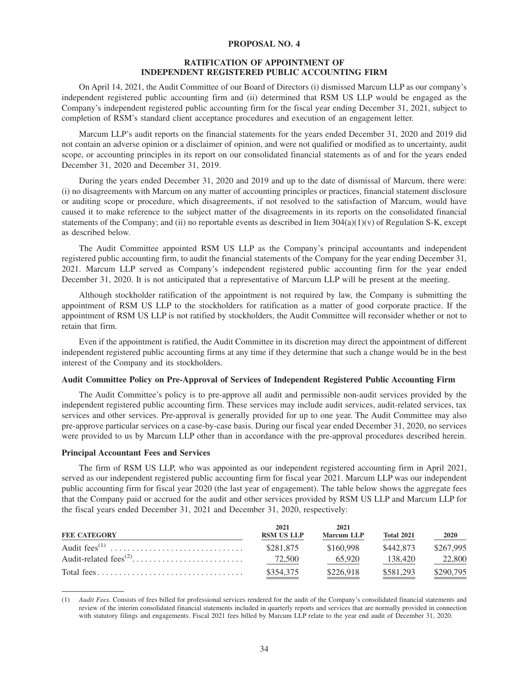## **PROPOSAL NO. 4**

## **RATIFICATION OF APPOINTMENT OF INDEPENDENT REGISTERED PUBLIC ACCOUNTING FIRM**

On April 14, 2021, the Audit Committee of our Board of Directors (i) dismissed Marcum LLP as our company's independent registered public accounting firm and (ii) determined that RSM US LLP would be engaged as the Company's independent registered public accounting firm for the fiscal year ending December 31, 2021, subject to completion of RSM's standard client acceptance procedures and execution of an engagement letter.

Marcum LLP's audit reports on the financial statements for the years ended December 31, 2020 and 2019 did not contain an adverse opinion or a disclaimer of opinion, and were not qualified or modified as to uncertainty, audit scope, or accounting principles in its report on our consolidated financial statements as of and for the years ended December 31, 2020 and December 31, 2019.

During the years ended December 31, 2020 and 2019 and up to the date of dismissal of Marcum, there were: (i) no disagreements with Marcum on any matter of accounting principles or practices, financial statement disclosure or auditing scope or procedure, which disagreements, if not resolved to the satisfaction of Marcum, would have caused it to make reference to the subject matter of the disagreements in its reports on the consolidated financial statements of the Company; and (ii) no reportable events as described in Item  $304(a)(1)(v)$  of Regulation S-K, except as described below.

The Audit Committee appointed RSM US LLP as the Company's principal accountants and independent registered public accounting firm, to audit the financial statements of the Company for the year ending December 31, 2021. Marcum LLP served as Company's independent registered public accounting firm for the year ended December 31, 2020. It is not anticipated that a representative of Marcum LLP will be present at the meeting.

Although stockholder ratification of the appointment is not required by law, the Company is submitting the appointment of RSM US LLP to the stockholders for ratification as a matter of good corporate practice. If the appointment of RSM US LLP is not ratified by stockholders, the Audit Committee will reconsider whether or not to retain that firm.

Even if the appointment is ratified, the Audit Committee in its discretion may direct the appointment of different independent registered public accounting firms at any time if they determine that such a change would be in the best interest of the Company and its stockholders.

#### **Audit Committee Policy on Pre-Approval of Services of Independent Registered Public Accounting Firm**

The Audit Committee's policy is to pre-approve all audit and permissible non-audit services provided by the independent registered public accounting firm. These services may include audit services, audit-related services, tax services and other services. Pre-approval is generally provided for up to one year. The Audit Committee may also pre-approve particular services on a case-by-case basis. During our fiscal year ended December 31, 2020, no services were provided to us by Marcum LLP other than in accordance with the pre-approval procedures described herein.

## **Principal Accountant Fees and Services**

The firm of RSM US LLP, who was appointed as our independent registered accounting firm in April 2021, served as our independent registered public accounting firm for fiscal year 2021. Marcum LLP was our independent public accounting firm for fiscal year 2020 (the last year of engagement). The table below shows the aggregate fees that the Company paid or accrued for the audit and other services provided by RSM US LLP and Marcum LLP for the fiscal years ended December 31, 2021 and December 31, 2020, respectively:

| <b>FEE CATEGORY</b> | 2021<br><b>RSM US LLP</b> | 2021<br><b>Marcum LLP</b> | <b>Total 2021</b> | 2020      |
|---------------------|---------------------------|---------------------------|-------------------|-----------|
|                     | \$281.875                 | \$160.998                 | \$442.873         | \$267,995 |
|                     | 72,500                    | 65,920                    | 138,420           | 22,800    |
|                     | \$354,375                 | \$226,918                 | \$581,293         | \$290,795 |

<sup>(1)</sup> *Audit Fees.* Consists of fees billed for professional services rendered for the audit of the Company's consolidated financial statements and review of the interim consolidated financial statements included in quarterly reports and services that are normally provided in connection with statutory filings and engagements. Fiscal 2021 fees billed by Marcum LLP relate to the year end audit of December 31, 2020.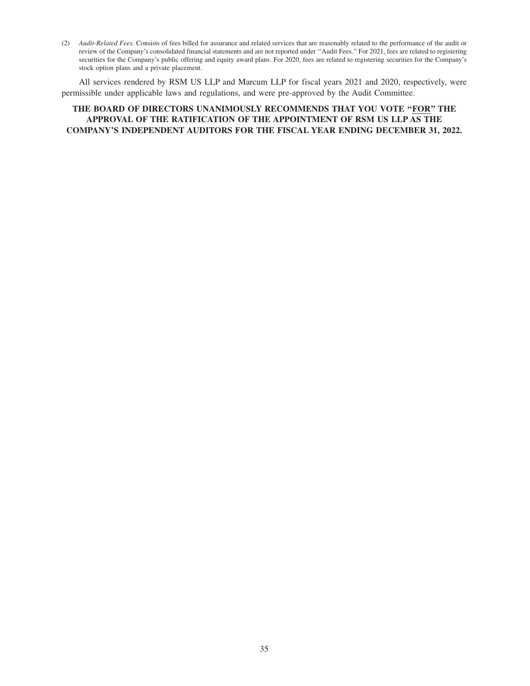(2) *Audit-Related Fees.* Consists of fees billed for assurance and related services that are reasonably related to the performance of the audit or review of the Company's consolidated financial statements and are not reported under ''Audit Fees.'' For 2021, fees are related to registering securities for the Company's public offering and equity award plans. For 2020, fees are related to registering securities for the Company's stock option plans and a private placement.

All services rendered by RSM US LLP and Marcum LLP for fiscal years 2021 and 2020, respectively, were permissible under applicable laws and regulations, and were pre-approved by the Audit Committee.

# **THE BOARD OF DIRECTORS UNANIMOUSLY RECOMMENDS THAT YOU VOTE ''FOR'' THE APPROVAL OF THE RATIFICATION OF THE APPOINTMENT OF RSM US LLP AS THE COMPANY'S INDEPENDENT AUDITORS FOR THE FISCAL YEAR ENDING DECEMBER 31, 2022.**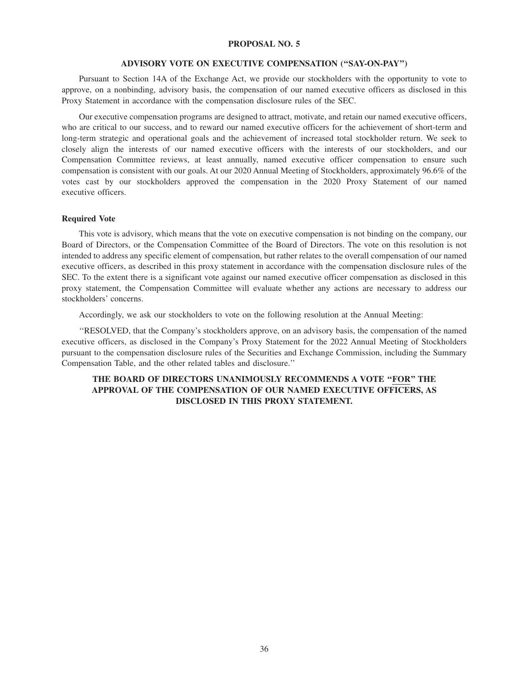## **PROPOSAL NO. 5**

#### **ADVISORY VOTE ON EXECUTIVE COMPENSATION (''SAY-ON-PAY'')**

Pursuant to Section 14A of the Exchange Act, we provide our stockholders with the opportunity to vote to approve, on a nonbinding, advisory basis, the compensation of our named executive officers as disclosed in this Proxy Statement in accordance with the compensation disclosure rules of the SEC.

Our executive compensation programs are designed to attract, motivate, and retain our named executive officers, who are critical to our success, and to reward our named executive officers for the achievement of short-term and long-term strategic and operational goals and the achievement of increased total stockholder return. We seek to closely align the interests of our named executive officers with the interests of our stockholders, and our Compensation Committee reviews, at least annually, named executive officer compensation to ensure such compensation is consistent with our goals. At our 2020 Annual Meeting of Stockholders, approximately 96.6% of the votes cast by our stockholders approved the compensation in the 2020 Proxy Statement of our named executive officers.

## **Required Vote**

This vote is advisory, which means that the vote on executive compensation is not binding on the company, our Board of Directors, or the Compensation Committee of the Board of Directors. The vote on this resolution is not intended to address any specific element of compensation, but rather relates to the overall compensation of our named executive officers, as described in this proxy statement in accordance with the compensation disclosure rules of the SEC. To the extent there is a significant vote against our named executive officer compensation as disclosed in this proxy statement, the Compensation Committee will evaluate whether any actions are necessary to address our stockholders' concerns.

Accordingly, we ask our stockholders to vote on the following resolution at the Annual Meeting:

''RESOLVED, that the Company's stockholders approve, on an advisory basis, the compensation of the named executive officers, as disclosed in the Company's Proxy Statement for the 2022 Annual Meeting of Stockholders pursuant to the compensation disclosure rules of the Securities and Exchange Commission, including the Summary Compensation Table, and the other related tables and disclosure.''

# **THE BOARD OF DIRECTORS UNANIMOUSLY RECOMMENDS A VOTE ''FOR'' THE APPROVAL OF THE COMPENSATION OF OUR NAMED EXECUTIVE OFFICERS, AS DISCLOSED IN THIS PROXY STATEMENT.**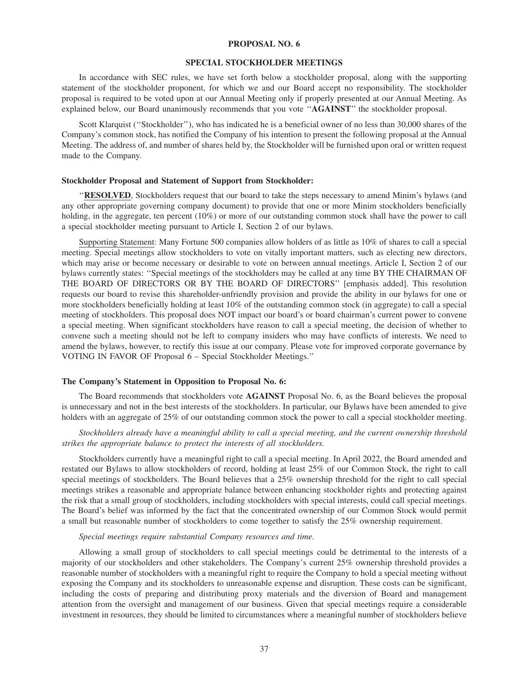#### **PROPOSAL NO. 6**

#### **SPECIAL STOCKHOLDER MEETINGS**

In accordance with SEC rules, we have set forth below a stockholder proposal, along with the supporting statement of the stockholder proponent, for which we and our Board accept no responsibility. The stockholder proposal is required to be voted upon at our Annual Meeting only if properly presented at our Annual Meeting. As explained below, our Board unanimously recommends that you vote ''**AGAINST**'' the stockholder proposal.

Scott Klarquist (''Stockholder''), who has indicated he is a beneficial owner of no less than 30,000 shares of the Company's common stock, has notified the Company of his intention to present the following proposal at the Annual Meeting. The address of, and number of shares held by, the Stockholder will be furnished upon oral or written request made to the Company.

## **Stockholder Proposal and Statement of Support from Stockholder:**

''**RESOLVED**, Stockholders request that our board to take the steps necessary to amend Minim's bylaws (and any other appropriate governing company document) to provide that one or more Minim stockholders beneficially holding, in the aggregate, ten percent (10%) or more of our outstanding common stock shall have the power to call a special stockholder meeting pursuant to Article I, Section 2 of our bylaws.

Supporting Statement: Many Fortune 500 companies allow holders of as little as 10% of shares to call a special meeting. Special meetings allow stockholders to vote on vitally important matters, such as electing new directors, which may arise or become necessary or desirable to vote on between annual meetings. Article I, Section 2 of our bylaws currently states: ''Special meetings of the stockholders may be called at any time BY THE CHAIRMAN OF THE BOARD OF DIRECTORS OR BY THE BOARD OF DIRECTORS'' [emphasis added]. This resolution requests our board to revise this shareholder-unfriendly provision and provide the ability in our bylaws for one or more stockholders beneficially holding at least 10% of the outstanding common stock (in aggregate) to call a special meeting of stockholders. This proposal does NOT impact our board's or board chairman's current power to convene a special meeting. When significant stockholders have reason to call a special meeting, the decision of whether to convene such a meeting should not be left to company insiders who may have conflicts of interests. We need to amend the bylaws, however, to rectify this issue at our company. Please vote for improved corporate governance by VOTING IN FAVOR OF Proposal 6 – Special Stockholder Meetings.''

## **The Company's Statement in Opposition to Proposal No. 6:**

The Board recommends that stockholders vote **AGAINST** Proposal No. 6, as the Board believes the proposal is unnecessary and not in the best interests of the stockholders. In particular, our Bylaws have been amended to give holders with an aggregate of 25% of our outstanding common stock the power to call a special stockholder meeting.

# *Stockholders already have a meaningful ability to call a special meeting, and the current ownership threshold strikes the appropriate balance to protect the interests of all stockholders.*

Stockholders currently have a meaningful right to call a special meeting. In April 2022, the Board amended and restated our Bylaws to allow stockholders of record, holding at least 25% of our Common Stock, the right to call special meetings of stockholders. The Board believes that a 25% ownership threshold for the right to call special meetings strikes a reasonable and appropriate balance between enhancing stockholder rights and protecting against the risk that a small group of stockholders, including stockholders with special interests, could call special meetings. The Board's belief was informed by the fact that the concentrated ownership of our Common Stock would permit a small but reasonable number of stockholders to come together to satisfy the 25% ownership requirement.

#### *Special meetings require substantial Company resources and time.*

Allowing a small group of stockholders to call special meetings could be detrimental to the interests of a majority of our stockholders and other stakeholders. The Company's current 25% ownership threshold provides a reasonable number of stockholders with a meaningful right to require the Company to hold a special meeting without exposing the Company and its stockholders to unreasonable expense and disruption. These costs can be significant, including the costs of preparing and distributing proxy materials and the diversion of Board and management attention from the oversight and management of our business. Given that special meetings require a considerable investment in resources, they should be limited to circumstances where a meaningful number of stockholders believe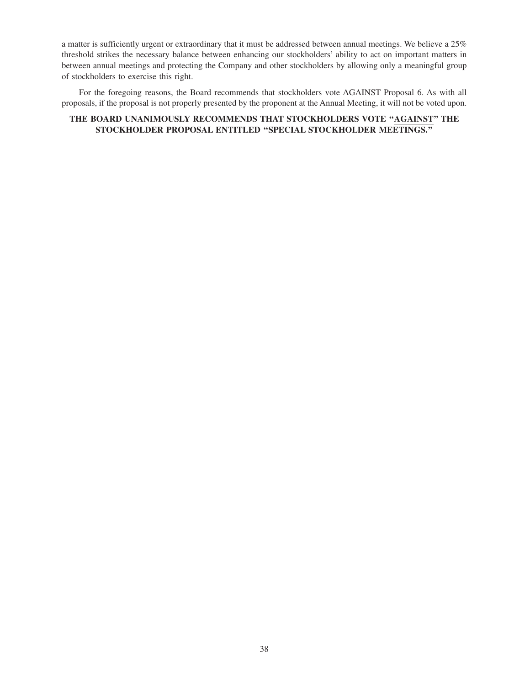a matter is sufficiently urgent or extraordinary that it must be addressed between annual meetings. We believe a 25% threshold strikes the necessary balance between enhancing our stockholders' ability to act on important matters in between annual meetings and protecting the Company and other stockholders by allowing only a meaningful group of stockholders to exercise this right.

For the foregoing reasons, the Board recommends that stockholders vote AGAINST Proposal 6. As with all proposals, if the proposal is not properly presented by the proponent at the Annual Meeting, it will not be voted upon.

# **THE BOARD UNANIMOUSLY RECOMMENDS THAT STOCKHOLDERS VOTE ''AGAINST'' THE STOCKHOLDER PROPOSAL ENTITLED ''SPECIAL STOCKHOLDER MEETINGS.''**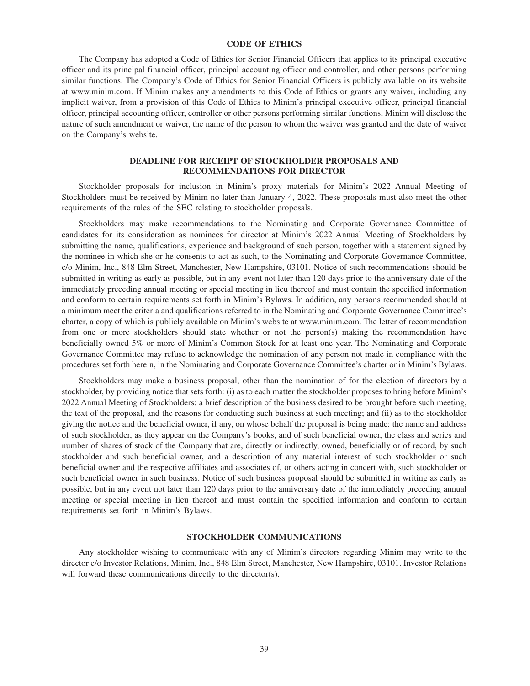## **CODE OF ETHICS**

The Company has adopted a Code of Ethics for Senior Financial Officers that applies to its principal executive officer and its principal financial officer, principal accounting officer and controller, and other persons performing similar functions. The Company's Code of Ethics for Senior Financial Officers is publicly available on its website at www.minim.com. If Minim makes any amendments to this Code of Ethics or grants any waiver, including any implicit waiver, from a provision of this Code of Ethics to Minim's principal executive officer, principal financial officer, principal accounting officer, controller or other persons performing similar functions, Minim will disclose the nature of such amendment or waiver, the name of the person to whom the waiver was granted and the date of waiver on the Company's website.

## **DEADLINE FOR RECEIPT OF STOCKHOLDER PROPOSALS AND RECOMMENDATIONS FOR DIRECTOR**

Stockholder proposals for inclusion in Minim's proxy materials for Minim's 2022 Annual Meeting of Stockholders must be received by Minim no later than January 4, 2022. These proposals must also meet the other requirements of the rules of the SEC relating to stockholder proposals.

Stockholders may make recommendations to the Nominating and Corporate Governance Committee of candidates for its consideration as nominees for director at Minim's 2022 Annual Meeting of Stockholders by submitting the name, qualifications, experience and background of such person, together with a statement signed by the nominee in which she or he consents to act as such, to the Nominating and Corporate Governance Committee, c/o Minim, Inc., 848 Elm Street, Manchester, New Hampshire, 03101. Notice of such recommendations should be submitted in writing as early as possible, but in any event not later than 120 days prior to the anniversary date of the immediately preceding annual meeting or special meeting in lieu thereof and must contain the specified information and conform to certain requirements set forth in Minim's Bylaws. In addition, any persons recommended should at a minimum meet the criteria and qualifications referred to in the Nominating and Corporate Governance Committee's charter, a copy of which is publicly available on Minim's website at www.minim.com. The letter of recommendation from one or more stockholders should state whether or not the person(s) making the recommendation have beneficially owned 5% or more of Minim's Common Stock for at least one year. The Nominating and Corporate Governance Committee may refuse to acknowledge the nomination of any person not made in compliance with the procedures set forth herein, in the Nominating and Corporate Governance Committee's charter or in Minim's Bylaws.

Stockholders may make a business proposal, other than the nomination of for the election of directors by a stockholder, by providing notice that sets forth: (i) as to each matter the stockholder proposes to bring before Minim's 2022 Annual Meeting of Stockholders: a brief description of the business desired to be brought before such meeting, the text of the proposal, and the reasons for conducting such business at such meeting; and (ii) as to the stockholder giving the notice and the beneficial owner, if any, on whose behalf the proposal is being made: the name and address of such stockholder, as they appear on the Company's books, and of such beneficial owner, the class and series and number of shares of stock of the Company that are, directly or indirectly, owned, beneficially or of record, by such stockholder and such beneficial owner, and a description of any material interest of such stockholder or such beneficial owner and the respective affiliates and associates of, or others acting in concert with, such stockholder or such beneficial owner in such business. Notice of such business proposal should be submitted in writing as early as possible, but in any event not later than 120 days prior to the anniversary date of the immediately preceding annual meeting or special meeting in lieu thereof and must contain the specified information and conform to certain requirements set forth in Minim's Bylaws.

#### **STOCKHOLDER COMMUNICATIONS**

Any stockholder wishing to communicate with any of Minim's directors regarding Minim may write to the director c/o Investor Relations, Minim, Inc., 848 Elm Street, Manchester, New Hampshire, 03101. Investor Relations will forward these communications directly to the director(s).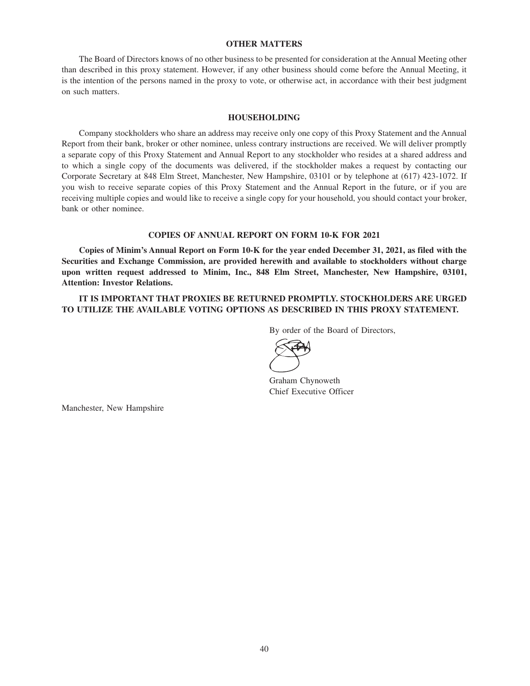## **OTHER MATTERS**

The Board of Directors knows of no other business to be presented for consideration at the Annual Meeting other than described in this proxy statement. However, if any other business should come before the Annual Meeting, it is the intention of the persons named in the proxy to vote, or otherwise act, in accordance with their best judgment on such matters.

#### **HOUSEHOLDING**

Company stockholders who share an address may receive only one copy of this Proxy Statement and the Annual Report from their bank, broker or other nominee, unless contrary instructions are received. We will deliver promptly a separate copy of this Proxy Statement and Annual Report to any stockholder who resides at a shared address and to which a single copy of the documents was delivered, if the stockholder makes a request by contacting our Corporate Secretary at 848 Elm Street, Manchester, New Hampshire, 03101 or by telephone at (617) 423-1072. If you wish to receive separate copies of this Proxy Statement and the Annual Report in the future, or if you are receiving multiple copies and would like to receive a single copy for your household, you should contact your broker, bank or other nominee.

#### **COPIES OF ANNUAL REPORT ON FORM 10-K FOR 2021**

**Copies of Minim's Annual Report on Form 10-K for the year ended December 31, 2021, as filed with the Securities and Exchange Commission, are provided herewith and available to stockholders without charge upon written request addressed to Minim, Inc., 848 Elm Street, Manchester, New Hampshire, 03101, Attention: Investor Relations.**

**IT IS IMPORTANT THAT PROXIES BE RETURNED PROMPTLY. STOCKHOLDERS ARE URGED TO UTILIZE THE AVAILABLE VOTING OPTIONS AS DESCRIBED IN THIS PROXY STATEMENT.**

By order of the Board of Directors,

Graham Chynoweth Chief Executive Officer

Manchester, New Hampshire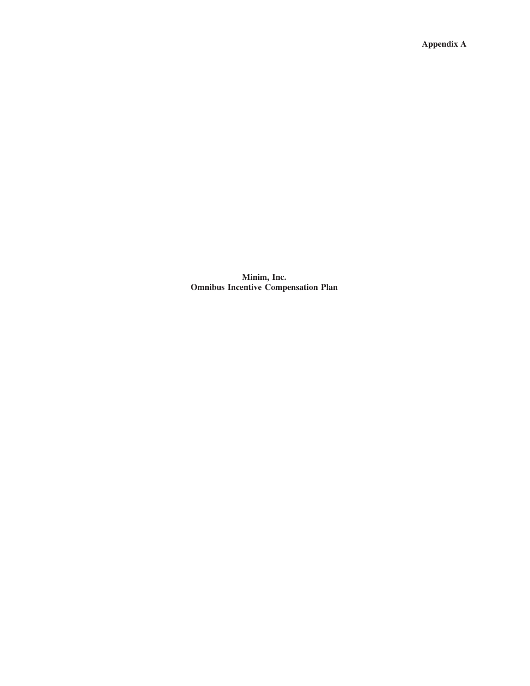**Appendix A**

**Minim, Inc. Omnibus Incentive Compensation Plan**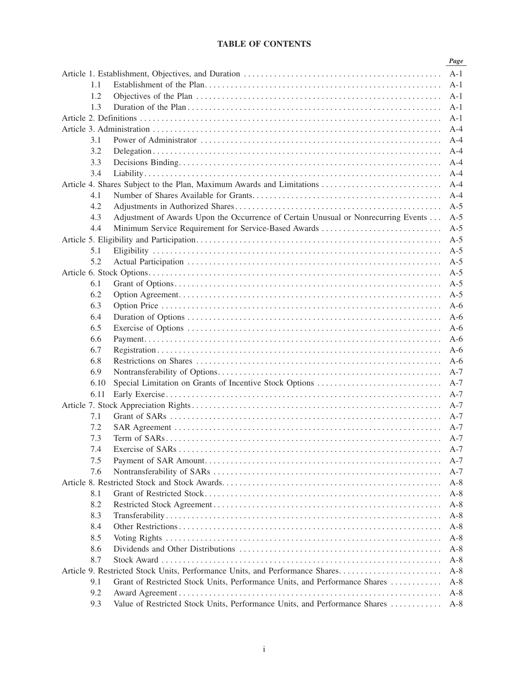# **TABLE OF CONTENTS**

|      |                                                                                    | Page  |
|------|------------------------------------------------------------------------------------|-------|
|      |                                                                                    | $A-1$ |
| 1.1  |                                                                                    | $A-1$ |
| 1.2  |                                                                                    | A-1   |
| 1.3  |                                                                                    | $A-1$ |
|      |                                                                                    | $A-1$ |
|      |                                                                                    | $A-4$ |
| 3.1  |                                                                                    | $A-4$ |
| 3.2  |                                                                                    | $A-4$ |
| 3.3  |                                                                                    | $A-4$ |
| 3.4  |                                                                                    | $A-4$ |
|      | Article 4. Shares Subject to the Plan, Maximum Awards and Limitations              | $A-4$ |
| 4.1  |                                                                                    | $A-4$ |
| 4.2  |                                                                                    | $A-5$ |
| 4.3  | Adjustment of Awards Upon the Occurrence of Certain Unusual or Nonrecurring Events | $A-5$ |
| 4.4  | Minimum Service Requirement for Service-Based Awards                               | $A-5$ |
|      |                                                                                    | $A-5$ |
| 5.1  |                                                                                    | $A-5$ |
| 5.2  |                                                                                    | $A-5$ |
|      |                                                                                    | $A-5$ |
| 6.1  |                                                                                    | $A-5$ |
| 6.2  |                                                                                    | $A-5$ |
| 6.3  |                                                                                    | $A-6$ |
| 6.4  |                                                                                    | $A-6$ |
| 6.5  |                                                                                    | $A-6$ |
| 6.6  |                                                                                    | $A-6$ |
| 6.7  |                                                                                    | $A-6$ |
| 6.8  |                                                                                    | $A-6$ |
| 6.9  |                                                                                    | $A-7$ |
| 6.10 | Special Limitation on Grants of Incentive Stock Options                            | $A-7$ |
| 6.11 |                                                                                    | $A-7$ |
|      |                                                                                    |       |
|      |                                                                                    | $A-7$ |
| 7.1  |                                                                                    | $A-7$ |
| 7.2  |                                                                                    | $A-7$ |
| 7.3  |                                                                                    | $A-7$ |
| 7.4  |                                                                                    | $A-7$ |
| 7.5  |                                                                                    | A-7   |
| 7.6  |                                                                                    | $A-7$ |
|      |                                                                                    | $A-8$ |
| 8.1  |                                                                                    | $A-8$ |
| 8.2  |                                                                                    | $A-8$ |
| 8.3  |                                                                                    | $A-8$ |
| 8.4  |                                                                                    | $A-8$ |
| 8.5  |                                                                                    | $A-8$ |
| 8.6  |                                                                                    | $A-8$ |
| 8.7  |                                                                                    | $A-8$ |
|      | Article 9. Restricted Stock Units, Performance Units, and Performance Shares       | $A-8$ |
| 9.1  | Grant of Restricted Stock Units, Performance Units, and Performance Shares         | $A-8$ |
| 9.2  |                                                                                    | $A-8$ |
| 9.3  | Value of Restricted Stock Units, Performance Units, and Performance Shares         | $A-8$ |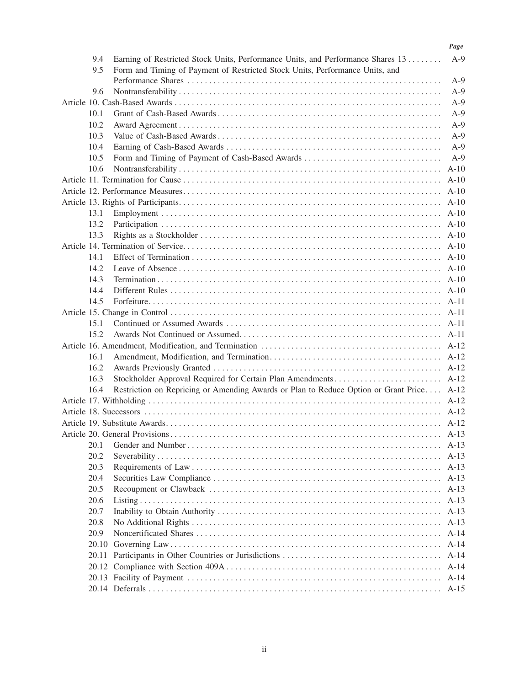|      |                                                                                          | Page   |
|------|------------------------------------------------------------------------------------------|--------|
| 9.4  | Earning of Restricted Stock Units, Performance Units, and Performance Shares 13          | $A-9$  |
| 9.5  | Form and Timing of Payment of Restricted Stock Units, Performance Units, and             |        |
|      |                                                                                          | $A-9$  |
| 9.6  |                                                                                          | $A-9$  |
|      |                                                                                          | $A-9$  |
| 10.1 |                                                                                          | $A-9$  |
| 10.2 |                                                                                          | $A-9$  |
| 10.3 |                                                                                          | $A-9$  |
| 10.4 |                                                                                          | $A-9$  |
| 10.5 | Form and Timing of Payment of Cash-Based Awards                                          | $A-9$  |
| 10.6 |                                                                                          | $A-10$ |
|      |                                                                                          | $A-10$ |
|      |                                                                                          |        |
|      |                                                                                          |        |
| 13.1 |                                                                                          |        |
| 13.2 |                                                                                          |        |
| 13.3 |                                                                                          |        |
|      |                                                                                          | $A-10$ |
| 14.1 |                                                                                          | $A-10$ |
| 14.2 |                                                                                          | $A-10$ |
| 14.3 |                                                                                          |        |
| 14.4 |                                                                                          |        |
| 14.5 |                                                                                          |        |
|      |                                                                                          |        |
| 15.1 |                                                                                          |        |
| 15.2 |                                                                                          | $A-11$ |
|      |                                                                                          |        |
| 16.1 |                                                                                          |        |
| 16.2 |                                                                                          |        |
| 16.3 |                                                                                          |        |
| 16.4 | Restriction on Repricing or Amending Awards or Plan to Reduce Option or Grant Price A-12 |        |
|      |                                                                                          |        |
|      |                                                                                          |        |
|      |                                                                                          |        |
|      |                                                                                          | $A-13$ |
| 20.1 |                                                                                          | $A-13$ |
| 20.2 |                                                                                          |        |
| 20.3 |                                                                                          | $A-13$ |
| 20.4 |                                                                                          | $A-13$ |
| 20.5 |                                                                                          | $A-13$ |
| 20.6 |                                                                                          | $A-13$ |
| 20.7 |                                                                                          | $A-13$ |
| 20.8 |                                                                                          | $A-13$ |
| 20.9 |                                                                                          | $A-14$ |
|      |                                                                                          | $A-14$ |
|      |                                                                                          | $A-14$ |
|      |                                                                                          | $A-14$ |
|      |                                                                                          | $A-14$ |
|      |                                                                                          | $A-15$ |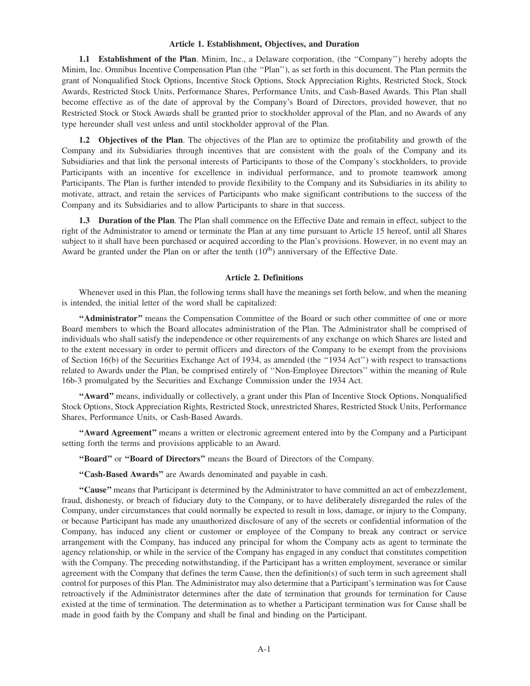## **Article 1. Establishment, Objectives, and Duration**

**1.1 Establishment of the Plan**. Minim, Inc., a Delaware corporation, (the ''Company'') hereby adopts the Minim, Inc. Omnibus Incentive Compensation Plan (the ''Plan''), as set forth in this document. The Plan permits the grant of Nonqualified Stock Options, Incentive Stock Options, Stock Appreciation Rights, Restricted Stock, Stock Awards, Restricted Stock Units, Performance Shares, Performance Units, and Cash-Based Awards. This Plan shall become effective as of the date of approval by the Company's Board of Directors, provided however, that no Restricted Stock or Stock Awards shall be granted prior to stockholder approval of the Plan, and no Awards of any type hereunder shall vest unless and until stockholder approval of the Plan.

**1.2 Objectives of the Plan**. The objectives of the Plan are to optimize the profitability and growth of the Company and its Subsidiaries through incentives that are consistent with the goals of the Company and its Subsidiaries and that link the personal interests of Participants to those of the Company's stockholders, to provide Participants with an incentive for excellence in individual performance, and to promote teamwork among Participants. The Plan is further intended to provide flexibility to the Company and its Subsidiaries in its ability to motivate, attract, and retain the services of Participants who make significant contributions to the success of the Company and its Subsidiaries and to allow Participants to share in that success.

**1.3 Duration of the Plan**. The Plan shall commence on the Effective Date and remain in effect, subject to the right of the Administrator to amend or terminate the Plan at any time pursuant to Article 15 hereof, until all Shares subject to it shall have been purchased or acquired according to the Plan's provisions. However, in no event may an Award be granted under the Plan on or after the tenth  $(10<sup>th</sup>)$  anniversary of the Effective Date.

#### **Article 2. Definitions**

Whenever used in this Plan, the following terms shall have the meanings set forth below, and when the meaning is intended, the initial letter of the word shall be capitalized:

**''Administrator''** means the Compensation Committee of the Board or such other committee of one or more Board members to which the Board allocates administration of the Plan. The Administrator shall be comprised of individuals who shall satisfy the independence or other requirements of any exchange on which Shares are listed and to the extent necessary in order to permit officers and directors of the Company to be exempt from the provisions of Section 16(b) of the Securities Exchange Act of 1934, as amended (the ''1934 Act'') with respect to transactions related to Awards under the Plan, be comprised entirely of ''Non-Employee Directors'' within the meaning of Rule 16b-3 promulgated by the Securities and Exchange Commission under the 1934 Act.

**''Award''** means, individually or collectively, a grant under this Plan of Incentive Stock Options, Nonqualified Stock Options, Stock Appreciation Rights, Restricted Stock, unrestricted Shares, Restricted Stock Units, Performance Shares, Performance Units, or Cash-Based Awards.

**''Award Agreement''** means a written or electronic agreement entered into by the Company and a Participant setting forth the terms and provisions applicable to an Award.

**''Board''** or **''Board of Directors''** means the Board of Directors of the Company.

**''Cash-Based Awards''** are Awards denominated and payable in cash.

**''Cause''** means that Participant is determined by the Administrator to have committed an act of embezzlement, fraud, dishonesty, or breach of fiduciary duty to the Company, or to have deliberately disregarded the rules of the Company, under circumstances that could normally be expected to result in loss, damage, or injury to the Company, or because Participant has made any unauthorized disclosure of any of the secrets or confidential information of the Company, has induced any client or customer or employee of the Company to break any contract or service arrangement with the Company, has induced any principal for whom the Company acts as agent to terminate the agency relationship, or while in the service of the Company has engaged in any conduct that constitutes competition with the Company. The preceding notwithstanding, if the Participant has a written employment, severance or similar agreement with the Company that defines the term Cause, then the definition(s) of such term in such agreement shall control for purposes of this Plan. The Administrator may also determine that a Participant's termination was for Cause retroactively if the Administrator determines after the date of termination that grounds for termination for Cause existed at the time of termination. The determination as to whether a Participant termination was for Cause shall be made in good faith by the Company and shall be final and binding on the Participant.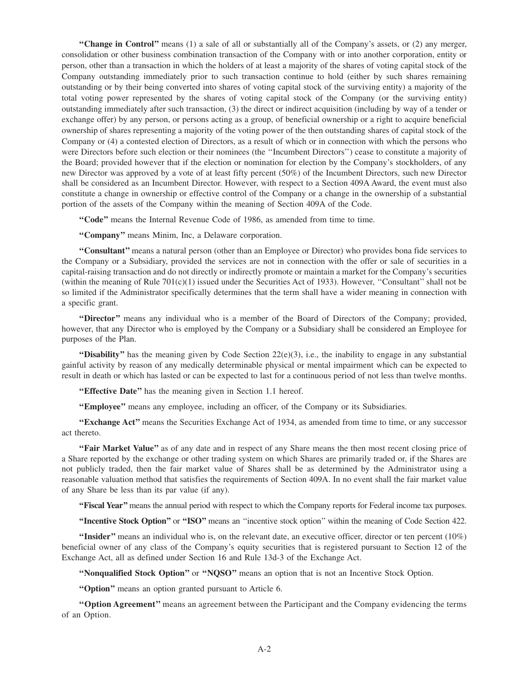**''Change in Control''** means (1) a sale of all or substantially all of the Company's assets, or (2) any merger, consolidation or other business combination transaction of the Company with or into another corporation, entity or person, other than a transaction in which the holders of at least a majority of the shares of voting capital stock of the Company outstanding immediately prior to such transaction continue to hold (either by such shares remaining outstanding or by their being converted into shares of voting capital stock of the surviving entity) a majority of the total voting power represented by the shares of voting capital stock of the Company (or the surviving entity) outstanding immediately after such transaction, (3) the direct or indirect acquisition (including by way of a tender or exchange offer) by any person, or persons acting as a group, of beneficial ownership or a right to acquire beneficial ownership of shares representing a majority of the voting power of the then outstanding shares of capital stock of the Company or (4) a contested election of Directors, as a result of which or in connection with which the persons who were Directors before such election or their nominees (the ''Incumbent Directors'') cease to constitute a majority of the Board; provided however that if the election or nomination for election by the Company's stockholders, of any new Director was approved by a vote of at least fifty percent (50%) of the Incumbent Directors, such new Director shall be considered as an Incumbent Director. However, with respect to a Section 409A Award, the event must also constitute a change in ownership or effective control of the Company or a change in the ownership of a substantial portion of the assets of the Company within the meaning of Section 409A of the Code.

**''Code''** means the Internal Revenue Code of 1986, as amended from time to time.

**''Company''** means Minim, Inc, a Delaware corporation.

**''Consultant''** means a natural person (other than an Employee or Director) who provides bona fide services to the Company or a Subsidiary, provided the services are not in connection with the offer or sale of securities in a capital-raising transaction and do not directly or indirectly promote or maintain a market for the Company's securities (within the meaning of Rule  $701(c)(1)$  issued under the Securities Act of 1933). However, "Consultant" shall not be so limited if the Administrator specifically determines that the term shall have a wider meaning in connection with a specific grant.

**''Director''** means any individual who is a member of the Board of Directors of the Company; provided, however, that any Director who is employed by the Company or a Subsidiary shall be considered an Employee for purposes of the Plan.

"Disability" has the meaning given by Code Section  $22(e)(3)$ , i.e., the inability to engage in any substantial gainful activity by reason of any medically determinable physical or mental impairment which can be expected to result in death or which has lasted or can be expected to last for a continuous period of not less than twelve months.

**"Effective Date"** has the meaning given in Section 1.1 hereof.

**''Employee''** means any employee, including an officer, of the Company or its Subsidiaries.

**''Exchange Act''** means the Securities Exchange Act of 1934, as amended from time to time, or any successor act thereto.

**''Fair Market Value''** as of any date and in respect of any Share means the then most recent closing price of a Share reported by the exchange or other trading system on which Shares are primarily traded or, if the Shares are not publicly traded, then the fair market value of Shares shall be as determined by the Administrator using a reasonable valuation method that satisfies the requirements of Section 409A. In no event shall the fair market value of any Share be less than its par value (if any).

**''Fiscal Year''** means the annual period with respect to which the Company reports for Federal income tax purposes.

**''Incentive Stock Option''** or **''ISO''** means an ''incentive stock option'' within the meaning of Code Section 422.

**''Insider''** means an individual who is, on the relevant date, an executive officer, director or ten percent (10%) beneficial owner of any class of the Company's equity securities that is registered pursuant to Section 12 of the Exchange Act, all as defined under Section 16 and Rule 13d-3 of the Exchange Act.

**''Nonqualified Stock Option''** or **''NQSO''** means an option that is not an Incentive Stock Option.

**''Option''** means an option granted pursuant to Article 6.

**''Option Agreement''** means an agreement between the Participant and the Company evidencing the terms of an Option.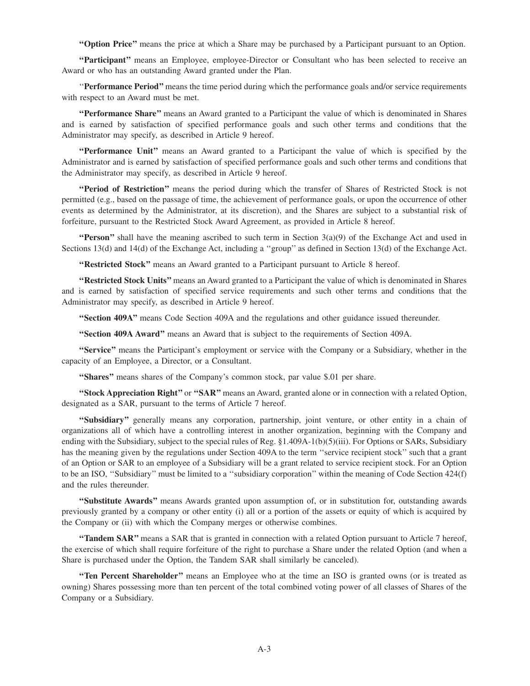**''Option Price''** means the price at which a Share may be purchased by a Participant pursuant to an Option.

**''Participant''** means an Employee, employee-Director or Consultant who has been selected to receive an Award or who has an outstanding Award granted under the Plan.

''**Performance Period''** means the time period during which the performance goals and/or service requirements with respect to an Award must be met.

**''Performance Share''** means an Award granted to a Participant the value of which is denominated in Shares and is earned by satisfaction of specified performance goals and such other terms and conditions that the Administrator may specify, as described in Article 9 hereof.

**''Performance Unit''** means an Award granted to a Participant the value of which is specified by the Administrator and is earned by satisfaction of specified performance goals and such other terms and conditions that the Administrator may specify, as described in Article 9 hereof.

**''Period of Restriction''** means the period during which the transfer of Shares of Restricted Stock is not permitted (e.g., based on the passage of time, the achievement of performance goals, or upon the occurrence of other events as determined by the Administrator, at its discretion), and the Shares are subject to a substantial risk of forfeiture, pursuant to the Restricted Stock Award Agreement, as provided in Article 8 hereof.

**''Person''** shall have the meaning ascribed to such term in Section  $3(a)(9)$  of the Exchange Act and used in Sections 13(d) and 14(d) of the Exchange Act, including a ''group'' as defined in Section 13(d) of the Exchange Act.

**''Restricted Stock''** means an Award granted to a Participant pursuant to Article 8 hereof.

**''Restricted Stock Units''** means an Award granted to a Participant the value of which is denominated in Shares and is earned by satisfaction of specified service requirements and such other terms and conditions that the Administrator may specify, as described in Article 9 hereof.

**''Section 409A''** means Code Section 409A and the regulations and other guidance issued thereunder.

**''Section 409A Award''** means an Award that is subject to the requirements of Section 409A.

**''Service''** means the Participant's employment or service with the Company or a Subsidiary, whether in the capacity of an Employee, a Director, or a Consultant.

**''Shares''** means shares of the Company's common stock, par value \$.01 per share.

**''Stock Appreciation Right''** or **''SAR''** means an Award, granted alone or in connection with a related Option, designated as a SAR, pursuant to the terms of Article 7 hereof.

**''Subsidiary''** generally means any corporation, partnership, joint venture, or other entity in a chain of organizations all of which have a controlling interest in another organization, beginning with the Company and ending with the Subsidiary, subject to the special rules of Reg. §1.409A-1(b)(5)(iii). For Options or SARs, Subsidiary has the meaning given by the regulations under Section 409A to the term ''service recipient stock'' such that a grant of an Option or SAR to an employee of a Subsidiary will be a grant related to service recipient stock. For an Option to be an ISO, ''Subsidiary'' must be limited to a ''subsidiary corporation'' within the meaning of Code Section 424(f) and the rules thereunder.

**''Substitute Awards''** means Awards granted upon assumption of, or in substitution for, outstanding awards previously granted by a company or other entity (i) all or a portion of the assets or equity of which is acquired by the Company or (ii) with which the Company merges or otherwise combines.

**''Tandem SAR''** means a SAR that is granted in connection with a related Option pursuant to Article 7 hereof, the exercise of which shall require forfeiture of the right to purchase a Share under the related Option (and when a Share is purchased under the Option, the Tandem SAR shall similarly be canceled).

**''Ten Percent Shareholder''** means an Employee who at the time an ISO is granted owns (or is treated as owning) Shares possessing more than ten percent of the total combined voting power of all classes of Shares of the Company or a Subsidiary.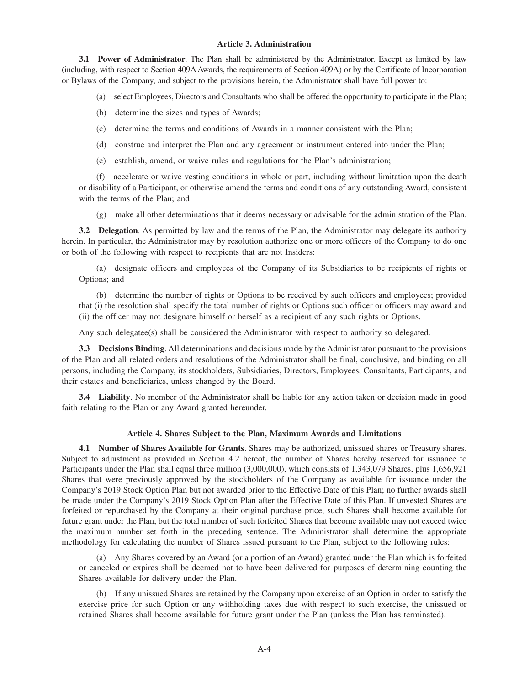## **Article 3. Administration**

**3.1 Power of Administrator**. The Plan shall be administered by the Administrator. Except as limited by law (including, with respect to Section 409AAwards, the requirements of Section 409A) or by the Certificate of Incorporation or Bylaws of the Company, and subject to the provisions herein, the Administrator shall have full power to:

(a) select Employees, Directors and Consultants who shall be offered the opportunity to participate in the Plan;

(b) determine the sizes and types of Awards;

- (c) determine the terms and conditions of Awards in a manner consistent with the Plan;
- (d) construe and interpret the Plan and any agreement or instrument entered into under the Plan;
- (e) establish, amend, or waive rules and regulations for the Plan's administration;

(f) accelerate or waive vesting conditions in whole or part, including without limitation upon the death or disability of a Participant, or otherwise amend the terms and conditions of any outstanding Award, consistent with the terms of the Plan; and

(g) make all other determinations that it deems necessary or advisable for the administration of the Plan.

**3.2 Delegation**. As permitted by law and the terms of the Plan, the Administrator may delegate its authority herein. In particular, the Administrator may by resolution authorize one or more officers of the Company to do one or both of the following with respect to recipients that are not Insiders:

(a) designate officers and employees of the Company of its Subsidiaries to be recipients of rights or Options; and

(b) determine the number of rights or Options to be received by such officers and employees; provided that (i) the resolution shall specify the total number of rights or Options such officer or officers may award and (ii) the officer may not designate himself or herself as a recipient of any such rights or Options.

Any such delegatee(s) shall be considered the Administrator with respect to authority so delegated.

**3.3 Decisions Binding**. All determinations and decisions made by the Administrator pursuant to the provisions of the Plan and all related orders and resolutions of the Administrator shall be final, conclusive, and binding on all persons, including the Company, its stockholders, Subsidiaries, Directors, Employees, Consultants, Participants, and their estates and beneficiaries, unless changed by the Board.

**3.4 Liability**. No member of the Administrator shall be liable for any action taken or decision made in good faith relating to the Plan or any Award granted hereunder.

## **Article 4. Shares Subject to the Plan, Maximum Awards and Limitations**

**4.1 Number of Shares Available for Grants**. Shares may be authorized, unissued shares or Treasury shares. Subject to adjustment as provided in Section 4.2 hereof, the number of Shares hereby reserved for issuance to Participants under the Plan shall equal three million (3,000,000), which consists of 1,343,079 Shares, plus 1,656,921 Shares that were previously approved by the stockholders of the Company as available for issuance under the Company's 2019 Stock Option Plan but not awarded prior to the Effective Date of this Plan; no further awards shall be made under the Company's 2019 Stock Option Plan after the Effective Date of this Plan. If unvested Shares are forfeited or repurchased by the Company at their original purchase price, such Shares shall become available for future grant under the Plan, but the total number of such forfeited Shares that become available may not exceed twice the maximum number set forth in the preceding sentence. The Administrator shall determine the appropriate methodology for calculating the number of Shares issued pursuant to the Plan, subject to the following rules:

(a) Any Shares covered by an Award (or a portion of an Award) granted under the Plan which is forfeited or canceled or expires shall be deemed not to have been delivered for purposes of determining counting the Shares available for delivery under the Plan.

(b) If any unissued Shares are retained by the Company upon exercise of an Option in order to satisfy the exercise price for such Option or any withholding taxes due with respect to such exercise, the unissued or retained Shares shall become available for future grant under the Plan (unless the Plan has terminated).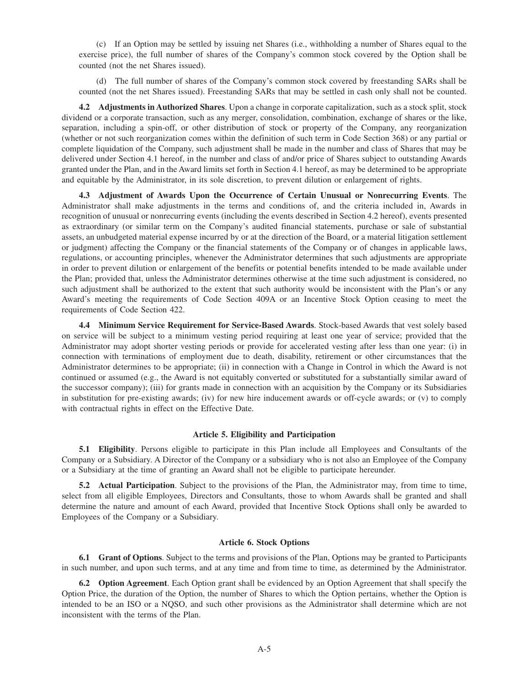(c) If an Option may be settled by issuing net Shares (i.e., withholding a number of Shares equal to the exercise price), the full number of shares of the Company's common stock covered by the Option shall be counted (not the net Shares issued).

(d) The full number of shares of the Company's common stock covered by freestanding SARs shall be counted (not the net Shares issued). Freestanding SARs that may be settled in cash only shall not be counted.

**4.2 Adjustments in Authorized Shares**. Upon a change in corporate capitalization, such as a stock split, stock dividend or a corporate transaction, such as any merger, consolidation, combination, exchange of shares or the like, separation, including a spin-off, or other distribution of stock or property of the Company, any reorganization (whether or not such reorganization comes within the definition of such term in Code Section 368) or any partial or complete liquidation of the Company, such adjustment shall be made in the number and class of Shares that may be delivered under Section 4.1 hereof, in the number and class of and/or price of Shares subject to outstanding Awards granted under the Plan, and in the Award limits set forth in Section 4.1 hereof, as may be determined to be appropriate and equitable by the Administrator, in its sole discretion, to prevent dilution or enlargement of rights.

**4.3 Adjustment of Awards Upon the Occurrence of Certain Unusual or Nonrecurring Events**. The Administrator shall make adjustments in the terms and conditions of, and the criteria included in, Awards in recognition of unusual or nonrecurring events (including the events described in Section 4.2 hereof), events presented as extraordinary (or similar term on the Company's audited financial statements, purchase or sale of substantial assets, an unbudgeted material expense incurred by or at the direction of the Board, or a material litigation settlement or judgment) affecting the Company or the financial statements of the Company or of changes in applicable laws, regulations, or accounting principles, whenever the Administrator determines that such adjustments are appropriate in order to prevent dilution or enlargement of the benefits or potential benefits intended to be made available under the Plan; provided that, unless the Administrator determines otherwise at the time such adjustment is considered, no such adjustment shall be authorized to the extent that such authority would be inconsistent with the Plan's or any Award's meeting the requirements of Code Section 409A or an Incentive Stock Option ceasing to meet the requirements of Code Section 422.

**4.4 Minimum Service Requirement for Service-Based Awards**. Stock-based Awards that vest solely based on service will be subject to a minimum vesting period requiring at least one year of service; provided that the Administrator may adopt shorter vesting periods or provide for accelerated vesting after less than one year: (i) in connection with terminations of employment due to death, disability, retirement or other circumstances that the Administrator determines to be appropriate; (ii) in connection with a Change in Control in which the Award is not continued or assumed (e.g., the Award is not equitably converted or substituted for a substantially similar award of the successor company); (iii) for grants made in connection with an acquisition by the Company or its Subsidiaries in substitution for pre-existing awards; (iv) for new hire inducement awards or off-cycle awards; or (v) to comply with contractual rights in effect on the Effective Date.

#### **Article 5. Eligibility and Participation**

**5.1 Eligibility**. Persons eligible to participate in this Plan include all Employees and Consultants of the Company or a Subsidiary. A Director of the Company or a subsidiary who is not also an Employee of the Company or a Subsidiary at the time of granting an Award shall not be eligible to participate hereunder.

**5.2 Actual Participation**. Subject to the provisions of the Plan, the Administrator may, from time to time, select from all eligible Employees, Directors and Consultants, those to whom Awards shall be granted and shall determine the nature and amount of each Award, provided that Incentive Stock Options shall only be awarded to Employees of the Company or a Subsidiary.

## **Article 6. Stock Options**

**6.1 Grant of Options**. Subject to the terms and provisions of the Plan, Options may be granted to Participants in such number, and upon such terms, and at any time and from time to time, as determined by the Administrator.

**6.2 Option Agreement**. Each Option grant shall be evidenced by an Option Agreement that shall specify the Option Price, the duration of the Option, the number of Shares to which the Option pertains, whether the Option is intended to be an ISO or a NQSO, and such other provisions as the Administrator shall determine which are not inconsistent with the terms of the Plan.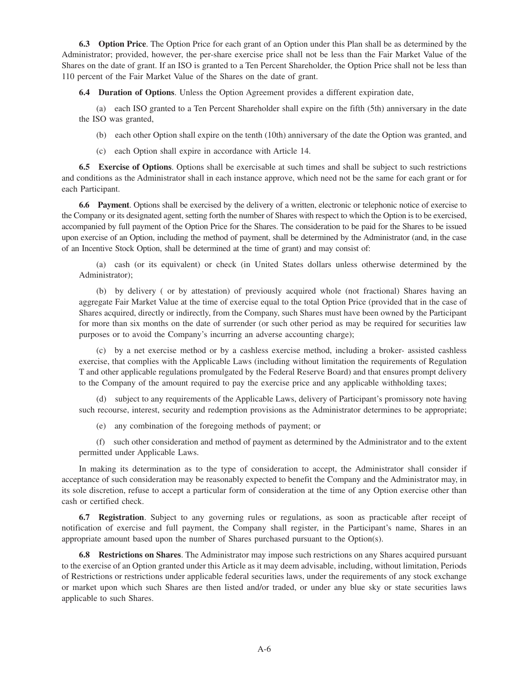**6.3 Option Price**. The Option Price for each grant of an Option under this Plan shall be as determined by the Administrator; provided, however, the per-share exercise price shall not be less than the Fair Market Value of the Shares on the date of grant. If an ISO is granted to a Ten Percent Shareholder, the Option Price shall not be less than 110 percent of the Fair Market Value of the Shares on the date of grant.

**6.4 Duration of Options**. Unless the Option Agreement provides a different expiration date,

(a) each ISO granted to a Ten Percent Shareholder shall expire on the fifth (5th) anniversary in the date the ISO was granted,

(b) each other Option shall expire on the tenth (10th) anniversary of the date the Option was granted, and

(c) each Option shall expire in accordance with Article 14.

**6.5 Exercise of Options**. Options shall be exercisable at such times and shall be subject to such restrictions and conditions as the Administrator shall in each instance approve, which need not be the same for each grant or for each Participant.

**6.6 Payment**. Options shall be exercised by the delivery of a written, electronic or telephonic notice of exercise to the Company or its designated agent, setting forth the number of Shares with respect to which the Option is to be exercised, accompanied by full payment of the Option Price for the Shares. The consideration to be paid for the Shares to be issued upon exercise of an Option, including the method of payment, shall be determined by the Administrator (and, in the case of an Incentive Stock Option, shall be determined at the time of grant) and may consist of:

(a) cash (or its equivalent) or check (in United States dollars unless otherwise determined by the Administrator);

(b) by delivery ( or by attestation) of previously acquired whole (not fractional) Shares having an aggregate Fair Market Value at the time of exercise equal to the total Option Price (provided that in the case of Shares acquired, directly or indirectly, from the Company, such Shares must have been owned by the Participant for more than six months on the date of surrender (or such other period as may be required for securities law purposes or to avoid the Company's incurring an adverse accounting charge);

(c) by a net exercise method or by a cashless exercise method, including a broker- assisted cashless exercise, that complies with the Applicable Laws (including without limitation the requirements of Regulation T and other applicable regulations promulgated by the Federal Reserve Board) and that ensures prompt delivery to the Company of the amount required to pay the exercise price and any applicable withholding taxes;

(d) subject to any requirements of the Applicable Laws, delivery of Participant's promissory note having such recourse, interest, security and redemption provisions as the Administrator determines to be appropriate;

(e) any combination of the foregoing methods of payment; or

(f) such other consideration and method of payment as determined by the Administrator and to the extent permitted under Applicable Laws.

In making its determination as to the type of consideration to accept, the Administrator shall consider if acceptance of such consideration may be reasonably expected to benefit the Company and the Administrator may, in its sole discretion, refuse to accept a particular form of consideration at the time of any Option exercise other than cash or certified check.

**6.7 Registration**. Subject to any governing rules or regulations, as soon as practicable after receipt of notification of exercise and full payment, the Company shall register, in the Participant's name, Shares in an appropriate amount based upon the number of Shares purchased pursuant to the Option(s).

**6.8 Restrictions on Shares**. The Administrator may impose such restrictions on any Shares acquired pursuant to the exercise of an Option granted under this Article as it may deem advisable, including, without limitation, Periods of Restrictions or restrictions under applicable federal securities laws, under the requirements of any stock exchange or market upon which such Shares are then listed and/or traded, or under any blue sky or state securities laws applicable to such Shares.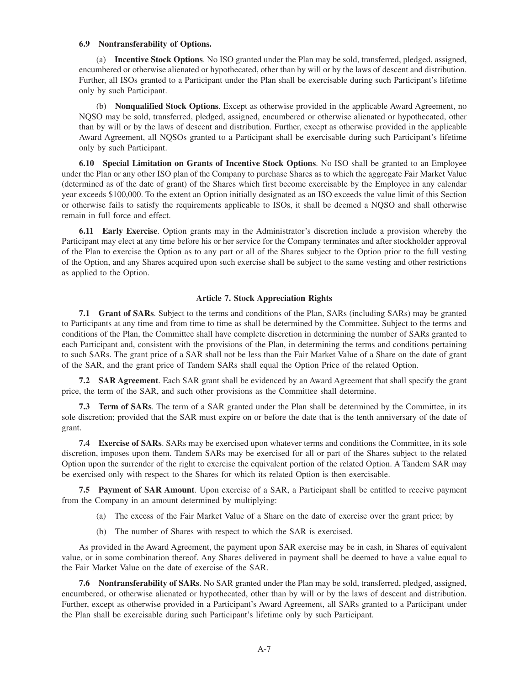#### **6.9 Nontransferability of Options.**

(a) **Incentive Stock Options**. No ISO granted under the Plan may be sold, transferred, pledged, assigned, encumbered or otherwise alienated or hypothecated, other than by will or by the laws of descent and distribution. Further, all ISOs granted to a Participant under the Plan shall be exercisable during such Participant's lifetime only by such Participant.

(b) **Nonqualified Stock Options**. Except as otherwise provided in the applicable Award Agreement, no NQSO may be sold, transferred, pledged, assigned, encumbered or otherwise alienated or hypothecated, other than by will or by the laws of descent and distribution. Further, except as otherwise provided in the applicable Award Agreement, all NQSOs granted to a Participant shall be exercisable during such Participant's lifetime only by such Participant.

**6.10 Special Limitation on Grants of Incentive Stock Options**. No ISO shall be granted to an Employee under the Plan or any other ISO plan of the Company to purchase Shares as to which the aggregate Fair Market Value (determined as of the date of grant) of the Shares which first become exercisable by the Employee in any calendar year exceeds \$100,000. To the extent an Option initially designated as an ISO exceeds the value limit of this Section or otherwise fails to satisfy the requirements applicable to ISOs, it shall be deemed a NQSO and shall otherwise remain in full force and effect.

**6.11 Early Exercise**. Option grants may in the Administrator's discretion include a provision whereby the Participant may elect at any time before his or her service for the Company terminates and after stockholder approval of the Plan to exercise the Option as to any part or all of the Shares subject to the Option prior to the full vesting of the Option, and any Shares acquired upon such exercise shall be subject to the same vesting and other restrictions as applied to the Option.

#### **Article 7. Stock Appreciation Rights**

**7.1 Grant of SARs**. Subject to the terms and conditions of the Plan, SARs (including SARs) may be granted to Participants at any time and from time to time as shall be determined by the Committee. Subject to the terms and conditions of the Plan, the Committee shall have complete discretion in determining the number of SARs granted to each Participant and, consistent with the provisions of the Plan, in determining the terms and conditions pertaining to such SARs. The grant price of a SAR shall not be less than the Fair Market Value of a Share on the date of grant of the SAR, and the grant price of Tandem SARs shall equal the Option Price of the related Option.

**7.2 SAR Agreement**. Each SAR grant shall be evidenced by an Award Agreement that shall specify the grant price, the term of the SAR, and such other provisions as the Committee shall determine.

**7.3 Term of SARs**. The term of a SAR granted under the Plan shall be determined by the Committee, in its sole discretion; provided that the SAR must expire on or before the date that is the tenth anniversary of the date of grant.

**7.4 Exercise of SARs**. SARs may be exercised upon whatever terms and conditions the Committee, in its sole discretion, imposes upon them. Tandem SARs may be exercised for all or part of the Shares subject to the related Option upon the surrender of the right to exercise the equivalent portion of the related Option. A Tandem SAR may be exercised only with respect to the Shares for which its related Option is then exercisable.

**7.5 Payment of SAR Amount**. Upon exercise of a SAR, a Participant shall be entitled to receive payment from the Company in an amount determined by multiplying:

- (a) The excess of the Fair Market Value of a Share on the date of exercise over the grant price; by
- (b) The number of Shares with respect to which the SAR is exercised.

As provided in the Award Agreement, the payment upon SAR exercise may be in cash, in Shares of equivalent value, or in some combination thereof. Any Shares delivered in payment shall be deemed to have a value equal to the Fair Market Value on the date of exercise of the SAR.

**7.6 Nontransferability of SARs**. No SAR granted under the Plan may be sold, transferred, pledged, assigned, encumbered, or otherwise alienated or hypothecated, other than by will or by the laws of descent and distribution. Further, except as otherwise provided in a Participant's Award Agreement, all SARs granted to a Participant under the Plan shall be exercisable during such Participant's lifetime only by such Participant.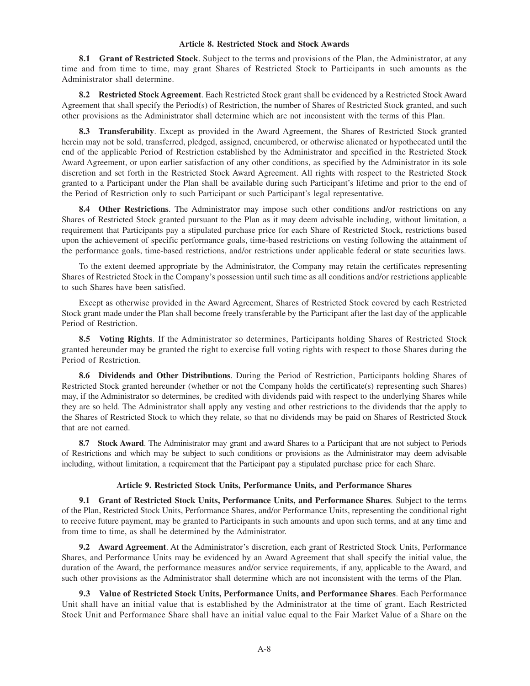## **Article 8. Restricted Stock and Stock Awards**

**8.1 Grant of Restricted Stock**. Subject to the terms and provisions of the Plan, the Administrator, at any time and from time to time, may grant Shares of Restricted Stock to Participants in such amounts as the Administrator shall determine.

**8.2 Restricted Stock Agreement**. Each Restricted Stock grant shall be evidenced by a Restricted Stock Award Agreement that shall specify the Period(s) of Restriction, the number of Shares of Restricted Stock granted, and such other provisions as the Administrator shall determine which are not inconsistent with the terms of this Plan.

**8.3 Transferability**. Except as provided in the Award Agreement, the Shares of Restricted Stock granted herein may not be sold, transferred, pledged, assigned, encumbered, or otherwise alienated or hypothecated until the end of the applicable Period of Restriction established by the Administrator and specified in the Restricted Stock Award Agreement, or upon earlier satisfaction of any other conditions, as specified by the Administrator in its sole discretion and set forth in the Restricted Stock Award Agreement. All rights with respect to the Restricted Stock granted to a Participant under the Plan shall be available during such Participant's lifetime and prior to the end of the Period of Restriction only to such Participant or such Participant's legal representative.

**8.4 Other Restrictions**. The Administrator may impose such other conditions and/or restrictions on any Shares of Restricted Stock granted pursuant to the Plan as it may deem advisable including, without limitation, a requirement that Participants pay a stipulated purchase price for each Share of Restricted Stock, restrictions based upon the achievement of specific performance goals, time-based restrictions on vesting following the attainment of the performance goals, time-based restrictions, and/or restrictions under applicable federal or state securities laws.

To the extent deemed appropriate by the Administrator, the Company may retain the certificates representing Shares of Restricted Stock in the Company's possession until such time as all conditions and/or restrictions applicable to such Shares have been satisfied.

Except as otherwise provided in the Award Agreement, Shares of Restricted Stock covered by each Restricted Stock grant made under the Plan shall become freely transferable by the Participant after the last day of the applicable Period of Restriction.

**8.5 Voting Rights**. If the Administrator so determines, Participants holding Shares of Restricted Stock granted hereunder may be granted the right to exercise full voting rights with respect to those Shares during the Period of Restriction.

**8.6 Dividends and Other Distributions**. During the Period of Restriction, Participants holding Shares of Restricted Stock granted hereunder (whether or not the Company holds the certificate(s) representing such Shares) may, if the Administrator so determines, be credited with dividends paid with respect to the underlying Shares while they are so held. The Administrator shall apply any vesting and other restrictions to the dividends that the apply to the Shares of Restricted Stock to which they relate, so that no dividends may be paid on Shares of Restricted Stock that are not earned.

**8.7 Stock Award**. The Administrator may grant and award Shares to a Participant that are not subject to Periods of Restrictions and which may be subject to such conditions or provisions as the Administrator may deem advisable including, without limitation, a requirement that the Participant pay a stipulated purchase price for each Share.

## **Article 9. Restricted Stock Units, Performance Units, and Performance Shares**

**9.1 Grant of Restricted Stock Units, Performance Units, and Performance Shares**. Subject to the terms of the Plan, Restricted Stock Units, Performance Shares, and/or Performance Units, representing the conditional right to receive future payment, may be granted to Participants in such amounts and upon such terms, and at any time and from time to time, as shall be determined by the Administrator.

**9.2 Award Agreement**. At the Administrator's discretion, each grant of Restricted Stock Units, Performance Shares, and Performance Units may be evidenced by an Award Agreement that shall specify the initial value, the duration of the Award, the performance measures and/or service requirements, if any, applicable to the Award, and such other provisions as the Administrator shall determine which are not inconsistent with the terms of the Plan.

**9.3 Value of Restricted Stock Units, Performance Units, and Performance Shares**. Each Performance Unit shall have an initial value that is established by the Administrator at the time of grant. Each Restricted Stock Unit and Performance Share shall have an initial value equal to the Fair Market Value of a Share on the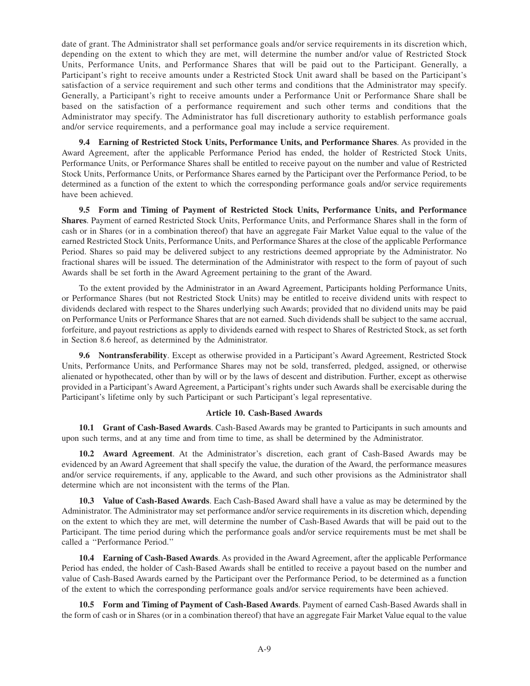date of grant. The Administrator shall set performance goals and/or service requirements in its discretion which, depending on the extent to which they are met, will determine the number and/or value of Restricted Stock Units, Performance Units, and Performance Shares that will be paid out to the Participant. Generally, a Participant's right to receive amounts under a Restricted Stock Unit award shall be based on the Participant's satisfaction of a service requirement and such other terms and conditions that the Administrator may specify. Generally, a Participant's right to receive amounts under a Performance Unit or Performance Share shall be based on the satisfaction of a performance requirement and such other terms and conditions that the Administrator may specify. The Administrator has full discretionary authority to establish performance goals and/or service requirements, and a performance goal may include a service requirement.

**9.4 Earning of Restricted Stock Units, Performance Units, and Performance Shares**. As provided in the Award Agreement, after the applicable Performance Period has ended, the holder of Restricted Stock Units, Performance Units, or Performance Shares shall be entitled to receive payout on the number and value of Restricted Stock Units, Performance Units, or Performance Shares earned by the Participant over the Performance Period, to be determined as a function of the extent to which the corresponding performance goals and/or service requirements have been achieved.

**9.5 Form and Timing of Payment of Restricted Stock Units, Performance Units, and Performance Shares**. Payment of earned Restricted Stock Units, Performance Units, and Performance Shares shall in the form of cash or in Shares (or in a combination thereof) that have an aggregate Fair Market Value equal to the value of the earned Restricted Stock Units, Performance Units, and Performance Shares at the close of the applicable Performance Period. Shares so paid may be delivered subject to any restrictions deemed appropriate by the Administrator. No fractional shares will be issued. The determination of the Administrator with respect to the form of payout of such Awards shall be set forth in the Award Agreement pertaining to the grant of the Award.

To the extent provided by the Administrator in an Award Agreement, Participants holding Performance Units, or Performance Shares (but not Restricted Stock Units) may be entitled to receive dividend units with respect to dividends declared with respect to the Shares underlying such Awards; provided that no dividend units may be paid on Performance Units or Performance Shares that are not earned. Such dividends shall be subject to the same accrual, forfeiture, and payout restrictions as apply to dividends earned with respect to Shares of Restricted Stock, as set forth in Section 8.6 hereof, as determined by the Administrator.

**9.6 Nontransferability**. Except as otherwise provided in a Participant's Award Agreement, Restricted Stock Units, Performance Units, and Performance Shares may not be sold, transferred, pledged, assigned, or otherwise alienated or hypothecated, other than by will or by the laws of descent and distribution. Further, except as otherwise provided in a Participant's Award Agreement, a Participant's rights under such Awards shall be exercisable during the Participant's lifetime only by such Participant or such Participant's legal representative.

#### **Article 10. Cash-Based Awards**

**10.1 Grant of Cash-Based Awards**. Cash-Based Awards may be granted to Participants in such amounts and upon such terms, and at any time and from time to time, as shall be determined by the Administrator.

**10.2 Award Agreement**. At the Administrator's discretion, each grant of Cash-Based Awards may be evidenced by an Award Agreement that shall specify the value, the duration of the Award, the performance measures and/or service requirements, if any, applicable to the Award, and such other provisions as the Administrator shall determine which are not inconsistent with the terms of the Plan.

**10.3 Value of Cash-Based Awards**. Each Cash-Based Award shall have a value as may be determined by the Administrator. The Administrator may set performance and/or service requirements in its discretion which, depending on the extent to which they are met, will determine the number of Cash-Based Awards that will be paid out to the Participant. The time period during which the performance goals and/or service requirements must be met shall be called a ''Performance Period.''

**10.4 Earning of Cash-Based Awards**. As provided in the Award Agreement, after the applicable Performance Period has ended, the holder of Cash-Based Awards shall be entitled to receive a payout based on the number and value of Cash-Based Awards earned by the Participant over the Performance Period, to be determined as a function of the extent to which the corresponding performance goals and/or service requirements have been achieved.

**10.5 Form and Timing of Payment of Cash-Based Awards**. Payment of earned Cash-Based Awards shall in the form of cash or in Shares (or in a combination thereof) that have an aggregate Fair Market Value equal to the value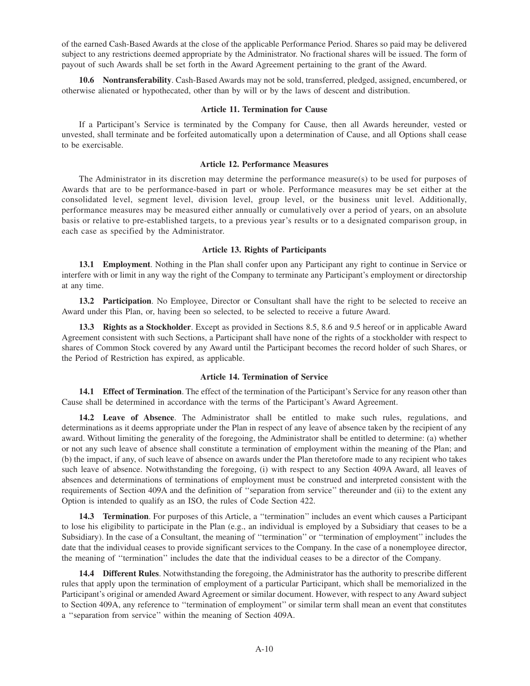of the earned Cash-Based Awards at the close of the applicable Performance Period. Shares so paid may be delivered subject to any restrictions deemed appropriate by the Administrator. No fractional shares will be issued. The form of payout of such Awards shall be set forth in the Award Agreement pertaining to the grant of the Award.

**10.6 Nontransferability**. Cash-Based Awards may not be sold, transferred, pledged, assigned, encumbered, or otherwise alienated or hypothecated, other than by will or by the laws of descent and distribution.

#### **Article 11. Termination for Cause**

If a Participant's Service is terminated by the Company for Cause, then all Awards hereunder, vested or unvested, shall terminate and be forfeited automatically upon a determination of Cause, and all Options shall cease to be exercisable.

#### **Article 12. Performance Measures**

The Administrator in its discretion may determine the performance measure(s) to be used for purposes of Awards that are to be performance-based in part or whole. Performance measures may be set either at the consolidated level, segment level, division level, group level, or the business unit level. Additionally, performance measures may be measured either annually or cumulatively over a period of years, on an absolute basis or relative to pre-established targets, to a previous year's results or to a designated comparison group, in each case as specified by the Administrator.

#### **Article 13. Rights of Participants**

**13.1 Employment**. Nothing in the Plan shall confer upon any Participant any right to continue in Service or interfere with or limit in any way the right of the Company to terminate any Participant's employment or directorship at any time.

**13.2 Participation**. No Employee, Director or Consultant shall have the right to be selected to receive an Award under this Plan, or, having been so selected, to be selected to receive a future Award.

**13.3 Rights as a Stockholder**. Except as provided in Sections 8.5, 8.6 and 9.5 hereof or in applicable Award Agreement consistent with such Sections, a Participant shall have none of the rights of a stockholder with respect to shares of Common Stock covered by any Award until the Participant becomes the record holder of such Shares, or the Period of Restriction has expired, as applicable.

#### **Article 14. Termination of Service**

**14.1 Effect of Termination**. The effect of the termination of the Participant's Service for any reason other than Cause shall be determined in accordance with the terms of the Participant's Award Agreement.

**14.2 Leave of Absence**. The Administrator shall be entitled to make such rules, regulations, and determinations as it deems appropriate under the Plan in respect of any leave of absence taken by the recipient of any award. Without limiting the generality of the foregoing, the Administrator shall be entitled to determine: (a) whether or not any such leave of absence shall constitute a termination of employment within the meaning of the Plan; and (b) the impact, if any, of such leave of absence on awards under the Plan theretofore made to any recipient who takes such leave of absence. Notwithstanding the foregoing, (i) with respect to any Section 409A Award, all leaves of absences and determinations of terminations of employment must be construed and interpreted consistent with the requirements of Section 409A and the definition of ''separation from service'' thereunder and (ii) to the extent any Option is intended to qualify as an ISO, the rules of Code Section 422.

**14.3 Termination**. For purposes of this Article, a ''termination'' includes an event which causes a Participant to lose his eligibility to participate in the Plan (e.g., an individual is employed by a Subsidiary that ceases to be a Subsidiary). In the case of a Consultant, the meaning of ''termination'' or ''termination of employment'' includes the date that the individual ceases to provide significant services to the Company. In the case of a nonemployee director, the meaning of ''termination'' includes the date that the individual ceases to be a director of the Company.

**14.4 Different Rules**. Notwithstanding the foregoing, the Administrator has the authority to prescribe different rules that apply upon the termination of employment of a particular Participant, which shall be memorialized in the Participant's original or amended Award Agreement or similar document. However, with respect to any Award subject to Section 409A, any reference to ''termination of employment'' or similar term shall mean an event that constitutes a ''separation from service'' within the meaning of Section 409A.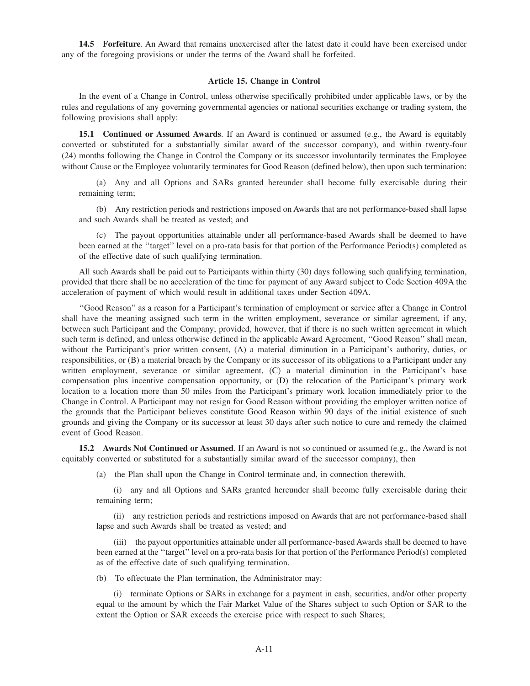**14.5 Forfeiture**. An Award that remains unexercised after the latest date it could have been exercised under any of the foregoing provisions or under the terms of the Award shall be forfeited.

#### **Article 15. Change in Control**

In the event of a Change in Control, unless otherwise specifically prohibited under applicable laws, or by the rules and regulations of any governing governmental agencies or national securities exchange or trading system, the following provisions shall apply:

**15.1 Continued or Assumed Awards**. If an Award is continued or assumed (e.g., the Award is equitably converted or substituted for a substantially similar award of the successor company), and within twenty-four (24) months following the Change in Control the Company or its successor involuntarily terminates the Employee without Cause or the Employee voluntarily terminates for Good Reason (defined below), then upon such termination:

(a) Any and all Options and SARs granted hereunder shall become fully exercisable during their remaining term;

(b) Any restriction periods and restrictions imposed on Awards that are not performance-based shall lapse and such Awards shall be treated as vested; and

(c) The payout opportunities attainable under all performance-based Awards shall be deemed to have been earned at the ''target'' level on a pro-rata basis for that portion of the Performance Period(s) completed as of the effective date of such qualifying termination.

All such Awards shall be paid out to Participants within thirty (30) days following such qualifying termination, provided that there shall be no acceleration of the time for payment of any Award subject to Code Section 409A the acceleration of payment of which would result in additional taxes under Section 409A.

''Good Reason'' as a reason for a Participant's termination of employment or service after a Change in Control shall have the meaning assigned such term in the written employment, severance or similar agreement, if any, between such Participant and the Company; provided, however, that if there is no such written agreement in which such term is defined, and unless otherwise defined in the applicable Award Agreement, "Good Reason" shall mean, without the Participant's prior written consent, (A) a material diminution in a Participant's authority, duties, or responsibilities, or (B) a material breach by the Company or its successor of its obligations to a Participant under any written employment, severance or similar agreement, (C) a material diminution in the Participant's base compensation plus incentive compensation opportunity, or (D) the relocation of the Participant's primary work location to a location more than 50 miles from the Participant's primary work location immediately prior to the Change in Control. A Participant may not resign for Good Reason without providing the employer written notice of the grounds that the Participant believes constitute Good Reason within 90 days of the initial existence of such grounds and giving the Company or its successor at least 30 days after such notice to cure and remedy the claimed event of Good Reason.

**15.2 Awards Not Continued or Assumed**. If an Award is not so continued or assumed (e.g., the Award is not equitably converted or substituted for a substantially similar award of the successor company), then

(a) the Plan shall upon the Change in Control terminate and, in connection therewith,

(i) any and all Options and SARs granted hereunder shall become fully exercisable during their remaining term;

(ii) any restriction periods and restrictions imposed on Awards that are not performance-based shall lapse and such Awards shall be treated as vested; and

(iii) the payout opportunities attainable under all performance-based Awards shall be deemed to have been earned at the ''target'' level on a pro-rata basis for that portion of the Performance Period(s) completed as of the effective date of such qualifying termination.

(b) To effectuate the Plan termination, the Administrator may:

(i) terminate Options or SARs in exchange for a payment in cash, securities, and/or other property equal to the amount by which the Fair Market Value of the Shares subject to such Option or SAR to the extent the Option or SAR exceeds the exercise price with respect to such Shares;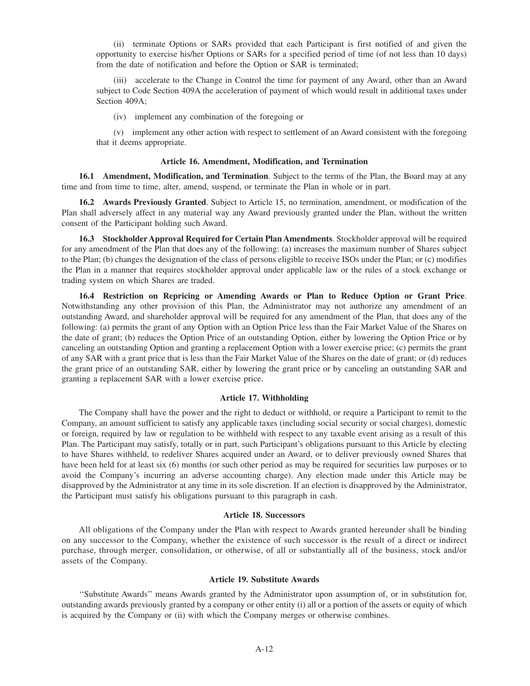(ii) terminate Options or SARs provided that each Participant is first notified of and given the opportunity to exercise his/her Options or SARs for a specified period of time (of not less than 10 days) from the date of notification and before the Option or SAR is terminated;

(iii) accelerate to the Change in Control the time for payment of any Award, other than an Award subject to Code Section 409A the acceleration of payment of which would result in additional taxes under Section 409A;

(iv) implement any combination of the foregoing or

(v) implement any other action with respect to settlement of an Award consistent with the foregoing that it deems appropriate.

#### **Article 16. Amendment, Modification, and Termination**

**16.1 Amendment, Modification, and Termination**. Subject to the terms of the Plan, the Board may at any time and from time to time, alter, amend, suspend, or terminate the Plan in whole or in part.

**16.2 Awards Previously Granted**. Subject to Article 15, no termination, amendment, or modification of the Plan shall adversely affect in any material way any Award previously granted under the Plan, without the written consent of the Participant holding such Award.

**16.3 Stockholder Approval Required for Certain Plan Amendments**. Stockholder approval will be required for any amendment of the Plan that does any of the following: (a) increases the maximum number of Shares subject to the Plan; (b) changes the designation of the class of persons eligible to receive ISOs under the Plan; or (c) modifies the Plan in a manner that requires stockholder approval under applicable law or the rules of a stock exchange or trading system on which Shares are traded.

**16.4 Restriction on Repricing or Amending Awards or Plan to Reduce Option or Grant Price**. Notwithstanding any other provision of this Plan, the Administrator may not authorize any amendment of an outstanding Award, and shareholder approval will be required for any amendment of the Plan, that does any of the following: (a) permits the grant of any Option with an Option Price less than the Fair Market Value of the Shares on the date of grant; (b) reduces the Option Price of an outstanding Option, either by lowering the Option Price or by canceling an outstanding Option and granting a replacement Option with a lower exercise price; (c) permits the grant of any SAR with a grant price that is less than the Fair Market Value of the Shares on the date of grant; or (d) reduces the grant price of an outstanding SAR, either by lowering the grant price or by canceling an outstanding SAR and granting a replacement SAR with a lower exercise price.

#### **Article 17. Withholding**

The Company shall have the power and the right to deduct or withhold, or require a Participant to remit to the Company, an amount sufficient to satisfy any applicable taxes (including social security or social charges), domestic or foreign, required by law or regulation to be withheld with respect to any taxable event arising as a result of this Plan. The Participant may satisfy, totally or in part, such Participant's obligations pursuant to this Article by electing to have Shares withheld, to redeliver Shares acquired under an Award, or to deliver previously owned Shares that have been held for at least six (6) months (or such other period as may be required for securities law purposes or to avoid the Company's incurring an adverse accounting charge). Any election made under this Article may be disapproved by the Administrator at any time in its sole discretion. If an election is disapproved by the Administrator, the Participant must satisfy his obligations pursuant to this paragraph in cash.

## **Article 18. Successors**

All obligations of the Company under the Plan with respect to Awards granted hereunder shall be binding on any successor to the Company, whether the existence of such successor is the result of a direct or indirect purchase, through merger, consolidation, or otherwise, of all or substantially all of the business, stock and/or assets of the Company.

#### **Article 19. Substitute Awards**

''Substitute Awards'' means Awards granted by the Administrator upon assumption of, or in substitution for, outstanding awards previously granted by a company or other entity (i) all or a portion of the assets or equity of which is acquired by the Company or (ii) with which the Company merges or otherwise combines.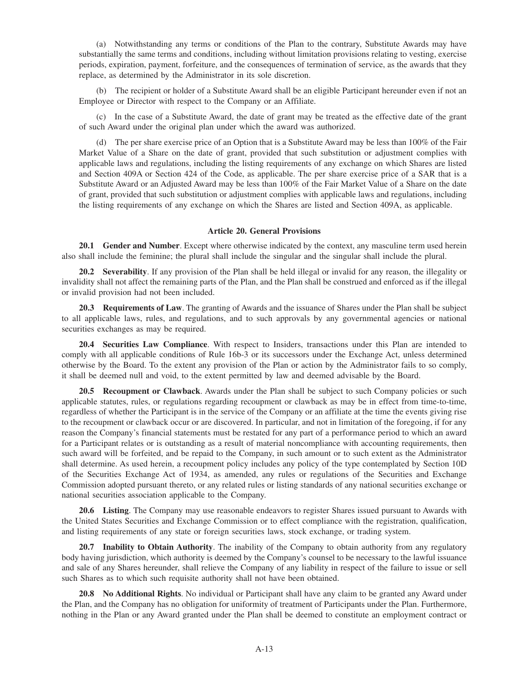(a) Notwithstanding any terms or conditions of the Plan to the contrary, Substitute Awards may have substantially the same terms and conditions, including without limitation provisions relating to vesting, exercise periods, expiration, payment, forfeiture, and the consequences of termination of service, as the awards that they replace, as determined by the Administrator in its sole discretion.

(b) The recipient or holder of a Substitute Award shall be an eligible Participant hereunder even if not an Employee or Director with respect to the Company or an Affiliate.

(c) In the case of a Substitute Award, the date of grant may be treated as the effective date of the grant of such Award under the original plan under which the award was authorized.

(d) The per share exercise price of an Option that is a Substitute Award may be less than 100% of the Fair Market Value of a Share on the date of grant, provided that such substitution or adjustment complies with applicable laws and regulations, including the listing requirements of any exchange on which Shares are listed and Section 409A or Section 424 of the Code, as applicable. The per share exercise price of a SAR that is a Substitute Award or an Adjusted Award may be less than 100% of the Fair Market Value of a Share on the date of grant, provided that such substitution or adjustment complies with applicable laws and regulations, including the listing requirements of any exchange on which the Shares are listed and Section 409A, as applicable.

#### **Article 20. General Provisions**

**20.1 Gender and Number**. Except where otherwise indicated by the context, any masculine term used herein also shall include the feminine; the plural shall include the singular and the singular shall include the plural.

**20.2 Severability**. If any provision of the Plan shall be held illegal or invalid for any reason, the illegality or invalidity shall not affect the remaining parts of the Plan, and the Plan shall be construed and enforced as if the illegal or invalid provision had not been included.

**20.3 Requirements of Law**. The granting of Awards and the issuance of Shares under the Plan shall be subject to all applicable laws, rules, and regulations, and to such approvals by any governmental agencies or national securities exchanges as may be required.

**20.4 Securities Law Compliance**. With respect to Insiders, transactions under this Plan are intended to comply with all applicable conditions of Rule 16b-3 or its successors under the Exchange Act, unless determined otherwise by the Board. To the extent any provision of the Plan or action by the Administrator fails to so comply, it shall be deemed null and void, to the extent permitted by law and deemed advisable by the Board.

**20.5 Recoupment or Clawback**. Awards under the Plan shall be subject to such Company policies or such applicable statutes, rules, or regulations regarding recoupment or clawback as may be in effect from time-to-time, regardless of whether the Participant is in the service of the Company or an affiliate at the time the events giving rise to the recoupment or clawback occur or are discovered. In particular, and not in limitation of the foregoing, if for any reason the Company's financial statements must be restated for any part of a performance period to which an award for a Participant relates or is outstanding as a result of material noncompliance with accounting requirements, then such award will be forfeited, and be repaid to the Company, in such amount or to such extent as the Administrator shall determine. As used herein, a recoupment policy includes any policy of the type contemplated by Section 10D of the Securities Exchange Act of 1934, as amended, any rules or regulations of the Securities and Exchange Commission adopted pursuant thereto, or any related rules or listing standards of any national securities exchange or national securities association applicable to the Company.

**20.6 Listing**. The Company may use reasonable endeavors to register Shares issued pursuant to Awards with the United States Securities and Exchange Commission or to effect compliance with the registration, qualification, and listing requirements of any state or foreign securities laws, stock exchange, or trading system.

**20.7 Inability to Obtain Authority**. The inability of the Company to obtain authority from any regulatory body having jurisdiction, which authority is deemed by the Company's counsel to be necessary to the lawful issuance and sale of any Shares hereunder, shall relieve the Company of any liability in respect of the failure to issue or sell such Shares as to which such requisite authority shall not have been obtained.

**20.8 No Additional Rights**. No individual or Participant shall have any claim to be granted any Award under the Plan, and the Company has no obligation for uniformity of treatment of Participants under the Plan. Furthermore, nothing in the Plan or any Award granted under the Plan shall be deemed to constitute an employment contract or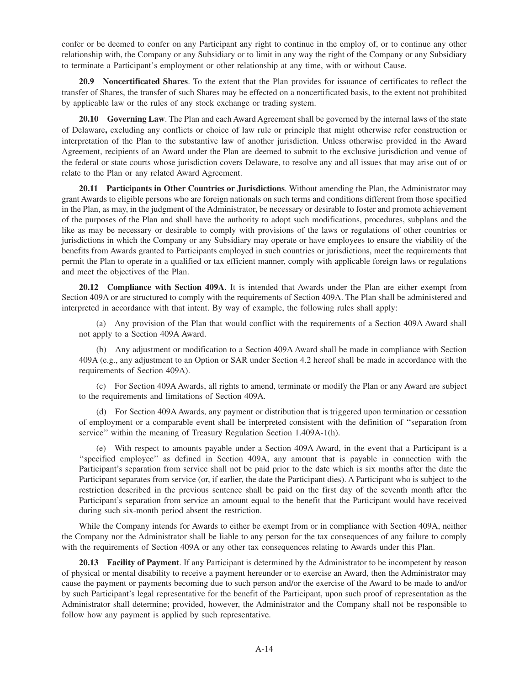confer or be deemed to confer on any Participant any right to continue in the employ of, or to continue any other relationship with, the Company or any Subsidiary or to limit in any way the right of the Company or any Subsidiary to terminate a Participant's employment or other relationship at any time, with or without Cause.

**20.9 Noncertificated Shares**. To the extent that the Plan provides for issuance of certificates to reflect the transfer of Shares, the transfer of such Shares may be effected on a noncertificated basis, to the extent not prohibited by applicable law or the rules of any stock exchange or trading system.

**20.10 Governing Law**. The Plan and each Award Agreement shall be governed by the internal laws of the state of Delaware**,** excluding any conflicts or choice of law rule or principle that might otherwise refer construction or interpretation of the Plan to the substantive law of another jurisdiction. Unless otherwise provided in the Award Agreement, recipients of an Award under the Plan are deemed to submit to the exclusive jurisdiction and venue of the federal or state courts whose jurisdiction covers Delaware, to resolve any and all issues that may arise out of or relate to the Plan or any related Award Agreement.

**20.11 Participants in Other Countries or Jurisdictions**. Without amending the Plan, the Administrator may grant Awards to eligible persons who are foreign nationals on such terms and conditions different from those specified in the Plan, as may, in the judgment of the Administrator, be necessary or desirable to foster and promote achievement of the purposes of the Plan and shall have the authority to adopt such modifications, procedures, subplans and the like as may be necessary or desirable to comply with provisions of the laws or regulations of other countries or jurisdictions in which the Company or any Subsidiary may operate or have employees to ensure the viability of the benefits from Awards granted to Participants employed in such countries or jurisdictions, meet the requirements that permit the Plan to operate in a qualified or tax efficient manner, comply with applicable foreign laws or regulations and meet the objectives of the Plan.

**20.12 Compliance with Section 409A**. It is intended that Awards under the Plan are either exempt from Section 409A or are structured to comply with the requirements of Section 409A. The Plan shall be administered and interpreted in accordance with that intent. By way of example, the following rules shall apply:

(a) Any provision of the Plan that would conflict with the requirements of a Section 409A Award shall not apply to a Section 409A Award.

(b) Any adjustment or modification to a Section 409A Award shall be made in compliance with Section 409A (e.g., any adjustment to an Option or SAR under Section 4.2 hereof shall be made in accordance with the requirements of Section 409A).

(c) For Section 409A Awards, all rights to amend, terminate or modify the Plan or any Award are subject to the requirements and limitations of Section 409A.

(d) For Section 409A Awards, any payment or distribution that is triggered upon termination or cessation of employment or a comparable event shall be interpreted consistent with the definition of ''separation from service'' within the meaning of Treasury Regulation Section 1.409A-1(h).

(e) With respect to amounts payable under a Section 409A Award, in the event that a Participant is a ''specified employee'' as defined in Section 409A, any amount that is payable in connection with the Participant's separation from service shall not be paid prior to the date which is six months after the date the Participant separates from service (or, if earlier, the date the Participant dies). A Participant who is subject to the restriction described in the previous sentence shall be paid on the first day of the seventh month after the Participant's separation from service an amount equal to the benefit that the Participant would have received during such six-month period absent the restriction.

While the Company intends for Awards to either be exempt from or in compliance with Section 409A, neither the Company nor the Administrator shall be liable to any person for the tax consequences of any failure to comply with the requirements of Section 409A or any other tax consequences relating to Awards under this Plan.

**20.13 Facility of Payment**. If any Participant is determined by the Administrator to be incompetent by reason of physical or mental disability to receive a payment hereunder or to exercise an Award, then the Administrator may cause the payment or payments becoming due to such person and/or the exercise of the Award to be made to and/or by such Participant's legal representative for the benefit of the Participant, upon such proof of representation as the Administrator shall determine; provided, however, the Administrator and the Company shall not be responsible to follow how any payment is applied by such representative.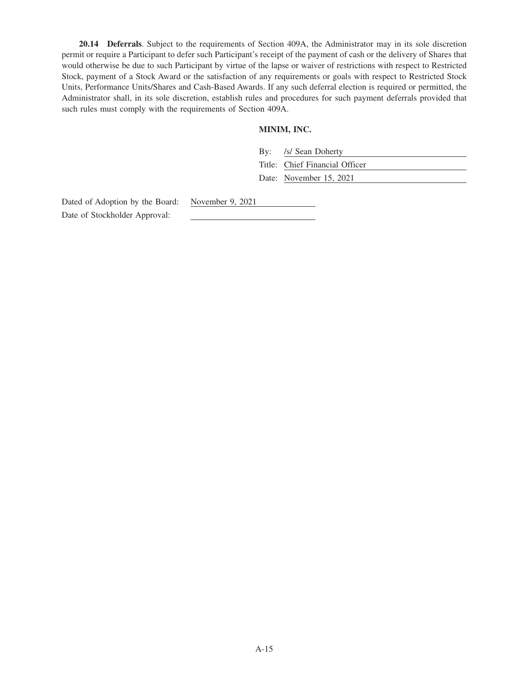**20.14 Deferrals**. Subject to the requirements of Section 409A, the Administrator may in its sole discretion permit or require a Participant to defer such Participant's receipt of the payment of cash or the delivery of Shares that would otherwise be due to such Participant by virtue of the lapse or waiver of restrictions with respect to Restricted Stock, payment of a Stock Award or the satisfaction of any requirements or goals with respect to Restricted Stock Units, Performance Units/Shares and Cash-Based Awards. If any such deferral election is required or permitted, the Administrator shall, in its sole discretion, establish rules and procedures for such payment deferrals provided that such rules must comply with the requirements of Section 409A.

# **MINIM, INC.**

| By: /s/ Sean Doherty           |
|--------------------------------|
| Title: Chief Financial Officer |
| Date: November 15, 2021        |

Dated of Adoption by the Board: November 9, 2021 Date of Stockholder Approval: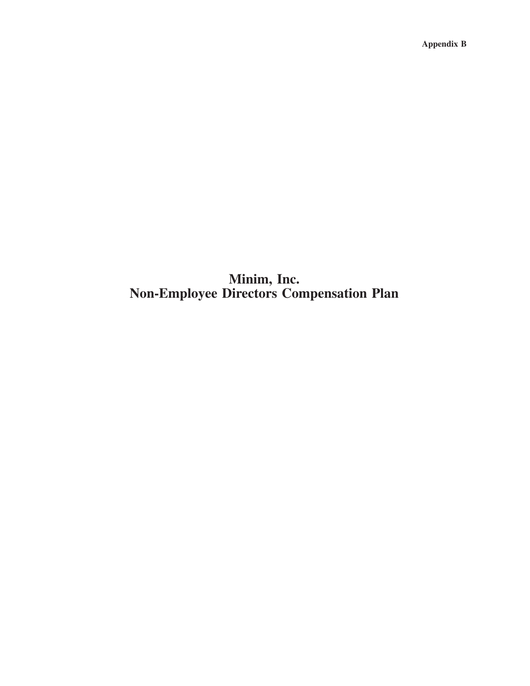**Appendix B**

# **Minim, Inc. Non-Employee Directors Compensation Plan**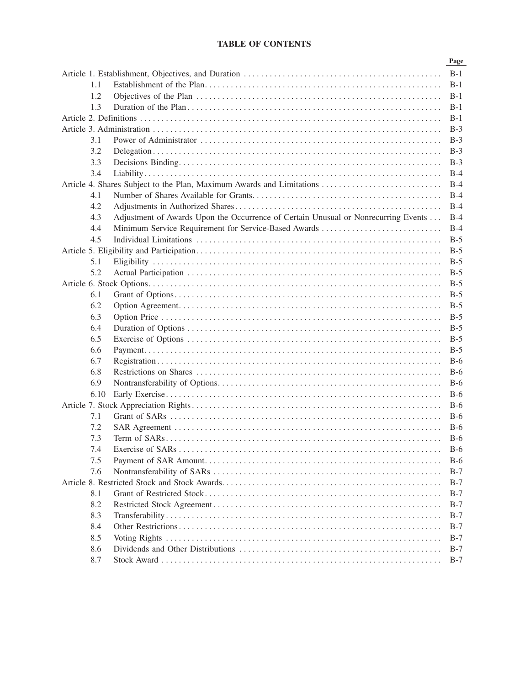# **TABLE OF CONTENTS**

|      |                                                                                    | Page  |
|------|------------------------------------------------------------------------------------|-------|
|      |                                                                                    |       |
| 1.1  |                                                                                    | $B-1$ |
| 1.2  |                                                                                    | $B-1$ |
| 1.3  |                                                                                    | $B-1$ |
|      |                                                                                    | $B-1$ |
|      |                                                                                    | $B-3$ |
| 3.1  |                                                                                    | $B-3$ |
| 3.2  |                                                                                    | $B-3$ |
| 3.3  |                                                                                    | $B-3$ |
| 3.4  |                                                                                    | $B-4$ |
|      | Article 4. Shares Subject to the Plan, Maximum Awards and Limitations              | $B-4$ |
| 4.1  |                                                                                    | $B-4$ |
| 4.2  |                                                                                    | $B-4$ |
| 4.3  | Adjustment of Awards Upon the Occurrence of Certain Unusual or Nonrecurring Events | $B-4$ |
| 4.4  | Minimum Service Requirement for Service-Based Awards                               | $B-4$ |
| 4.5  |                                                                                    | $B-5$ |
|      |                                                                                    | $B-5$ |
| 5.1  |                                                                                    | $B-5$ |
| 5.2  |                                                                                    | $B-5$ |
|      |                                                                                    | $B-5$ |
| 6.1  |                                                                                    | $B-5$ |
| 6.2  |                                                                                    | $B-5$ |
| 6.3  |                                                                                    | $B-5$ |
| 6.4  |                                                                                    | $B-5$ |
| 6.5  |                                                                                    | $B-5$ |
| 6.6  |                                                                                    | $B-5$ |
| 6.7  |                                                                                    | $B-6$ |
| 6.8  |                                                                                    | $B-6$ |
| 6.9  |                                                                                    | $B-6$ |
| 6.10 |                                                                                    | $B-6$ |
|      |                                                                                    | $B-6$ |
| 7.1  |                                                                                    | $B-6$ |
| 7.2  |                                                                                    | $B-6$ |
| 7.3  |                                                                                    | $B-6$ |
| 7.4  |                                                                                    | $B-6$ |
| 7.5  |                                                                                    | $B-6$ |
| 7.6  |                                                                                    | $B-7$ |
|      |                                                                                    | $B-7$ |
| 8.1  |                                                                                    | $B-7$ |
| 8.2  |                                                                                    | $B-7$ |
| 8.3  |                                                                                    | $B-7$ |
| 8.4  |                                                                                    | $B-7$ |
| 8.5  |                                                                                    | $B-7$ |
| 8.6  |                                                                                    | $B-7$ |
| 8.7  |                                                                                    | $B-7$ |
|      |                                                                                    |       |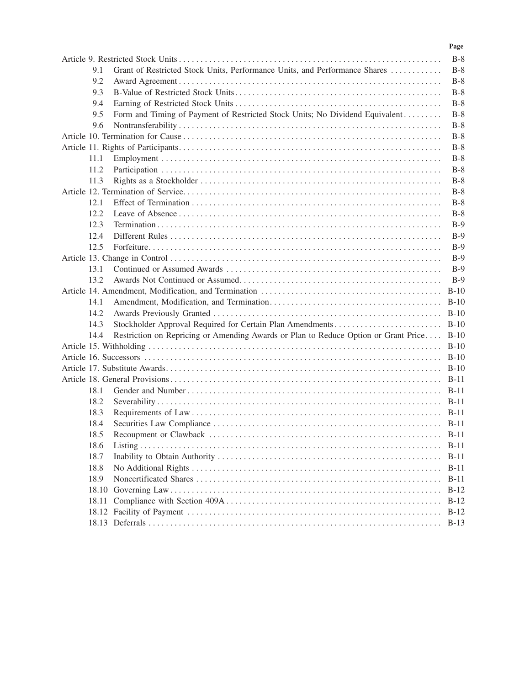|       |                                                                                          | Page   |
|-------|------------------------------------------------------------------------------------------|--------|
|       |                                                                                          | $B-8$  |
| 9.1   | Grant of Restricted Stock Units, Performance Units, and Performance Shares               | $B-8$  |
| 9.2   |                                                                                          | $B-8$  |
| 9.3   |                                                                                          | $B-8$  |
| 9.4   |                                                                                          | $B-8$  |
| 9.5   | Form and Timing of Payment of Restricted Stock Units; No Dividend Equivalent             | $B-8$  |
| 9.6   |                                                                                          | $B-8$  |
|       |                                                                                          | $B-8$  |
|       |                                                                                          | $B-8$  |
| 11.1  |                                                                                          | $B-8$  |
| 11.2  |                                                                                          | $B-8$  |
| 11.3  |                                                                                          | $B-8$  |
|       |                                                                                          | $B-8$  |
| 12.1  |                                                                                          | $B-8$  |
| 12.2  |                                                                                          | $B-8$  |
| 12.3  |                                                                                          | $B-9$  |
| 12.4  |                                                                                          | $B-9$  |
| 12.5  |                                                                                          | $B-9$  |
|       |                                                                                          | $B-9$  |
| 13.1  |                                                                                          | $B-9$  |
| 13.2  |                                                                                          | $B-9$  |
|       |                                                                                          |        |
| 14.1  |                                                                                          |        |
| 14.2  |                                                                                          |        |
| 14.3  |                                                                                          |        |
| 14.4  | Restriction on Repricing or Amending Awards or Plan to Reduce Option or Grant Price B-10 |        |
|       |                                                                                          |        |
|       |                                                                                          |        |
|       |                                                                                          |        |
|       |                                                                                          |        |
| 18.1  |                                                                                          |        |
| 18.2  |                                                                                          |        |
| 18.3  |                                                                                          |        |
| 18.4  |                                                                                          |        |
| 18.5  |                                                                                          | B-11   |
| 18.6  |                                                                                          | $B-11$ |
| 18.7  |                                                                                          | $B-11$ |
| 18.8  |                                                                                          | B-11   |
| 18.9  |                                                                                          | $B-11$ |
| 18.10 |                                                                                          | $B-12$ |
| 18.11 |                                                                                          | $B-12$ |
|       |                                                                                          | $B-12$ |
|       |                                                                                          | $B-13$ |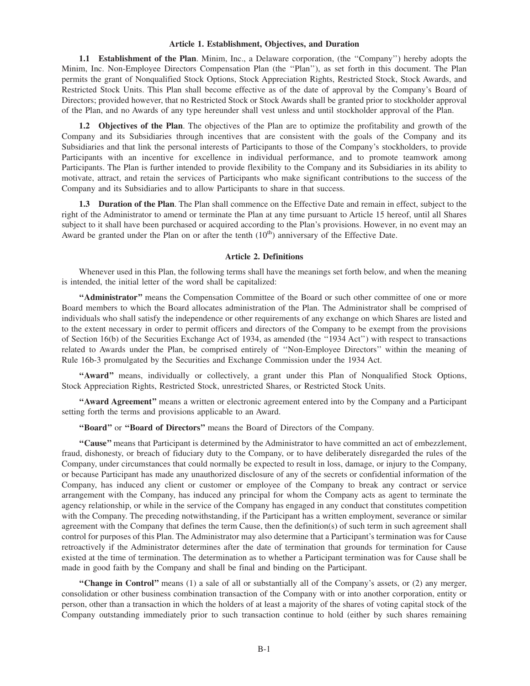#### **Article 1. Establishment, Objectives, and Duration**

**1.1 Establishment of the Plan**. Minim, Inc., a Delaware corporation, (the ''Company'') hereby adopts the Minim, Inc. Non-Employee Directors Compensation Plan (the ''Plan''), as set forth in this document. The Plan permits the grant of Nonqualified Stock Options, Stock Appreciation Rights, Restricted Stock, Stock Awards, and Restricted Stock Units. This Plan shall become effective as of the date of approval by the Company's Board of Directors; provided however, that no Restricted Stock or Stock Awards shall be granted prior to stockholder approval of the Plan, and no Awards of any type hereunder shall vest unless and until stockholder approval of the Plan.

**1.2 Objectives of the Plan**. The objectives of the Plan are to optimize the profitability and growth of the Company and its Subsidiaries through incentives that are consistent with the goals of the Company and its Subsidiaries and that link the personal interests of Participants to those of the Company's stockholders, to provide Participants with an incentive for excellence in individual performance, and to promote teamwork among Participants. The Plan is further intended to provide flexibility to the Company and its Subsidiaries in its ability to motivate, attract, and retain the services of Participants who make significant contributions to the success of the Company and its Subsidiaries and to allow Participants to share in that success.

**1.3 Duration of the Plan**. The Plan shall commence on the Effective Date and remain in effect, subject to the right of the Administrator to amend or terminate the Plan at any time pursuant to Article 15 hereof, until all Shares subject to it shall have been purchased or acquired according to the Plan's provisions. However, in no event may an Award be granted under the Plan on or after the tenth  $(10<sup>th</sup>)$  anniversary of the Effective Date.

## **Article 2. Definitions**

Whenever used in this Plan, the following terms shall have the meanings set forth below, and when the meaning is intended, the initial letter of the word shall be capitalized:

**''Administrator''** means the Compensation Committee of the Board or such other committee of one or more Board members to which the Board allocates administration of the Plan. The Administrator shall be comprised of individuals who shall satisfy the independence or other requirements of any exchange on which Shares are listed and to the extent necessary in order to permit officers and directors of the Company to be exempt from the provisions of Section 16(b) of the Securities Exchange Act of 1934, as amended (the ''1934 Act'') with respect to transactions related to Awards under the Plan, be comprised entirely of ''Non-Employee Directors'' within the meaning of Rule 16b-3 promulgated by the Securities and Exchange Commission under the 1934 Act.

**''Award''** means, individually or collectively, a grant under this Plan of Nonqualified Stock Options, Stock Appreciation Rights, Restricted Stock, unrestricted Shares, or Restricted Stock Units.

**''Award Agreement''** means a written or electronic agreement entered into by the Company and a Participant setting forth the terms and provisions applicable to an Award.

**''Board''** or **''Board of Directors''** means the Board of Directors of the Company.

**''Cause''** means that Participant is determined by the Administrator to have committed an act of embezzlement, fraud, dishonesty, or breach of fiduciary duty to the Company, or to have deliberately disregarded the rules of the Company, under circumstances that could normally be expected to result in loss, damage, or injury to the Company, or because Participant has made any unauthorized disclosure of any of the secrets or confidential information of the Company, has induced any client or customer or employee of the Company to break any contract or service arrangement with the Company, has induced any principal for whom the Company acts as agent to terminate the agency relationship, or while in the service of the Company has engaged in any conduct that constitutes competition with the Company. The preceding notwithstanding, if the Participant has a written employment, severance or similar agreement with the Company that defines the term Cause, then the definition(s) of such term in such agreement shall control for purposes of this Plan. The Administrator may also determine that a Participant's termination was for Cause retroactively if the Administrator determines after the date of termination that grounds for termination for Cause existed at the time of termination. The determination as to whether a Participant termination was for Cause shall be made in good faith by the Company and shall be final and binding on the Participant.

**''Change in Control''** means (1) a sale of all or substantially all of the Company's assets, or (2) any merger, consolidation or other business combination transaction of the Company with or into another corporation, entity or person, other than a transaction in which the holders of at least a majority of the shares of voting capital stock of the Company outstanding immediately prior to such transaction continue to hold (either by such shares remaining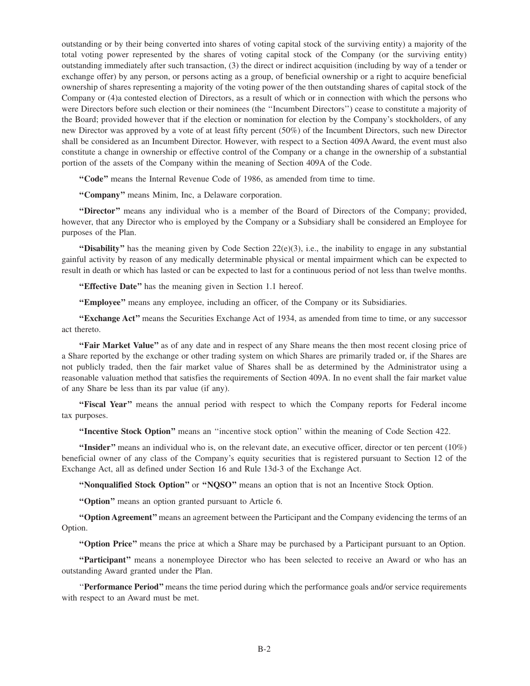outstanding or by their being converted into shares of voting capital stock of the surviving entity) a majority of the total voting power represented by the shares of voting capital stock of the Company (or the surviving entity) outstanding immediately after such transaction, (3) the direct or indirect acquisition (including by way of a tender or exchange offer) by any person, or persons acting as a group, of beneficial ownership or a right to acquire beneficial ownership of shares representing a majority of the voting power of the then outstanding shares of capital stock of the Company or (4)a contested election of Directors, as a result of which or in connection with which the persons who were Directors before such election or their nominees (the ''Incumbent Directors'') cease to constitute a majority of the Board; provided however that if the election or nomination for election by the Company's stockholders, of any new Director was approved by a vote of at least fifty percent (50%) of the Incumbent Directors, such new Director shall be considered as an Incumbent Director. However, with respect to a Section 409A Award, the event must also constitute a change in ownership or effective control of the Company or a change in the ownership of a substantial portion of the assets of the Company within the meaning of Section 409A of the Code.

**''Code''** means the Internal Revenue Code of 1986, as amended from time to time.

**''Company''** means Minim, Inc, a Delaware corporation.

**''Director''** means any individual who is a member of the Board of Directors of the Company; provided, however, that any Director who is employed by the Company or a Subsidiary shall be considered an Employee for purposes of the Plan.

**''Disability''** has the meaning given by Code Section  $22(e)(3)$ , i.e., the inability to engage in any substantial gainful activity by reason of any medically determinable physical or mental impairment which can be expected to result in death or which has lasted or can be expected to last for a continuous period of not less than twelve months.

"Effective Date" has the meaning given in Section 1.1 hereof.

**''Employee''** means any employee, including an officer, of the Company or its Subsidiaries.

**''Exchange Act''** means the Securities Exchange Act of 1934, as amended from time to time, or any successor act thereto.

**''Fair Market Value''** as of any date and in respect of any Share means the then most recent closing price of a Share reported by the exchange or other trading system on which Shares are primarily traded or, if the Shares are not publicly traded, then the fair market value of Shares shall be as determined by the Administrator using a reasonable valuation method that satisfies the requirements of Section 409A. In no event shall the fair market value of any Share be less than its par value (if any).

"Fiscal Year" means the annual period with respect to which the Company reports for Federal income tax purposes.

**''Incentive Stock Option''** means an ''incentive stock option'' within the meaning of Code Section 422.

**''Insider''** means an individual who is, on the relevant date, an executive officer, director or ten percent (10%) beneficial owner of any class of the Company's equity securities that is registered pursuant to Section 12 of the Exchange Act, all as defined under Section 16 and Rule 13d-3 of the Exchange Act.

**''Nonqualified Stock Option''** or **''NQSO''** means an option that is not an Incentive Stock Option.

**''Option''** means an option granted pursuant to Article 6.

**''Option Agreement''**means an agreement between the Participant and the Company evidencing the terms of an Option.

**''Option Price''** means the price at which a Share may be purchased by a Participant pursuant to an Option.

**''Participant''** means a nonemployee Director who has been selected to receive an Award or who has an outstanding Award granted under the Plan.

''**Performance Period''** means the time period during which the performance goals and/or service requirements with respect to an Award must be met.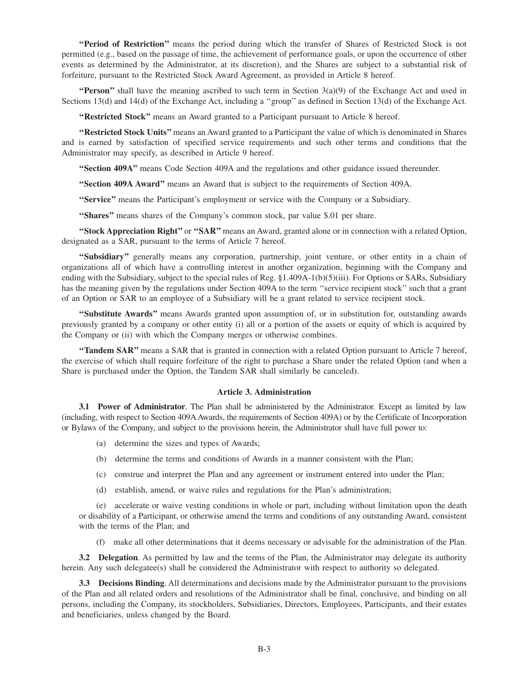**''Period of Restriction''** means the period during which the transfer of Shares of Restricted Stock is not permitted (e.g., based on the passage of time, the achievement of performance goals, or upon the occurrence of other events as determined by the Administrator, at its discretion), and the Shares are subject to a substantial risk of forfeiture, pursuant to the Restricted Stock Award Agreement, as provided in Article 8 hereof.

**''Person''** shall have the meaning ascribed to such term in Section  $3(a)(9)$  of the Exchange Act and used in Sections 13(d) and 14(d) of the Exchange Act, including a ''group'' as defined in Section 13(d) of the Exchange Act.

**''Restricted Stock''** means an Award granted to a Participant pursuant to Article 8 hereof.

**''Restricted Stock Units''** means an Award granted to a Participant the value of which is denominated in Shares and is earned by satisfaction of specified service requirements and such other terms and conditions that the Administrator may specify, as described in Article 9 hereof.

**''Section 409A''** means Code Section 409A and the regulations and other guidance issued thereunder.

**''Section 409A Award''** means an Award that is subject to the requirements of Section 409A.

**''Service''** means the Participant's employment or service with the Company or a Subsidiary.

**"Shares"** means shares of the Company's common stock, par value \$.01 per share.

**''Stock Appreciation Right''** or **''SAR''** means an Award, granted alone or in connection with a related Option, designated as a SAR, pursuant to the terms of Article 7 hereof.

**''Subsidiary''** generally means any corporation, partnership, joint venture, or other entity in a chain of organizations all of which have a controlling interest in another organization, beginning with the Company and ending with the Subsidiary, subject to the special rules of Reg. §1.409A-1(b)(5)(iii). For Options or SARs, Subsidiary has the meaning given by the regulations under Section 409A to the term ''service recipient stock'' such that a grant of an Option or SAR to an employee of a Subsidiary will be a grant related to service recipient stock.

**''Substitute Awards''** means Awards granted upon assumption of, or in substitution for, outstanding awards previously granted by a company or other entity (i) all or a portion of the assets or equity of which is acquired by the Company or (ii) with which the Company merges or otherwise combines.

**''Tandem SAR''** means a SAR that is granted in connection with a related Option pursuant to Article 7 hereof, the exercise of which shall require forfeiture of the right to purchase a Share under the related Option (and when a Share is purchased under the Option, the Tandem SAR shall similarly be canceled).

## **Article 3. Administration**

**3.1 Power of Administrator**. The Plan shall be administered by the Administrator. Except as limited by law (including, with respect to Section 409AAwards, the requirements of Section 409A) or by the Certificate of Incorporation or Bylaws of the Company, and subject to the provisions herein, the Administrator shall have full power to:

- (a) determine the sizes and types of Awards;
- (b) determine the terms and conditions of Awards in a manner consistent with the Plan;
- (c) construe and interpret the Plan and any agreement or instrument entered into under the Plan;
- (d) establish, amend, or waive rules and regulations for the Plan's administration;

(e) accelerate or waive vesting conditions in whole or part, including without limitation upon the death or disability of a Participant, or otherwise amend the terms and conditions of any outstanding Award, consistent with the terms of the Plan; and

(f) make all other determinations that it deems necessary or advisable for the administration of the Plan.

**3.2 Delegation**. As permitted by law and the terms of the Plan, the Administrator may delegate its authority herein. Any such delegatee(s) shall be considered the Administrator with respect to authority so delegated.

**3.3 Decisions Binding**. All determinations and decisions made by the Administrator pursuant to the provisions of the Plan and all related orders and resolutions of the Administrator shall be final, conclusive, and binding on all persons, including the Company, its stockholders, Subsidiaries, Directors, Employees, Participants, and their estates and beneficiaries, unless changed by the Board.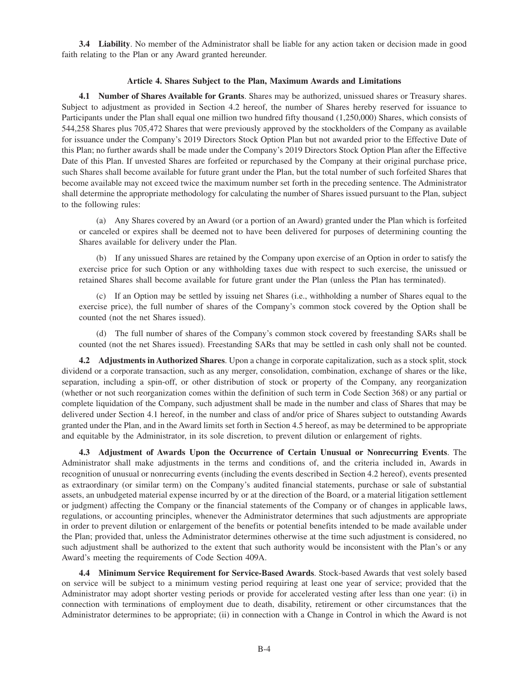**3.4 Liability**. No member of the Administrator shall be liable for any action taken or decision made in good faith relating to the Plan or any Award granted hereunder.

## **Article 4. Shares Subject to the Plan, Maximum Awards and Limitations**

**4.1 Number of Shares Available for Grants**. Shares may be authorized, unissued shares or Treasury shares. Subject to adjustment as provided in Section 4.2 hereof, the number of Shares hereby reserved for issuance to Participants under the Plan shall equal one million two hundred fifty thousand (1,250,000) Shares, which consists of 544,258 Shares plus 705,472 Shares that were previously approved by the stockholders of the Company as available for issuance under the Company's 2019 Directors Stock Option Plan but not awarded prior to the Effective Date of this Plan; no further awards shall be made under the Company's 2019 Directors Stock Option Plan after the Effective Date of this Plan. If unvested Shares are forfeited or repurchased by the Company at their original purchase price, such Shares shall become available for future grant under the Plan, but the total number of such forfeited Shares that become available may not exceed twice the maximum number set forth in the preceding sentence. The Administrator shall determine the appropriate methodology for calculating the number of Shares issued pursuant to the Plan, subject to the following rules:

(a) Any Shares covered by an Award (or a portion of an Award) granted under the Plan which is forfeited or canceled or expires shall be deemed not to have been delivered for purposes of determining counting the Shares available for delivery under the Plan.

(b) If any unissued Shares are retained by the Company upon exercise of an Option in order to satisfy the exercise price for such Option or any withholding taxes due with respect to such exercise, the unissued or retained Shares shall become available for future grant under the Plan (unless the Plan has terminated).

(c) If an Option may be settled by issuing net Shares (i.e., withholding a number of Shares equal to the exercise price), the full number of shares of the Company's common stock covered by the Option shall be counted (not the net Shares issued).

(d) The full number of shares of the Company's common stock covered by freestanding SARs shall be counted (not the net Shares issued). Freestanding SARs that may be settled in cash only shall not be counted.

**4.2 Adjustments in Authorized Shares**. Upon a change in corporate capitalization, such as a stock split, stock dividend or a corporate transaction, such as any merger, consolidation, combination, exchange of shares or the like, separation, including a spin-off, or other distribution of stock or property of the Company, any reorganization (whether or not such reorganization comes within the definition of such term in Code Section 368) or any partial or complete liquidation of the Company, such adjustment shall be made in the number and class of Shares that may be delivered under Section 4.1 hereof, in the number and class of and/or price of Shares subject to outstanding Awards granted under the Plan, and in the Award limits set forth in Section 4.5 hereof, as may be determined to be appropriate and equitable by the Administrator, in its sole discretion, to prevent dilution or enlargement of rights.

**4.3 Adjustment of Awards Upon the Occurrence of Certain Unusual or Nonrecurring Events**. The Administrator shall make adjustments in the terms and conditions of, and the criteria included in, Awards in recognition of unusual or nonrecurring events (including the events described in Section 4.2 hereof), events presented as extraordinary (or similar term) on the Company's audited financial statements, purchase or sale of substantial assets, an unbudgeted material expense incurred by or at the direction of the Board, or a material litigation settlement or judgment) affecting the Company or the financial statements of the Company or of changes in applicable laws, regulations, or accounting principles, whenever the Administrator determines that such adjustments are appropriate in order to prevent dilution or enlargement of the benefits or potential benefits intended to be made available under the Plan; provided that, unless the Administrator determines otherwise at the time such adjustment is considered, no such adjustment shall be authorized to the extent that such authority would be inconsistent with the Plan's or any Award's meeting the requirements of Code Section 409A.

**4.4 Minimum Service Requirement for Service-Based Awards**. Stock-based Awards that vest solely based on service will be subject to a minimum vesting period requiring at least one year of service; provided that the Administrator may adopt shorter vesting periods or provide for accelerated vesting after less than one year: (i) in connection with terminations of employment due to death, disability, retirement or other circumstances that the Administrator determines to be appropriate; (ii) in connection with a Change in Control in which the Award is not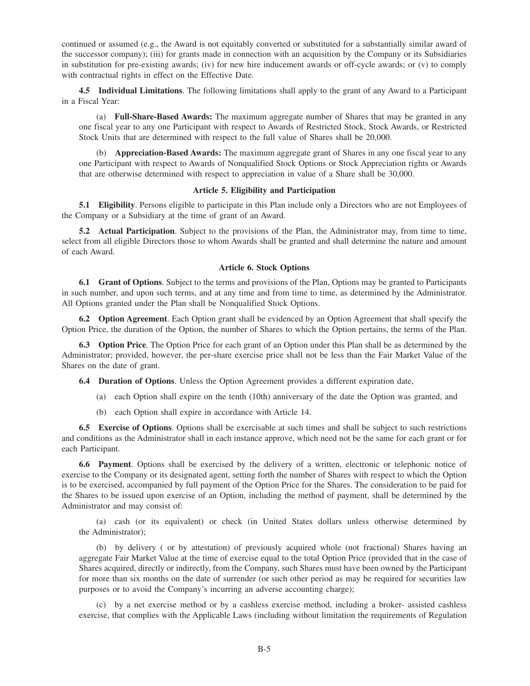continued or assumed (e.g., the Award is not equitably converted or substituted for a substantially similar award of the successor company); (iii) for grants made in connection with an acquisition by the Company or its Subsidiaries in substitution for pre-existing awards; (iv) for new hire inducement awards or off-cycle awards; or (v) to comply with contractual rights in effect on the Effective Date.

**4.5 Individual Limitations**. The following limitations shall apply to the grant of any Award to a Participant in a Fiscal Year:

(a) **Full-Share-Based Awards:** The maximum aggregate number of Shares that may be granted in any one fiscal year to any one Participant with respect to Awards of Restricted Stock, Stock Awards, or Restricted Stock Units that are determined with respect to the full value of Shares shall be 20,000.

(b) **Appreciation-Based Awards:** The maximum aggregate grant of Shares in any one fiscal year to any one Participant with respect to Awards of Nonqualified Stock Options or Stock Appreciation rights or Awards that are otherwise determined with respect to appreciation in value of a Share shall be 30,000.

# **Article 5. Eligibility and Participation**

**5.1 Eligibility**. Persons eligible to participate in this Plan include only a Directors who are not Employees of the Company or a Subsidiary at the time of grant of an Award.

**5.2 Actual Participation**. Subject to the provisions of the Plan, the Administrator may, from time to time, select from all eligible Directors those to whom Awards shall be granted and shall determine the nature and amount of each Award.

#### **Article 6. Stock Options**

**6.1 Grant of Options**. Subject to the terms and provisions of the Plan, Options may be granted to Participants in such number, and upon such terms, and at any time and from time to time, as determined by the Administrator. All Options granted under the Plan shall be Nonqualified Stock Options.

**6.2 Option Agreement**. Each Option grant shall be evidenced by an Option Agreement that shall specify the Option Price, the duration of the Option, the number of Shares to which the Option pertains, the terms of the Plan.

**6.3 Option Price**. The Option Price for each grant of an Option under this Plan shall be as determined by the Administrator; provided, however, the per-share exercise price shall not be less than the Fair Market Value of the Shares on the date of grant.

**6.4 Duration of Options**. Unless the Option Agreement provides a different expiration date,

- (a) each Option shall expire on the tenth (10th) anniversary of the date the Option was granted, and
- (b) each Option shall expire in accordance with Article 14.

**6.5 Exercise of Options**. Options shall be exercisable at such times and shall be subject to such restrictions and conditions as the Administrator shall in each instance approve, which need not be the same for each grant or for each Participant.

**6.6 Payment**. Options shall be exercised by the delivery of a written, electronic or telephonic notice of exercise to the Company or its designated agent, setting forth the number of Shares with respect to which the Option is to be exercised, accompanied by full payment of the Option Price for the Shares. The consideration to be paid for the Shares to be issued upon exercise of an Option, including the method of payment, shall be determined by the Administrator and may consist of:

(a) cash (or its equivalent) or check (in United States dollars unless otherwise determined by the Administrator);

(b) by delivery ( or by attestation) of previously acquired whole (not fractional) Shares having an aggregate Fair Market Value at the time of exercise equal to the total Option Price (provided that in the case of Shares acquired, directly or indirectly, from the Company, such Shares must have been owned by the Participant for more than six months on the date of surrender (or such other period as may be required for securities law purposes or to avoid the Company's incurring an adverse accounting charge);

(c) by a net exercise method or by a cashless exercise method, including a broker- assisted cashless exercise, that complies with the Applicable Laws (including without limitation the requirements of Regulation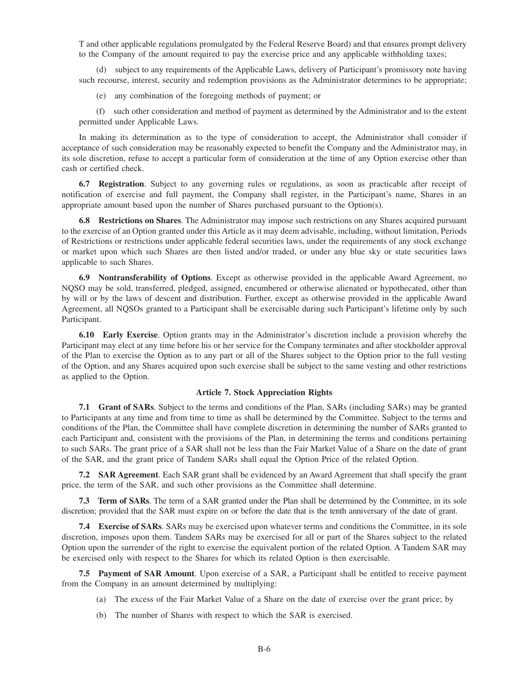T and other applicable regulations promulgated by the Federal Reserve Board) and that ensures prompt delivery to the Company of the amount required to pay the exercise price and any applicable withholding taxes;

(d) subject to any requirements of the Applicable Laws, delivery of Participant's promissory note having such recourse, interest, security and redemption provisions as the Administrator determines to be appropriate;

(e) any combination of the foregoing methods of payment; or

(f) such other consideration and method of payment as determined by the Administrator and to the extent permitted under Applicable Laws.

In making its determination as to the type of consideration to accept, the Administrator shall consider if acceptance of such consideration may be reasonably expected to benefit the Company and the Administrator may, in its sole discretion, refuse to accept a particular form of consideration at the time of any Option exercise other than cash or certified check.

**6.7 Registration**. Subject to any governing rules or regulations, as soon as practicable after receipt of notification of exercise and full payment, the Company shall register, in the Participant's name, Shares in an appropriate amount based upon the number of Shares purchased pursuant to the Option(s).

**6.8 Restrictions on Shares**. The Administrator may impose such restrictions on any Shares acquired pursuant to the exercise of an Option granted under this Article as it may deem advisable, including, without limitation, Periods of Restrictions or restrictions under applicable federal securities laws, under the requirements of any stock exchange or market upon which such Shares are then listed and/or traded, or under any blue sky or state securities laws applicable to such Shares.

**6.9 Nontransferability of Options**. Except as otherwise provided in the applicable Award Agreement, no NQSO may be sold, transferred, pledged, assigned, encumbered or otherwise alienated or hypothecated, other than by will or by the laws of descent and distribution. Further, except as otherwise provided in the applicable Award Agreement, all NQSOs granted to a Participant shall be exercisable during such Participant's lifetime only by such Participant.

**6.10 Early Exercise**. Option grants may in the Administrator's discretion include a provision whereby the Participant may elect at any time before his or her service for the Company terminates and after stockholder approval of the Plan to exercise the Option as to any part or all of the Shares subject to the Option prior to the full vesting of the Option, and any Shares acquired upon such exercise shall be subject to the same vesting and other restrictions as applied to the Option.

#### **Article 7. Stock Appreciation Rights**

**7.1 Grant of SARs**. Subject to the terms and conditions of the Plan, SARs (including SARs) may be granted to Participants at any time and from time to time as shall be determined by the Committee. Subject to the terms and conditions of the Plan, the Committee shall have complete discretion in determining the number of SARs granted to each Participant and, consistent with the provisions of the Plan, in determining the terms and conditions pertaining to such SARs. The grant price of a SAR shall not be less than the Fair Market Value of a Share on the date of grant of the SAR, and the grant price of Tandem SARs shall equal the Option Price of the related Option.

**7.2 SAR Agreement**. Each SAR grant shall be evidenced by an Award Agreement that shall specify the grant price, the term of the SAR, and such other provisions as the Committee shall determine.

**7.3 Term of SARs**. The term of a SAR granted under the Plan shall be determined by the Committee, in its sole discretion; provided that the SAR must expire on or before the date that is the tenth anniversary of the date of grant.

**7.4 Exercise of SARs**. SARs may be exercised upon whatever terms and conditions the Committee, in its sole discretion, imposes upon them. Tandem SARs may be exercised for all or part of the Shares subject to the related Option upon the surrender of the right to exercise the equivalent portion of the related Option. A Tandem SAR may be exercised only with respect to the Shares for which its related Option is then exercisable.

**7.5 Payment of SAR Amount**. Upon exercise of a SAR, a Participant shall be entitled to receive payment from the Company in an amount determined by multiplying:

- (a) The excess of the Fair Market Value of a Share on the date of exercise over the grant price; by
- (b) The number of Shares with respect to which the SAR is exercised.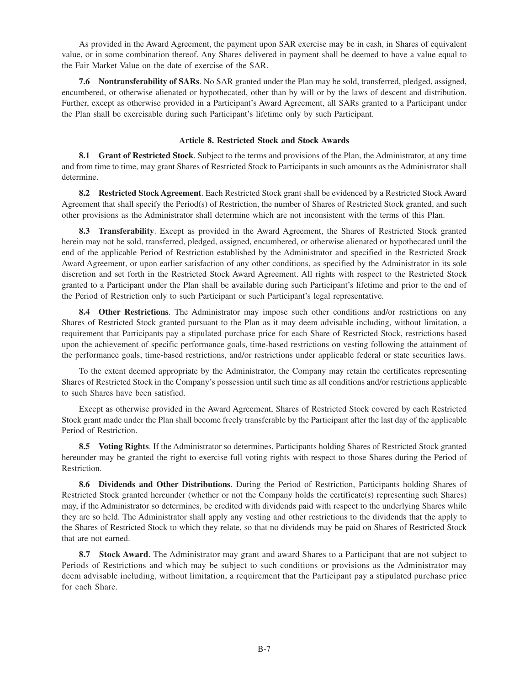As provided in the Award Agreement, the payment upon SAR exercise may be in cash, in Shares of equivalent value, or in some combination thereof. Any Shares delivered in payment shall be deemed to have a value equal to the Fair Market Value on the date of exercise of the SAR.

**7.6 Nontransferability of SARs**. No SAR granted under the Plan may be sold, transferred, pledged, assigned, encumbered, or otherwise alienated or hypothecated, other than by will or by the laws of descent and distribution. Further, except as otherwise provided in a Participant's Award Agreement, all SARs granted to a Participant under the Plan shall be exercisable during such Participant's lifetime only by such Participant.

## **Article 8. Restricted Stock and Stock Awards**

**8.1 Grant of Restricted Stock**. Subject to the terms and provisions of the Plan, the Administrator, at any time and from time to time, may grant Shares of Restricted Stock to Participants in such amounts as the Administrator shall determine.

**8.2 Restricted Stock Agreement**. Each Restricted Stock grant shall be evidenced by a Restricted Stock Award Agreement that shall specify the Period(s) of Restriction, the number of Shares of Restricted Stock granted, and such other provisions as the Administrator shall determine which are not inconsistent with the terms of this Plan.

**8.3 Transferability**. Except as provided in the Award Agreement, the Shares of Restricted Stock granted herein may not be sold, transferred, pledged, assigned, encumbered, or otherwise alienated or hypothecated until the end of the applicable Period of Restriction established by the Administrator and specified in the Restricted Stock Award Agreement, or upon earlier satisfaction of any other conditions, as specified by the Administrator in its sole discretion and set forth in the Restricted Stock Award Agreement. All rights with respect to the Restricted Stock granted to a Participant under the Plan shall be available during such Participant's lifetime and prior to the end of the Period of Restriction only to such Participant or such Participant's legal representative.

**8.4 Other Restrictions**. The Administrator may impose such other conditions and/or restrictions on any Shares of Restricted Stock granted pursuant to the Plan as it may deem advisable including, without limitation, a requirement that Participants pay a stipulated purchase price for each Share of Restricted Stock, restrictions based upon the achievement of specific performance goals, time-based restrictions on vesting following the attainment of the performance goals, time-based restrictions, and/or restrictions under applicable federal or state securities laws.

To the extent deemed appropriate by the Administrator, the Company may retain the certificates representing Shares of Restricted Stock in the Company's possession until such time as all conditions and/or restrictions applicable to such Shares have been satisfied.

Except as otherwise provided in the Award Agreement, Shares of Restricted Stock covered by each Restricted Stock grant made under the Plan shall become freely transferable by the Participant after the last day of the applicable Period of Restriction.

**8.5 Voting Rights**. If the Administrator so determines, Participants holding Shares of Restricted Stock granted hereunder may be granted the right to exercise full voting rights with respect to those Shares during the Period of Restriction.

**8.6 Dividends and Other Distributions**. During the Period of Restriction, Participants holding Shares of Restricted Stock granted hereunder (whether or not the Company holds the certificate(s) representing such Shares) may, if the Administrator so determines, be credited with dividends paid with respect to the underlying Shares while they are so held. The Administrator shall apply any vesting and other restrictions to the dividends that the apply to the Shares of Restricted Stock to which they relate, so that no dividends may be paid on Shares of Restricted Stock that are not earned.

**8.7 Stock Award**. The Administrator may grant and award Shares to a Participant that are not subject to Periods of Restrictions and which may be subject to such conditions or provisions as the Administrator may deem advisable including, without limitation, a requirement that the Participant pay a stipulated purchase price for each Share.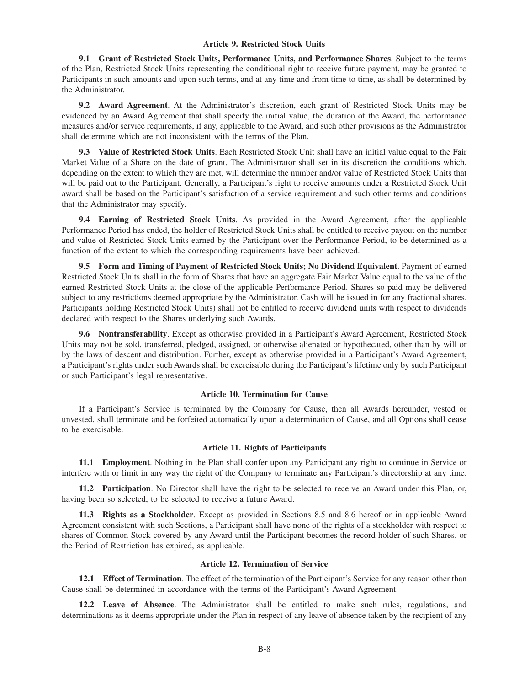## **Article 9. Restricted Stock Units**

**9.1 Grant of Restricted Stock Units, Performance Units, and Performance Shares**. Subject to the terms of the Plan, Restricted Stock Units representing the conditional right to receive future payment, may be granted to Participants in such amounts and upon such terms, and at any time and from time to time, as shall be determined by the Administrator.

**9.2 Award Agreement**. At the Administrator's discretion, each grant of Restricted Stock Units may be evidenced by an Award Agreement that shall specify the initial value, the duration of the Award, the performance measures and/or service requirements, if any, applicable to the Award, and such other provisions as the Administrator shall determine which are not inconsistent with the terms of the Plan.

**9.3 Value of Restricted Stock Units**. Each Restricted Stock Unit shall have an initial value equal to the Fair Market Value of a Share on the date of grant. The Administrator shall set in its discretion the conditions which, depending on the extent to which they are met, will determine the number and/or value of Restricted Stock Units that will be paid out to the Participant. Generally, a Participant's right to receive amounts under a Restricted Stock Unit award shall be based on the Participant's satisfaction of a service requirement and such other terms and conditions that the Administrator may specify.

**9.4 Earning of Restricted Stock Units**. As provided in the Award Agreement, after the applicable Performance Period has ended, the holder of Restricted Stock Units shall be entitled to receive payout on the number and value of Restricted Stock Units earned by the Participant over the Performance Period, to be determined as a function of the extent to which the corresponding requirements have been achieved.

**9.5 Form and Timing of Payment of Restricted Stock Units; No Dividend Equivalent**. Payment of earned Restricted Stock Units shall in the form of Shares that have an aggregate Fair Market Value equal to the value of the earned Restricted Stock Units at the close of the applicable Performance Period. Shares so paid may be delivered subject to any restrictions deemed appropriate by the Administrator. Cash will be issued in for any fractional shares. Participants holding Restricted Stock Units) shall not be entitled to receive dividend units with respect to dividends declared with respect to the Shares underlying such Awards.

**9.6 Nontransferability**. Except as otherwise provided in a Participant's Award Agreement, Restricted Stock Units may not be sold, transferred, pledged, assigned, or otherwise alienated or hypothecated, other than by will or by the laws of descent and distribution. Further, except as otherwise provided in a Participant's Award Agreement, a Participant's rights under such Awards shall be exercisable during the Participant's lifetime only by such Participant or such Participant's legal representative.

#### **Article 10. Termination for Cause**

If a Participant's Service is terminated by the Company for Cause, then all Awards hereunder, vested or unvested, shall terminate and be forfeited automatically upon a determination of Cause, and all Options shall cease to be exercisable.

# **Article 11. Rights of Participants**

**11.1 Employment**. Nothing in the Plan shall confer upon any Participant any right to continue in Service or interfere with or limit in any way the right of the Company to terminate any Participant's directorship at any time.

**11.2 Participation**. No Director shall have the right to be selected to receive an Award under this Plan, or, having been so selected, to be selected to receive a future Award.

**11.3 Rights as a Stockholder**. Except as provided in Sections 8.5 and 8.6 hereof or in applicable Award Agreement consistent with such Sections, a Participant shall have none of the rights of a stockholder with respect to shares of Common Stock covered by any Award until the Participant becomes the record holder of such Shares, or the Period of Restriction has expired, as applicable.

#### **Article 12. Termination of Service**

**12.1 Effect of Termination**. The effect of the termination of the Participant's Service for any reason other than Cause shall be determined in accordance with the terms of the Participant's Award Agreement.

**12.2 Leave of Absence**. The Administrator shall be entitled to make such rules, regulations, and determinations as it deems appropriate under the Plan in respect of any leave of absence taken by the recipient of any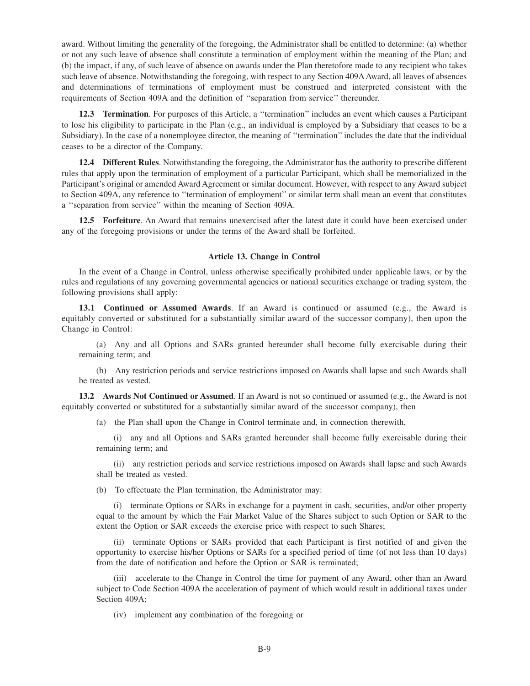award. Without limiting the generality of the foregoing, the Administrator shall be entitled to determine: (a) whether or not any such leave of absence shall constitute a termination of employment within the meaning of the Plan; and (b) the impact, if any, of such leave of absence on awards under the Plan theretofore made to any recipient who takes such leave of absence. Notwithstanding the foregoing, with respect to any Section 409A Award, all leaves of absences and determinations of terminations of employment must be construed and interpreted consistent with the requirements of Section 409A and the definition of ''separation from service'' thereunder.

**12.3 Termination**. For purposes of this Article, a ''termination'' includes an event which causes a Participant to lose his eligibility to participate in the Plan (e.g., an individual is employed by a Subsidiary that ceases to be a Subsidiary). In the case of a nonemployee director, the meaning of ''termination'' includes the date that the individual ceases to be a director of the Company.

**12.4 Different Rules**. Notwithstanding the foregoing, the Administrator has the authority to prescribe different rules that apply upon the termination of employment of a particular Participant, which shall be memorialized in the Participant's original or amended Award Agreement or similar document. However, with respect to any Award subject to Section 409A, any reference to ''termination of employment'' or similar term shall mean an event that constitutes a ''separation from service'' within the meaning of Section 409A.

**12.5 Forfeiture**. An Award that remains unexercised after the latest date it could have been exercised under any of the foregoing provisions or under the terms of the Award shall be forfeited.

#### **Article 13. Change in Control**

In the event of a Change in Control, unless otherwise specifically prohibited under applicable laws, or by the rules and regulations of any governing governmental agencies or national securities exchange or trading system, the following provisions shall apply:

**13.1 Continued or Assumed Awards**. If an Award is continued or assumed (e.g., the Award is equitably converted or substituted for a substantially similar award of the successor company), then upon the Change in Control:

(a) Any and all Options and SARs granted hereunder shall become fully exercisable during their remaining term; and

(b) Any restriction periods and service restrictions imposed on Awards shall lapse and such Awards shall be treated as vested.

**13.2 Awards Not Continued or Assumed**. If an Award is not so continued or assumed (e.g., the Award is not equitably converted or substituted for a substantially similar award of the successor company), then

(a) the Plan shall upon the Change in Control terminate and, in connection therewith,

(i) any and all Options and SARs granted hereunder shall become fully exercisable during their remaining term; and

(ii) any restriction periods and service restrictions imposed on Awards shall lapse and such Awards shall be treated as vested.

(b) To effectuate the Plan termination, the Administrator may:

(i) terminate Options or SARs in exchange for a payment in cash, securities, and/or other property equal to the amount by which the Fair Market Value of the Shares subject to such Option or SAR to the extent the Option or SAR exceeds the exercise price with respect to such Shares;

(ii) terminate Options or SARs provided that each Participant is first notified of and given the opportunity to exercise his/her Options or SARs for a specified period of time (of not less than 10 days) from the date of notification and before the Option or SAR is terminated;

(iii) accelerate to the Change in Control the time for payment of any Award, other than an Award subject to Code Section 409A the acceleration of payment of which would result in additional taxes under Section 409A;

(iv) implement any combination of the foregoing or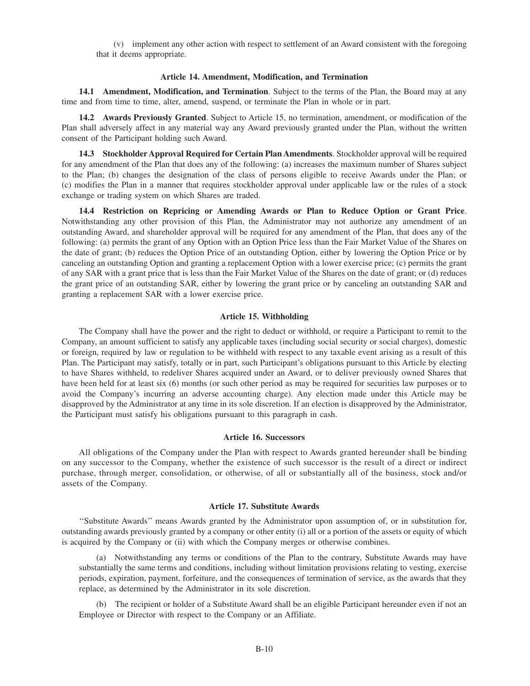(v) implement any other action with respect to settlement of an Award consistent with the foregoing that it deems appropriate.

#### **Article 14. Amendment, Modification, and Termination**

**14.1 Amendment, Modification, and Termination**. Subject to the terms of the Plan, the Board may at any time and from time to time, alter, amend, suspend, or terminate the Plan in whole or in part.

**14.2 Awards Previously Granted**. Subject to Article 15, no termination, amendment, or modification of the Plan shall adversely affect in any material way any Award previously granted under the Plan, without the written consent of the Participant holding such Award.

**14.3 Stockholder Approval Required for Certain Plan Amendments**. Stockholder approval will be required for any amendment of the Plan that does any of the following: (a) increases the maximum number of Shares subject to the Plan; (b) changes the designation of the class of persons eligible to receive Awards under the Plan; or (c) modifies the Plan in a manner that requires stockholder approval under applicable law or the rules of a stock exchange or trading system on which Shares are traded.

**14.4 Restriction on Repricing or Amending Awards or Plan to Reduce Option or Grant Price**. Notwithstanding any other provision of this Plan, the Administrator may not authorize any amendment of an outstanding Award, and shareholder approval will be required for any amendment of the Plan, that does any of the following: (a) permits the grant of any Option with an Option Price less than the Fair Market Value of the Shares on the date of grant; (b) reduces the Option Price of an outstanding Option, either by lowering the Option Price or by canceling an outstanding Option and granting a replacement Option with a lower exercise price; (c) permits the grant of any SAR with a grant price that is less than the Fair Market Value of the Shares on the date of grant; or (d) reduces the grant price of an outstanding SAR, either by lowering the grant price or by canceling an outstanding SAR and granting a replacement SAR with a lower exercise price.

### **Article 15. Withholding**

The Company shall have the power and the right to deduct or withhold, or require a Participant to remit to the Company, an amount sufficient to satisfy any applicable taxes (including social security or social charges), domestic or foreign, required by law or regulation to be withheld with respect to any taxable event arising as a result of this Plan. The Participant may satisfy, totally or in part, such Participant's obligations pursuant to this Article by electing to have Shares withheld, to redeliver Shares acquired under an Award, or to deliver previously owned Shares that have been held for at least six (6) months (or such other period as may be required for securities law purposes or to avoid the Company's incurring an adverse accounting charge). Any election made under this Article may be disapproved by the Administrator at any time in its sole discretion. If an election is disapproved by the Administrator, the Participant must satisfy his obligations pursuant to this paragraph in cash.

#### **Article 16. Successors**

All obligations of the Company under the Plan with respect to Awards granted hereunder shall be binding on any successor to the Company, whether the existence of such successor is the result of a direct or indirect purchase, through merger, consolidation, or otherwise, of all or substantially all of the business, stock and/or assets of the Company.

### **Article 17. Substitute Awards**

''Substitute Awards'' means Awards granted by the Administrator upon assumption of, or in substitution for, outstanding awards previously granted by a company or other entity (i) all or a portion of the assets or equity of which is acquired by the Company or (ii) with which the Company merges or otherwise combines.

(a) Notwithstanding any terms or conditions of the Plan to the contrary, Substitute Awards may have substantially the same terms and conditions, including without limitation provisions relating to vesting, exercise periods, expiration, payment, forfeiture, and the consequences of termination of service, as the awards that they replace, as determined by the Administrator in its sole discretion.

(b) The recipient or holder of a Substitute Award shall be an eligible Participant hereunder even if not an Employee or Director with respect to the Company or an Affiliate.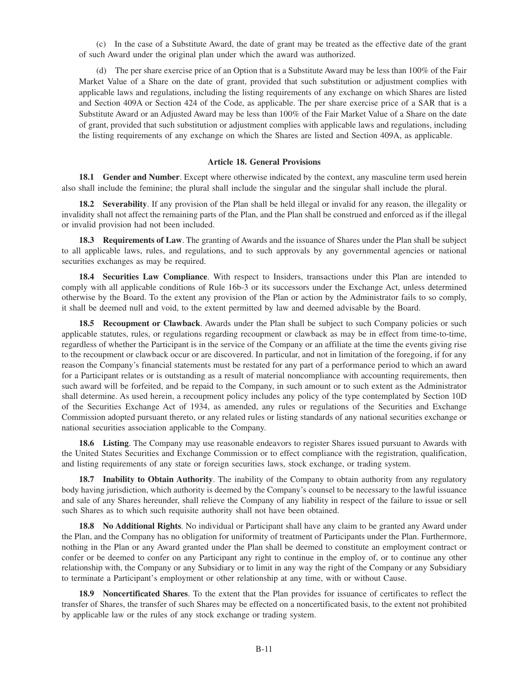(c) In the case of a Substitute Award, the date of grant may be treated as the effective date of the grant of such Award under the original plan under which the award was authorized.

(d) The per share exercise price of an Option that is a Substitute Award may be less than 100% of the Fair Market Value of a Share on the date of grant, provided that such substitution or adjustment complies with applicable laws and regulations, including the listing requirements of any exchange on which Shares are listed and Section 409A or Section 424 of the Code, as applicable. The per share exercise price of a SAR that is a Substitute Award or an Adjusted Award may be less than 100% of the Fair Market Value of a Share on the date of grant, provided that such substitution or adjustment complies with applicable laws and regulations, including the listing requirements of any exchange on which the Shares are listed and Section 409A, as applicable.

### **Article 18. General Provisions**

**18.1 Gender and Number**. Except where otherwise indicated by the context, any masculine term used herein also shall include the feminine; the plural shall include the singular and the singular shall include the plural.

**18.2 Severability**. If any provision of the Plan shall be held illegal or invalid for any reason, the illegality or invalidity shall not affect the remaining parts of the Plan, and the Plan shall be construed and enforced as if the illegal or invalid provision had not been included.

**18.3 Requirements of Law**. The granting of Awards and the issuance of Shares under the Plan shall be subject to all applicable laws, rules, and regulations, and to such approvals by any governmental agencies or national securities exchanges as may be required.

**18.4 Securities Law Compliance**. With respect to Insiders, transactions under this Plan are intended to comply with all applicable conditions of Rule 16b-3 or its successors under the Exchange Act, unless determined otherwise by the Board. To the extent any provision of the Plan or action by the Administrator fails to so comply, it shall be deemed null and void, to the extent permitted by law and deemed advisable by the Board.

**18.5 Recoupment or Clawback**. Awards under the Plan shall be subject to such Company policies or such applicable statutes, rules, or regulations regarding recoupment or clawback as may be in effect from time-to-time, regardless of whether the Participant is in the service of the Company or an affiliate at the time the events giving rise to the recoupment or clawback occur or are discovered. In particular, and not in limitation of the foregoing, if for any reason the Company's financial statements must be restated for any part of a performance period to which an award for a Participant relates or is outstanding as a result of material noncompliance with accounting requirements, then such award will be forfeited, and be repaid to the Company, in such amount or to such extent as the Administrator shall determine. As used herein, a recoupment policy includes any policy of the type contemplated by Section 10D of the Securities Exchange Act of 1934, as amended, any rules or regulations of the Securities and Exchange Commission adopted pursuant thereto, or any related rules or listing standards of any national securities exchange or national securities association applicable to the Company.

**18.6 Listing**. The Company may use reasonable endeavors to register Shares issued pursuant to Awards with the United States Securities and Exchange Commission or to effect compliance with the registration, qualification, and listing requirements of any state or foreign securities laws, stock exchange, or trading system.

**18.7 Inability to Obtain Authority**. The inability of the Company to obtain authority from any regulatory body having jurisdiction, which authority is deemed by the Company's counsel to be necessary to the lawful issuance and sale of any Shares hereunder, shall relieve the Company of any liability in respect of the failure to issue or sell such Shares as to which such requisite authority shall not have been obtained.

**18.8 No Additional Rights**. No individual or Participant shall have any claim to be granted any Award under the Plan, and the Company has no obligation for uniformity of treatment of Participants under the Plan. Furthermore, nothing in the Plan or any Award granted under the Plan shall be deemed to constitute an employment contract or confer or be deemed to confer on any Participant any right to continue in the employ of, or to continue any other relationship with, the Company or any Subsidiary or to limit in any way the right of the Company or any Subsidiary to terminate a Participant's employment or other relationship at any time, with or without Cause.

**18.9 Noncertificated Shares**. To the extent that the Plan provides for issuance of certificates to reflect the transfer of Shares, the transfer of such Shares may be effected on a noncertificated basis, to the extent not prohibited by applicable law or the rules of any stock exchange or trading system.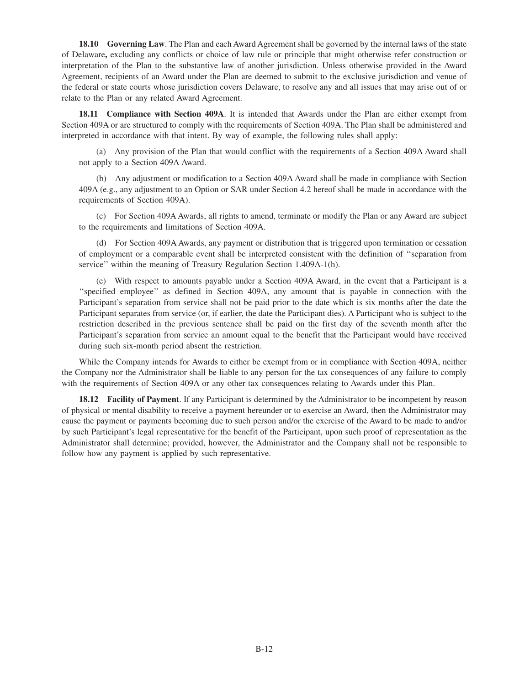**18.10 Governing Law**. The Plan and each Award Agreement shall be governed by the internal laws of the state of Delaware**,** excluding any conflicts or choice of law rule or principle that might otherwise refer construction or interpretation of the Plan to the substantive law of another jurisdiction. Unless otherwise provided in the Award Agreement, recipients of an Award under the Plan are deemed to submit to the exclusive jurisdiction and venue of the federal or state courts whose jurisdiction covers Delaware, to resolve any and all issues that may arise out of or relate to the Plan or any related Award Agreement.

**18.11 Compliance with Section 409A**. It is intended that Awards under the Plan are either exempt from Section 409A or are structured to comply with the requirements of Section 409A. The Plan shall be administered and interpreted in accordance with that intent. By way of example, the following rules shall apply:

(a) Any provision of the Plan that would conflict with the requirements of a Section 409A Award shall not apply to a Section 409A Award.

(b) Any adjustment or modification to a Section 409A Award shall be made in compliance with Section 409A (e.g., any adjustment to an Option or SAR under Section 4.2 hereof shall be made in accordance with the requirements of Section 409A).

(c) For Section 409A Awards, all rights to amend, terminate or modify the Plan or any Award are subject to the requirements and limitations of Section 409A.

(d) For Section 409A Awards, any payment or distribution that is triggered upon termination or cessation of employment or a comparable event shall be interpreted consistent with the definition of ''separation from service'' within the meaning of Treasury Regulation Section 1.409A-1(h).

(e) With respect to amounts payable under a Section 409A Award, in the event that a Participant is a ''specified employee'' as defined in Section 409A, any amount that is payable in connection with the Participant's separation from service shall not be paid prior to the date which is six months after the date the Participant separates from service (or, if earlier, the date the Participant dies). A Participant who is subject to the restriction described in the previous sentence shall be paid on the first day of the seventh month after the Participant's separation from service an amount equal to the benefit that the Participant would have received during such six-month period absent the restriction.

While the Company intends for Awards to either be exempt from or in compliance with Section 409A, neither the Company nor the Administrator shall be liable to any person for the tax consequences of any failure to comply with the requirements of Section 409A or any other tax consequences relating to Awards under this Plan.

**18.12 Facility of Payment**. If any Participant is determined by the Administrator to be incompetent by reason of physical or mental disability to receive a payment hereunder or to exercise an Award, then the Administrator may cause the payment or payments becoming due to such person and/or the exercise of the Award to be made to and/or by such Participant's legal representative for the benefit of the Participant, upon such proof of representation as the Administrator shall determine; provided, however, the Administrator and the Company shall not be responsible to follow how any payment is applied by such representative.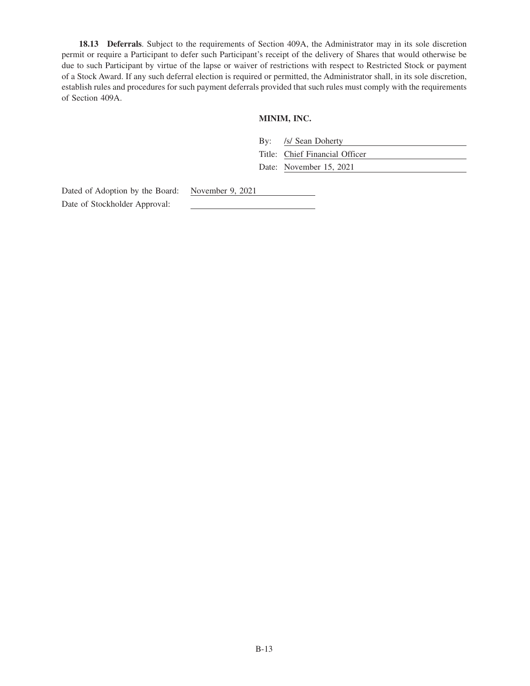**18.13 Deferrals**. Subject to the requirements of Section 409A, the Administrator may in its sole discretion permit or require a Participant to defer such Participant's receipt of the delivery of Shares that would otherwise be due to such Participant by virtue of the lapse or waiver of restrictions with respect to Restricted Stock or payment of a Stock Award. If any such deferral election is required or permitted, the Administrator shall, in its sole discretion, establish rules and procedures for such payment deferrals provided that such rules must comply with the requirements of Section 409A.

# **MINIM, INC.**

| By: /s/ Sean Doherty           |
|--------------------------------|
| Title: Chief Financial Officer |
| Date: November 15, 2021        |

Dated of Adoption by the Board: November 9, 2021 Date of Stockholder Approval: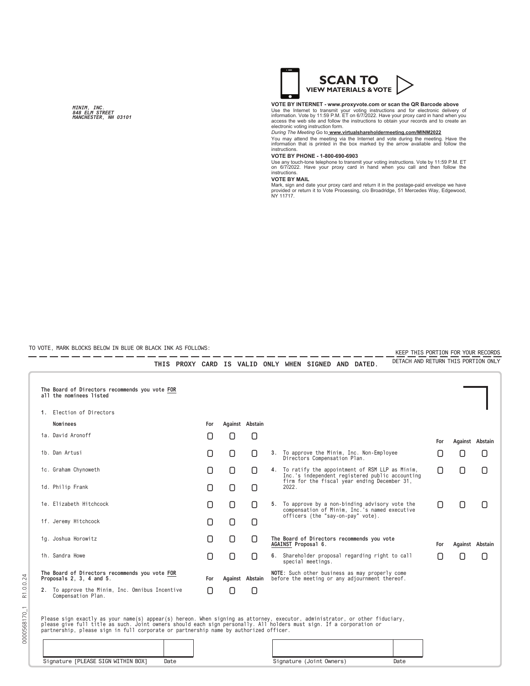**MINIM, INC. 848 ELM STREET MANCHESTER, NH 03101**



## **VOTE BY INTERNET - www.proxyvote.com or scan the QR Barcode above**

Use the Internet to transmit your voting instructions and for electronic delivery of<br>information. Vote by 11:59 P.M. ET on 6/7/2022. Have your proxy card in hand when you<br>access the web site and follow the instructions to

*During The Meeting* Go to **www.virtualshareholdermeeting.com/MINM2022**

You may attend the meeting via the Internet and vote during the meeting. Have the information that is printed in the box marked by the arrow available and follow the instructions.

#### **VOTE BY PHONE - 1-800-690-6903**

Use any touch-tone telephone to transmit your voting instructions. Vote by 11:59 P.M. ET on 6/7/2022. Have your proxy card in hand when you call and then follow the instructions.

#### **VOTE BY MAIL**

Mark, sign and date your proxy card and return it in the postage-paid envelope we have provided or return it to Vote Processing, c/o Broadridge, 51 Mercedes Way, Edgewood, NY 11717.

TO VOTE, MARK BLOCKS BELOW IN BLUE OR BLACK INK AS FOLLOWS: 

KEEP THIS PORTION FOR YOUR RECORDS - -- -- - - - - - - - - - - - -DETACH AND RETURN THIS PORTION ONLY

| 1. Election of Directors                                                   |                                                 |     |        |                 |                 |                                                                                                   |                                                                                                   |     |                 |     |
|----------------------------------------------------------------------------|-------------------------------------------------|-----|--------|-----------------|-----------------|---------------------------------------------------------------------------------------------------|---------------------------------------------------------------------------------------------------|-----|-----------------|-----|
| Nominees                                                                   |                                                 |     | For    |                 | Against Abstain |                                                                                                   |                                                                                                   |     |                 |     |
| 1a. David Aronoff                                                          |                                                 |     | Π      | 0               | 0               |                                                                                                   |                                                                                                   | For | Against Abstain |     |
| 1b. Dan Artusi                                                             |                                                 |     | n      | 0               | O               |                                                                                                   | 3. To approve the Minim, Inc. Non-Employee<br>Directors Compensation Plan.                        | U   | Ο               | O   |
| 1c. Graham Chynoweth                                                       |                                                 | 0   | 0      | O               | 4.              | To ratify the appointment of RSM LLP as Minim,<br>Inc.'s independent registered public accounting | О                                                                                                 | 0   | О               |     |
| 1d. Philip Frank                                                           |                                                 |     | Ω      | 0               | 0               |                                                                                                   | firm for the fiscal year ending December 31,<br>2022.                                             |     |                 |     |
| 1e. Elizabeth Hitchcock                                                    |                                                 |     | 0      | 0               | 0               |                                                                                                   | 5. To approve by a non-binding advisory vote the<br>compensation of Minim, Inc.'s named executive | Π   | Π               | [ ] |
| 1f. Jeremy Hitchcock                                                       |                                                 |     | n      | 0               | O               |                                                                                                   | officers (the "say-on-pay" vote).                                                                 |     |                 |     |
| 1g. Joshua Horowitz                                                        |                                                 |     | Ω      | 0               | 0               |                                                                                                   | The Board of Directors recommends you vote<br>AGAINST Proposal 6.                                 | For | Against Abstain |     |
| 1h. Sandra Howe                                                            |                                                 |     | Π      | 0               | 0               |                                                                                                   | 6. Shareholder proposal regarding right to call<br>special meetings.                              | ſ1  | Π               | Ο   |
| The Board of Directors recommends you vote FOR<br>Proposals 2, 3, 4 and 5. |                                                 | For |        | Against Abstain |                 | NOTE: Such other business as may properly come<br>before the meeting or any adjournment thereof.  |                                                                                                   |     |                 |     |
|                                                                            | 2. To approve the Minim, Inc. Omnibus Incentive |     | $\Box$ | n               | n               |                                                                                                   |                                                                                                   |     |                 |     |